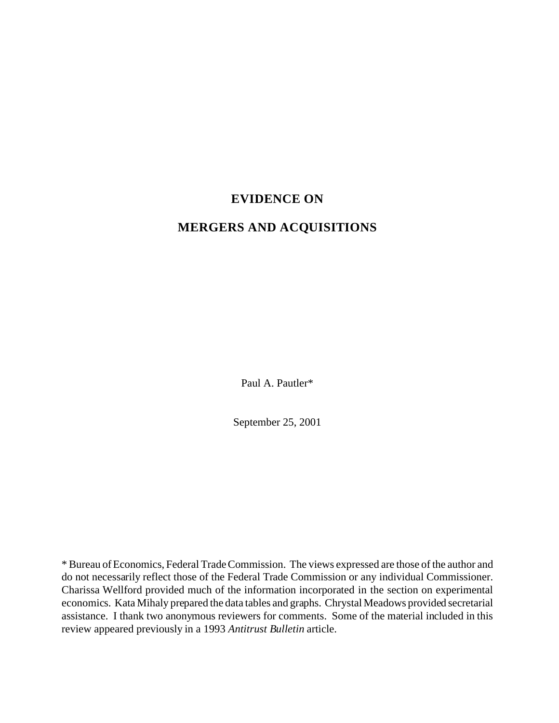## **EVIDENCE ON**

# **MERGERS AND ACQUISITIONS**

Paul A. Pautler\*

September 25, 2001

\* Bureau of Economics, Federal Trade Commission. The views expressed are those of the author and do not necessarily reflect those of the Federal Trade Commission or any individual Commissioner. Charissa Wellford provided much of the information incorporated in the section on experimental economics. Kata Mihaly prepared the data tables and graphs. Chrystal Meadows provided secretarial assistance. I thank two anonymous reviewers for comments. Some of the material included in this review appeared previously in a 1993 *Antitrust Bulletin* article.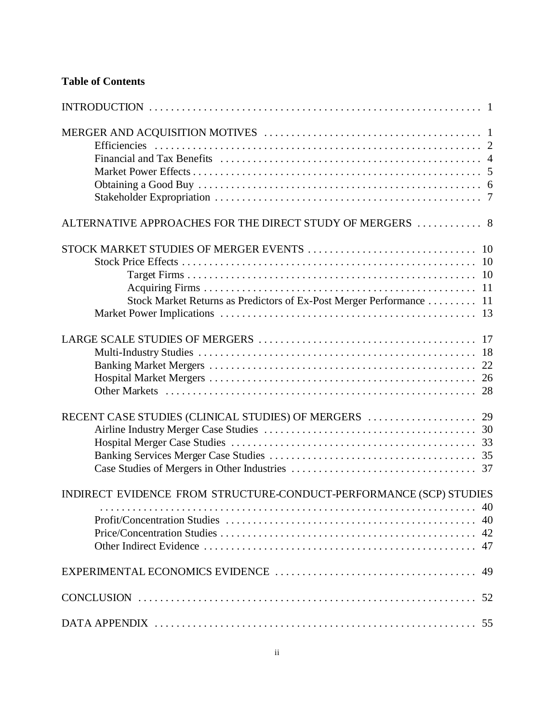## **Table of Contents**

| ALTERNATIVE APPROACHES FOR THE DIRECT STUDY OF MERGERS  8           |
|---------------------------------------------------------------------|
|                                                                     |
|                                                                     |
|                                                                     |
|                                                                     |
| Stock Market Returns as Predictors of Ex-Post Merger Performance 11 |
|                                                                     |
|                                                                     |
|                                                                     |
|                                                                     |
|                                                                     |
|                                                                     |
|                                                                     |
|                                                                     |
|                                                                     |
|                                                                     |
|                                                                     |
| INDIRECT EVIDENCE FROM STRUCTURE-CONDUCT-PERFORMANCE (SCP) STUDIES  |
|                                                                     |
|                                                                     |
|                                                                     |
|                                                                     |
|                                                                     |
|                                                                     |
|                                                                     |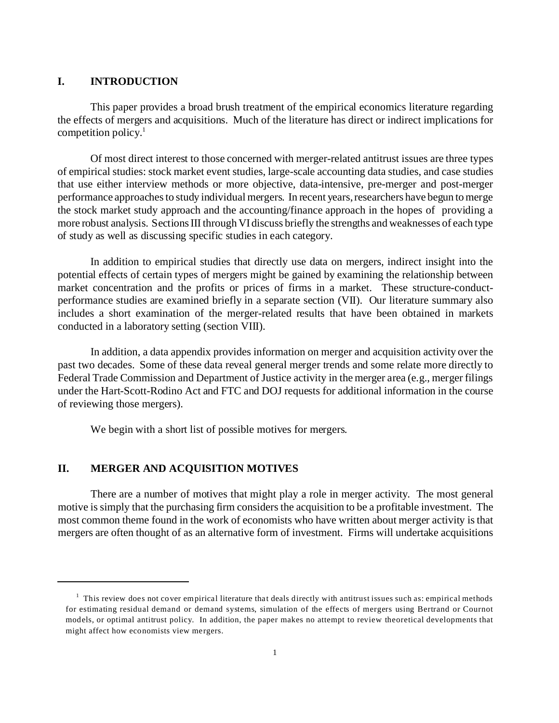#### **I. INTRODUCTION**

This paper provides a broad brush treatment of the empirical economics literature regarding the effects of mergers and acquisitions. Much of the literature has direct or indirect implications for competition policy. $\frac{1}{1}$ 

Of most direct interest to those concerned with merger-related antitrust issues are three types of empirical studies: stock market event studies, large-scale accounting data studies, and case studies that use either interview methods or more objective, data-intensive, pre-merger and post-merger performance approaches to study individual mergers. In recent years, researchers have begun to merge the stock market study approach and the accounting/finance approach in the hopes of providing a more robust analysis. Sections III through VI discuss briefly the strengths and weaknesses of each type of study as well as discussing specific studies in each category.

In addition to empirical studies that directly use data on mergers, indirect insight into the potential effects of certain types of mergers might be gained by examining the relationship between market concentration and the profits or prices of firms in a market. These structure-conductperformance studies are examined briefly in a separate section (VII). Our literature summary also includes a short examination of the merger-related results that have been obtained in markets conducted in a laboratory setting (section VIII).

In addition, a data appendix provides information on merger and acquisition activity over the past two decades. Some of these data reveal general merger trends and some relate more directly to Federal Trade Commission and Department of Justice activity in the merger area (e.g., merger filings under the Hart-Scott-Rodino Act and FTC and DOJ requests for additional information in the course of reviewing those mergers).

We begin with a short list of possible motives for mergers.

## **II. MERGER AND ACQUISITION MOTIVES**

There are a number of motives that might play a role in merger activity. The most general motive is simply that the purchasing firm considers the acquisition to be a profitable investment. The most common theme found in the work of economists who have written about merger activity is that mergers are often thought of as an alternative form of investment. Firms will undertake acquisitions

 $<sup>1</sup>$  This review does not cover empirical literature that deals directly with antitrust issues such as: empirical methods</sup> for estimating residual demand or demand systems, simulation of the effects of mergers using Bertrand or Cournot models, or optimal antitrust policy. In addition, the paper makes no attempt to review theoretical developments that might affect how economists view mergers.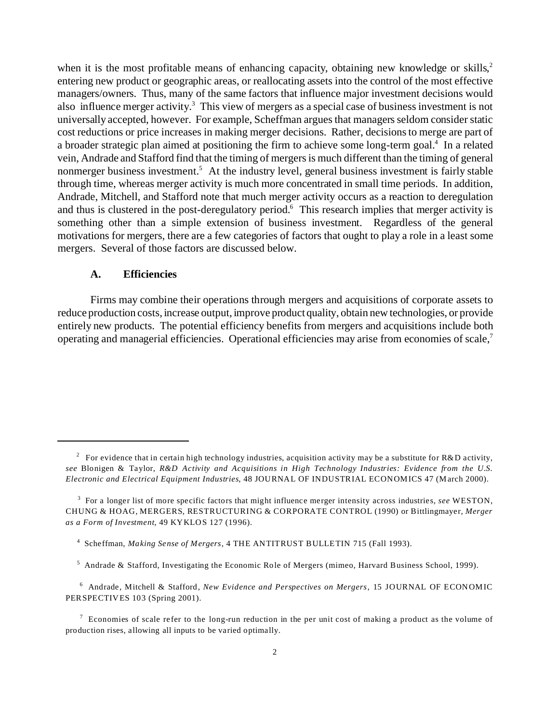when it is the most profitable means of enhancing capacity, obtaining new knowledge or skills,<sup>2</sup> entering new product or geographic areas, or reallocating assets into the control of the most effective managers/owners. Thus, many of the same factors that influence major investment decisions would also influence merger activity.<sup>3</sup> This view of mergers as a special case of business investment is not universally accepted, however. For example, Scheffman argues that managers seldom consider static cost reductions or price increases in making merger decisions. Rather, decisions to merge are part of a broader strategic plan aimed at positioning the firm to achieve some long-term goal.<sup>4</sup> In a related vein, Andrade and Stafford find that the timing of mergers is much different than the timing of general nonmerger business investment.<sup>5</sup> At the industry level, general business investment is fairly stable through time, whereas merger activity is much more concentrated in small time periods. In addition, Andrade, Mitchell, and Stafford note that much merger activity occurs as a reaction to deregulation and thus is clustered in the post-deregulatory period.<sup>6</sup> This research implies that merger activity is something other than a simple extension of business investment. Regardless of the general motivations for mergers, there are a few categories of factors that ought to play a role in a least some mergers. Several of those factors are discussed below.

#### **A. Efficiencies**

Firms may combine their operations through mergers and acquisitions of corporate assets to reduce production costs, increase output, improve product quality, obtain new technologies, or provide entirely new products. The potential efficiency benefits from mergers and acquisitions include both operating and managerial efficiencies. Operational efficiencies may arise from economies of scale,<sup>7</sup>

<sup>&</sup>lt;sup>2</sup> For evidence that in certain high technology industries, acquisition activity may be a substitute for R&D activity, *see* Blonigen & Taylor, *R&D Activity and Acquisitions in High Technology Industries: Evidence from the U.S. Electronic and Electrical Equipment Industries*, 48 JOURNAL OF INDUSTRIAL ECONOMICS 47 (March 2000).

<sup>3</sup> For a longer list of more specific factors that might influence merger intensity across industries, *see* WESTON, CHUNG & HOAG, MERGERS, RESTRUCTURING & CORPORATE CONTROL (1990) or Bittlingmayer, *Merger as a Form of Investment*, 49 KYKLOS 127 (1996).

<sup>4</sup> Scheffman, *Making Sense of Mergers*, 4 THE ANTITRUST BULLETIN 715 (Fall 1993).

<sup>5</sup> Andrade & Stafford, Investigating the Economic Role of Mergers (mimeo, Harvard Business School, 1999).

<sup>6</sup> Andrade, Mitchell & Stafford, *New Evidence and Perspectives on Mergers*, 15 JOURNAL OF ECONOMIC PERSPECTIVES 103 (Spring 2001).

<sup>&</sup>lt;sup>7</sup> Economies of scale refer to the long-run reduction in the per unit cost of making a product as the volume of production rises, allowing all inputs to be varied optimally.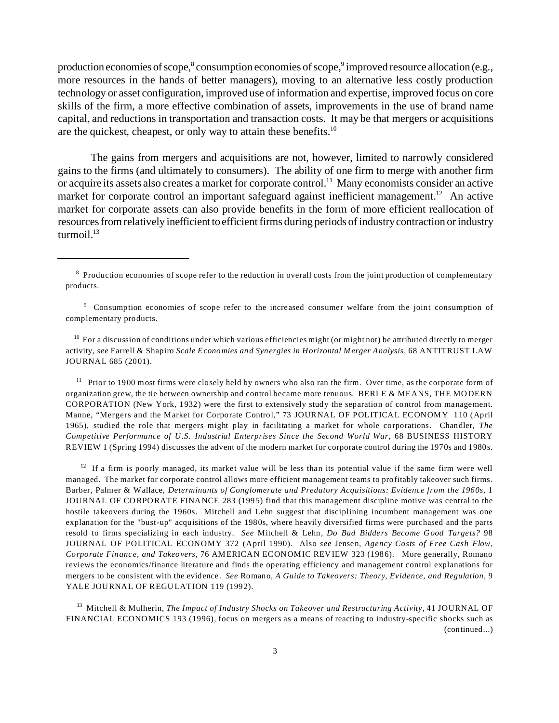production economies of scope,<sup>8</sup> consumption economies of scope,<sup>9</sup> improved resource allocation (e.g., more resources in the hands of better managers), moving to an alternative less costly production technology or asset configuration, improved use of information and expertise, improved focus on core skills of the firm, a more effective combination of assets, improvements in the use of brand name capital, and reductions in transportation and transaction costs. It may be that mergers or acquisitions are the quickest, cheapest, or only way to attain these benefits.<sup>10</sup>

The gains from mergers and acquisitions are not, however, limited to narrowly considered gains to the firms (and ultimately to consumers). The ability of one firm to merge with another firm or acquire its assets also creates a market for corporate control.<sup>11</sup> Many economists consider an active market for corporate control an important safeguard against inefficient management.<sup>12</sup> An active market for corporate assets can also provide benefits in the form of more efficient reallocation of resources from relatively inefficient to efficient firms during periods of industry contraction or industry turmoil $1^{13}$ 

 $10$  For a discussion of conditions under which various efficiencies might (or might not) be attributed directly to merger activity, *see* Farrell & Shapiro *Scale Economies and Synergies in Horizontal Merger Analysis,* 68 ANTITRUST LAW JOURNAL 685 (2001).

<sup>11</sup> Prior to 1900 most firms were closely held by owners who also ran the firm. Over time, as the corporate form of organization grew, the tie between ownership and control became more tenuous. BERLE & MEANS, THE MODERN CORPORATION (New York, 1932) were the first to extensively study the separation of control from management. Manne, "Mergers and the Market for Corporate Control," 73 JOURNAL OF POLITICAL ECONOMY 110 (April 1965), studied the role that mergers might play in facilitating a market for whole corporations. Chandler, *The Competitive Performance of U.S. Industrial Enterprises Since the Second World War*, 68 BUSINESS HISTORY REVIEW 1 (Spring 1994) discusses the advent of the modern market for corporate control during the 1970s and 1980s.

 $12$  If a firm is poorly managed, its market value will be less than its potential value if the same firm were well managed. The market for corporate control allows more efficient management teams to profitably takeover such firms. Barber, Palmer & Wallace, *Determinants of Conglomerate and Predatory Acquisitions: Evidence from the 1960s,* 1 JOURNAL OF CO RPORATE FINANCE 283 (1995) find that this management discipline motive was central to the hostile takeovers during the 1960s. Mitchell and Lehn suggest that disciplining incumbent management was one explanation for the "bust-up" acquisitions of the 1980s, where heavily diversified firms were purchased and the parts resold to firms specializing in each industry. *See* Mitchell & Lehn, *Do Bad Bidders Become Good Targets?* 98 JOURNAL OF POLITICAL ECONOMY 372 (April 1990). Also *see* Jensen, *Agency Costs of Free Cash Flow, Corporate Finance, and Takeovers,* 76 AMERICAN ECONOMIC REVIEW 323 (1986). More generally, Romano reviews the economics/finance literature and finds the operating efficiency and management control explanations for mergers to be consistent with the evidence. *See* Romano, *A Guide to Takeovers: Theory, Evidence, and Regulation*, 9 YALE JOURNAL OF REGULATION 119 (1992).

<sup>13</sup> Mitchell & Mulherin, *The Impact of Industry Shocks on Takeover and Restructuring Activity,* 41 JOURNAL OF FINANCIAL ECONO MICS 193 (1996), focus on mergers as a means of reacting to industry-specific shocks such as (continued...)

<sup>&</sup>lt;sup>8</sup> Production economies of scope refer to the reduction in overall costs from the joint production of complementary products.

<sup>&</sup>lt;sup>9</sup> Consumption economies of scope refer to the increased consumer welfare from the joint consumption of complementary products.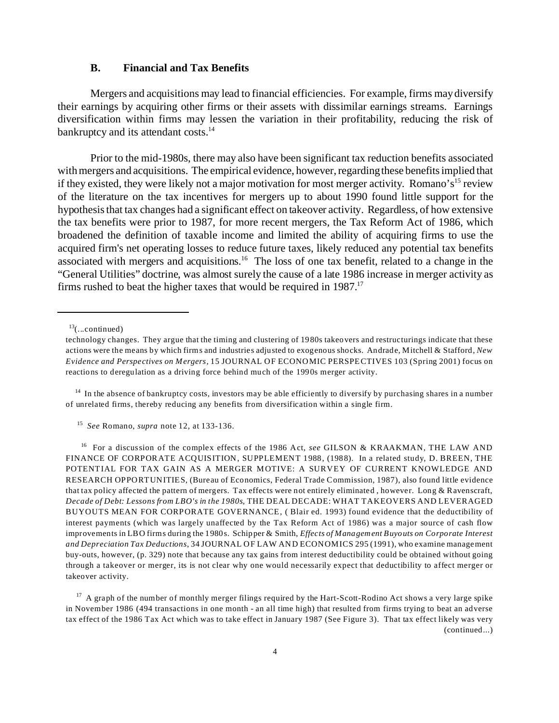## **B. Financial and Tax Benefits**

Mergers and acquisitions may lead to financial efficiencies. For example, firms may diversify their earnings by acquiring other firms or their assets with dissimilar earnings streams. Earnings diversification within firms may lessen the variation in their profitability, reducing the risk of bankruptcy and its attendant costs.<sup>14</sup>

Prior to the mid-1980s, there may also have been significant tax reduction benefits associated with mergers and acquisitions. The empirical evidence, however, regarding these benefits implied that if they existed, they were likely not a major motivation for most merger activity. Romano's<sup>15</sup> review of the literature on the tax incentives for mergers up to about 1990 found little support for the hypothesis that tax changes had a significant effect on takeover activity. Regardless, of how extensive the tax benefits were prior to 1987, for more recent mergers, the Tax Reform Act of 1986, which broadened the definition of taxable income and limited the ability of acquiring firms to use the acquired firm's net operating losses to reduce future taxes, likely reduced any potential tax benefits associated with mergers and acquisitions.<sup>16</sup> The loss of one tax benefit, related to a change in the "General Utilities" doctrine, was almost surely the cause of a late 1986 increase in merger activity as firms rushed to beat the higher taxes that would be required in  $1987$ <sup>17</sup>

 $13$ (...continued)

<sup>14</sup> In the absence of bankruptcy costs, investors may be able efficiently to diversify by purchasing shares in a number of unrelated firms, thereby reducing any benefits from diversification within a single firm.

15 *See* Romano, *supra* note 12, at 133-136.

<sup>16</sup> For a discussion of the complex effects of the 1986 Act, see GILSON & KRAAKMAN, THE LAW AND FINANCE OF CORPORATE ACQUISITION, SUPPLEMENT 1988, (1988). In a related study, D. BREEN, THE POTENTIAL FOR TAX GAIN AS A MERGER MOTIVE: A SURVEY OF CURRENT KNOWLEDGE AND RESEARCH OPPORTUNITIES, (Bureau of Economics, Federal Trade Commission, 1987), also found little evidence that tax policy affected the pattern of mergers. Tax effects were not entirely eliminated , however. Long & Ravenscraft, *Decade of Debt: Lessons from LBO's in the 1980s*, THE DEAL DECADE: WHAT TAKEOVERS AND LEVERAGED BUYOUTS MEAN FOR CORPORATE GOVERNANCE, ( Blair ed. 1993) found evidence that the deductibility of interest payments (which was largely unaffected by the Tax Reform Act of 1986) was a major source of cash flow improvements in LBO firms during the 1980s. Schipper & Smith, *Effects of Management Buyouts on Corporate Interest and Depreciation Tax Deductions*, 34 JOURNAL OF LAW AND ECONOMICS 295 (1991), who examine management buy-outs, however, (p. 329) note that because any tax gains from interest deductibility could be obtained without going through a takeover or merger, its is not clear why one would necessarily expect that deductibility to affect merger or takeover activity.

 $17$  A graph of the number of monthly merger filings required by the Hart-Scott-Rodino Act shows a very large spike in November 1986 (494 transactions in one month - an all time high) that resulted from firms trying to beat an adverse tax effect of the 1986 Tax Act which was to take effect in January 1987 (See Figure 3). That tax effect likely was very (continued...)

technology changes. They argue that the timing and clustering of 1980s takeovers and restructurings indicate that these actions were the means by which firms and industries adjusted to exogenous shocks. Andrade, Mitchell & Stafford, *New Evidence and Perspectives on Mergers*, 15 JOURNAL OF ECONOMIC PERSPECTIVES 103 (Spring 2001) focus on reactions to deregulation as a driving force behind much of the 1990s merger activity.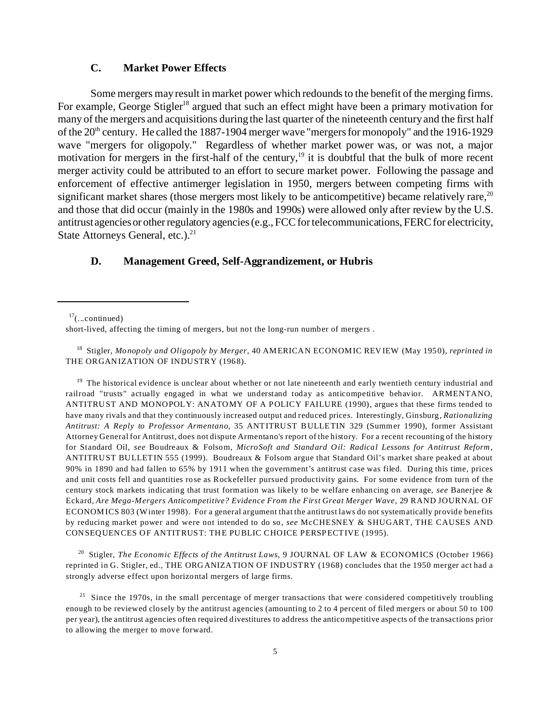## **C. Market Power Effects**

Some mergers may result in market power which redounds to the benefit of the merging firms. For example, George Stigler<sup>18</sup> argued that such an effect might have been a primary motivation for many of the mergers and acquisitions during the last quarter of the nineteenth century and the first half of the 20<sup>th</sup> century. He called the 1887-1904 merger wave "mergers for monopoly" and the 1916-1929 wave "mergers for oligopoly." Regardless of whether market power was, or was not, a major motivation for mergers in the first-half of the century,<sup>19</sup> it is doubtful that the bulk of more recent merger activity could be attributed to an effort to secure market power. Following the passage and enforcement of effective antimerger legislation in 1950, mergers between competing firms with significant market shares (those mergers most likely to be anticompetitive) became relatively rare,  $20$ and those that did occur (mainly in the 1980s and 1990s) were allowed only after review by the U.S. antitrustagenciesor other regulatory agencies (e.g., FCC for telecommunications, FERC for electricity, State Attorneys General, etc.).<sup>21</sup>

## **D. Management Greed, Self-Aggrandizement, or Hubris**

 $17$ (...continued)

<sup>18</sup> Stigler, *Monopoly and Oligopoly by Merger*, 40 AMERICAN ECONOMIC REVIEW (May 1950), *reprinted in* THE ORGANIZATION OF INDUSTRY (1968).

 $19$  The historical evidence is unclear about whether or not late nineteenth and early twentieth century industrial and railroad "trusts" actually engaged in what we understand today as anticompetitive behavior. ARMENTANO, ANTITRUST AND MONOPOLY: ANATOMY OF A POLICY FAILURE (1990), argues that these firms tended to have many rivals and that they continuously increased output and reduced prices. Interestingly, Ginsburg, *Rationalizing Antitrust: A Reply to Professor Armentano*, 35 ANTITRUST BULLETIN 329 (Summer 1990), former Assistant Attorney General for Antitrust, does not dispute Armentano's report of the history. For a recent recounting of the history for Standard Oil, *see* Boudreaux & Folsom, *MicroSoft and Standard Oil: Radical Lessons for Antitrust Reform*, ANTITRUST BULLETIN 555 (1999). Boudreaux & Folsom argue that Standard Oil's market share peaked at about 90% in 1890 and had fallen to 65% by 1911 when the government's antitrust case was filed. During this time, prices and unit costs fell and quantities rose as Rockefeller pursued productivity gains. For some evidence from turn of the century stock markets indicating that trust formation was likely to be welfare enhancing on average, *see* Banerjee & Eckard, *Are Mega-Mergers Anticompetitive? Evidence From the First Great Merger Wave*, 29 RAND JOURNAL OF ECONOMICS 803 (Winter 1998). For a general argument that the antitrust laws do not systematically provide benefits by reducing market power and were not intended to do so, *see* McCHESNEY & SHUGART, THE CAUSES AND CONSEQUENCES OF ANTITRUST: THE PUBLIC CHOICE PERSPECTIVE (1995).

<sup>20</sup> Stigler, *The Economic Effects of the Antitrust Laws*, 9 JOURNAL OF LAW & ECONOMICS (October 1966) reprinted in G. Stigler, ed., THE ORG ANIZATION OF INDUSTRY (1968) concludes that the 1950 merger act had a strongly adverse effect upon horizontal mergers of large firms.

 $21$  Since the 1970s, in the small percentage of merger transactions that were considered competitively troubling enough to be reviewed closely by the antitrust agencies (amounting to 2 to 4 percent of filed mergers or about 50 to 100 per year), the antitrust agencies often required divestitures to address the anticompetitive aspects of the transactions prior to allowing the merger to move forward.

short-lived, affecting the timing of mergers, but not the long-run number of mergers .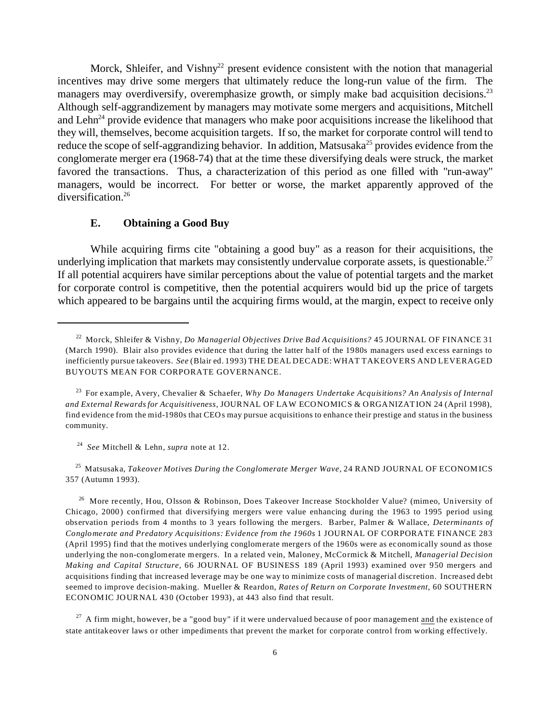Morck, Shleifer, and Vishny<sup>22</sup> present evidence consistent with the notion that managerial incentives may drive some mergers that ultimately reduce the long-run value of the firm. The managers may overdiversify, overemphasize growth, or simply make bad acquisition decisions.<sup>23</sup> Although self-aggrandizement by managers may motivate some mergers and acquisitions, Mitchell and Lehn<sup>24</sup> provide evidence that managers who make poor acquisitions increase the likelihood that they will, themselves, become acquisition targets. If so, the market for corporate control will tend to reduce the scope of self-aggrandizing behavior. In addition, Matsusaka<sup>25</sup> provides evidence from the conglomerate merger era (1968-74) that at the time these diversifying deals were struck, the market favored the transactions. Thus, a characterization of this period as one filled with "run-away" managers, would be incorrect. For better or worse, the market apparently approved of the diversification.<sup>26</sup>

#### **E. Obtaining a Good Buy**

While acquiring firms cite "obtaining a good buy" as a reason for their acquisitions, the underlying implication that markets may consistently undervalue corporate assets, is questionable.<sup>27</sup> If all potential acquirers have similar perceptions about the value of potential targets and the market for corporate control is competitive, then the potential acquirers would bid up the price of targets which appeared to be bargains until the acquiring firms would, at the margin, expect to receive only

<sup>25</sup> Matsusaka, *Takeover Motives During the Conglomerate Merger Wave,* 24 RAND JOURNAL OF ECONOMICS 357 (Autumn 1993).

<sup>26</sup> More recently, Hou, Olsson & Robinson, Does Takeover Increase Stockholder Value? (mimeo, University of Chicago, 2000) confirmed that diversifying mergers were value enhancing during the 1963 to 1995 period using observation periods from 4 months to 3 years following the mergers. Barber, Palmer & Wallace, *Determinants of Conglomerate and Predatory Acquisitions: Evidence from the 1960s* 1 JOURNAL OF CORPORATE FINANCE 283 (April 1995) find that the motives underlying conglomerate mergers of the 1960s were as economically sound as those underlying the non-conglomerate mergers. In a related vein, Maloney, McCormick & Mitchell, *Managerial Decision Making and Capital Structure,* 66 JOURNAL OF BUSINESS 189 (April 1993) examined over 950 mergers and acquisitions finding that increased leverage may be one way to minimize costs of managerial discretion. Increased debt seemed to improve decision-making. Mueller & Reardon, *Rates of Return on Corporate Investment,* 60 SOUTHERN ECONOMIC JOURNAL 430 (October 1993), at 443 also find that result.

 $27$  A firm might, however, be a "good buy" if it were undervalued because of poor management and the existence of state antitakeover laws or other impediments that prevent the market for corporate control from working effectively.

<sup>22</sup> Morck, Shleifer & Vishny, *Do Managerial Objectives Drive Bad Acquisitions?* 45 JOURNAL OF FINANCE 31 (March 1990). Blair also provides evidence that during the latter half of the 1980s managers used excess earnings to inefficiently pursue takeovers. *See* (Blair ed. 1993) THE DEAL DECADE: WHAT TAKEOVERS AND LEVERAGED BUYOUTS MEAN FOR CORPORATE GOVERNANCE.

<sup>23</sup> For example, Avery, Chevalier & Schaefer, *Why Do Managers Undertake Acquisitions? An Analysis of Internal and External Rewards for Acquisitiveness*, JOURNAL OF LAW ECONOMICS & ORGANIZATION 24 (April 1998), find evidence from the mid-1980s that CEOs may pursue acquisitions to enhance their prestige and status in the business community.

<sup>24</sup> *See* Mitchell & Lehn, *supra* note at 12.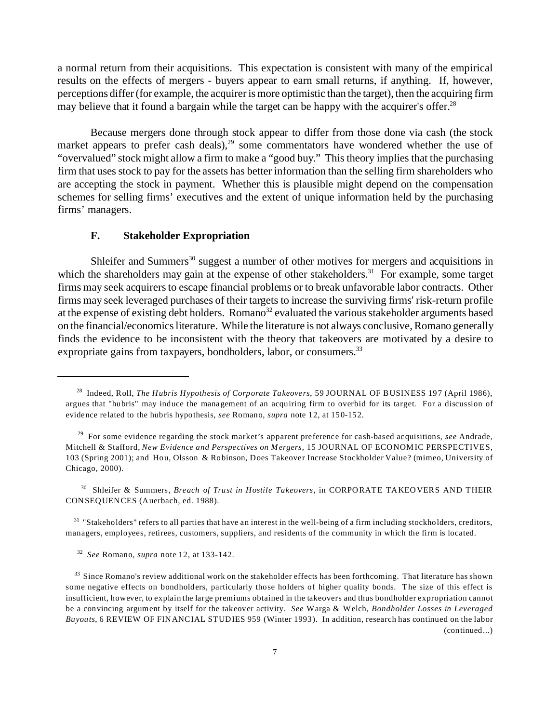a normal return from their acquisitions. This expectation is consistent with many of the empirical results on the effects of mergers - buyers appear to earn small returns, if anything. If, however, perceptions differ (for example, the acquirer is more optimistic than the target), then the acquiring firm may believe that it found a bargain while the target can be happy with the acquirer's offer.<sup>28</sup>

Because mergers done through stock appear to differ from those done via cash (the stock market appears to prefer cash deals), $^{29}$  some commentators have wondered whether the use of "overvalued" stock might allow a firm to make a "good buy." This theory implies that the purchasing firm that uses stock to pay for the assets has better information than the selling firm shareholders who are accepting the stock in payment. Whether this is plausible might depend on the compensation schemes for selling firms' executives and the extent of unique information held by the purchasing firms' managers.

## **F. Stakeholder Expropriation**

Shleifer and Summers<sup>30</sup> suggest a number of other motives for mergers and acquisitions in which the shareholders may gain at the expense of other stakeholders.<sup>31</sup> For example, some target firms may seek acquirers to escape financial problems or to break unfavorable labor contracts. Other firms may seek leveraged purchases of their targets to increase the surviving firms' risk-return profile at the expense of existing debt holders. Romano<sup>32</sup> evaluated the various stakeholder arguments based on the financial/economics literature. While the literature is not always conclusive, Romano generally finds the evidence to be inconsistent with the theory that takeovers are motivated by a desire to expropriate gains from taxpayers, bondholders, labor, or consumers.<sup>33</sup>

<sup>30</sup> Shleifer & Summers, *Breach of Trust in Hostile Takeovers*, in CORPORATE TAKEOVERS AND THEIR CONSEQUENCES (Auerbach, ed. 1988).

<sup>31</sup> "Stakeholders" refers to all parties that have an interest in the well-being of a firm including stockholders, creditors, managers, employees, retirees, customers, suppliers, and residents of the community in which the firm is located.

32 *See* Romano, *supra* note 12, at 133-142.

<sup>28</sup> Indeed, Roll, *The Hubris Hypothesis of Corporate Takeovers*, 59 JOURNAL OF BUSINESS 197 (April 1986), argues that "hubris" may induce the management of an acquiring firm to overbid for its target. For a discussion of evidence related to the hubris hypothesis, *see* Romano, *supra* note 12, at 150-152.

<sup>29</sup> For some evidence regarding the stock market's apparent preference for cash-based acquisitions, *see* Andrade, Mitchell & Stafford, *New Evidence and Perspectives on Mergers*, 15 JOURNAL OF ECONOMIC PERSPECTIVES, 103 (Spring 2001); and Hou, Olsson & Robinson, Does Takeover Increase Stockholder Value? (mimeo, University of Chicago, 2000).

 $33$  Since Romano's review additional work on the stakeholder effects has been forthcoming. That literature has shown some negative effects on bondholders, particularly those holders of higher quality bonds. The size of this effect is insufficient, however, to explain the large premiums obtained in the takeovers and thus bondholder expropriation cannot be a convincing argument by itself for the takeover activity. *See* Warga & Welch, *Bondholder Losses in Leveraged Buyouts*, 6 REVIEW OF FINANCIAL STUDIES 959 (Winter 1993). In addition, research has continued on the labor (continued...)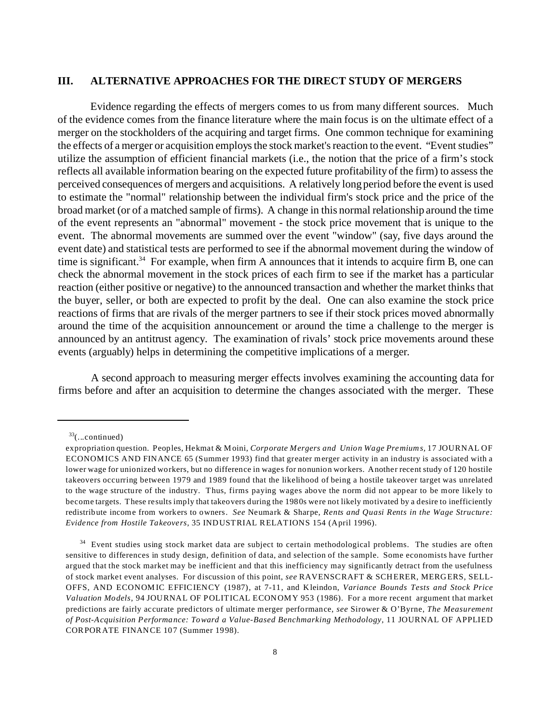#### **III. ALTERNATIVE APPROACHES FOR THE DIRECT STUDY OF MERGERS**

Evidence regarding the effects of mergers comes to us from many different sources. Much of the evidence comes from the finance literature where the main focus is on the ultimate effect of a merger on the stockholders of the acquiring and target firms. One common technique for examining the effects of a merger or acquisition employs the stock market's reaction to the event. "Event studies" utilize the assumption of efficient financial markets (i.e., the notion that the price of a firm's stock reflects all available information bearing on the expected future profitability of the firm) to assess the perceived consequences of mergers and acquisitions. A relatively long period before the event is used to estimate the "normal" relationship between the individual firm's stock price and the price of the broad market (or of a matched sample of firms). A change in this normal relationship around the time of the event represents an "abnormal" movement - the stock price movement that is unique to the event. The abnormal movements are summed over the event "window" (say, five days around the event date) and statistical tests are performed to see if the abnormal movement during the window of time is significant.<sup>34</sup> For example, when firm A announces that it intends to acquire firm B, one can check the abnormal movement in the stock prices of each firm to see if the market has a particular reaction (either positive or negative) to the announced transaction and whether the market thinks that the buyer, seller, or both are expected to profit by the deal. One can also examine the stock price reactions of firms that are rivals of the merger partners to see if their stock prices moved abnormally around the time of the acquisition announcement or around the time a challenge to the merger is announced by an antitrust agency. The examination of rivals' stock price movements around these events (arguably) helps in determining the competitive implications of a merger.

A second approach to measuring merger effects involves examining the accounting data for firms before and after an acquisition to determine the changes associated with the merger. These

 $33$ (...continued)

expropriation question. Peoples, Hekmat & Moini, *Corporate Mergers and Union Wage Premiums,* 17 JOURNAL OF ECONOMICS AND FINANCE 65 (Summer 1993) find that greater merger activity in an industry is associated with a lower wage for unionized workers, but no difference in wages for nonunion workers. Another recent study of 120 hostile takeovers occurring between 1979 and 1989 found that the likelihood of being a hostile takeover target was unrelated to the wage structure of the industry. Thus, firms paying wages above the norm did not appear to be more likely to become targets. These results imply that takeovers during the 1980s were not likely motivated by a desire to inefficiently redistribute income from workers to owners. *See* Neumark & Sharpe, *Rents and Quasi Rents in the Wage Structure: Evidence from Hostile Takeovers,* 35 INDUSTRIAL RELATIONS 154 (April 1996).

 $34$  Event studies using stock market data are subject to certain methodological problems. The studies are often sensitive to differences in study design, definition of data, and selection of the sample. Some economists have further argued that the stock market may be inefficient and that this inefficiency may significantly detract from the usefulness of stock market event analyses. For discussion of this point, *see* RAVENSCRAFT & SCHERER, MERGERS, SELL-OFFS, AND ECONOMIC EFFICIENCY (1987), at 7-11, and Kleindon, *Variance Bounds Tests and Stock Price Valuation Models*, 94 JOURNAL OF POLITICAL ECONOMY 953 (1986). For a more recent argument that market predictions are fairly accurate predictors of ultimate merger performance, *see* Sirower & O'Byrne, *The Measurement of Post-Acquisition Performance: Toward a Value-Based Benchmarking Methodology,* 11 JOURNAL OF APPLIED CORPORATE FINANCE 107 (Summer 1998).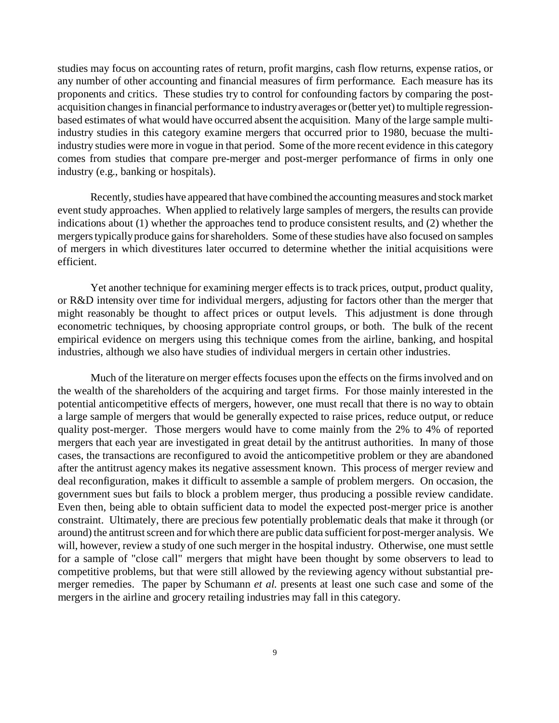studies may focus on accounting rates of return, profit margins, cash flow returns, expense ratios, or any number of other accounting and financial measures of firm performance. Each measure has its proponents and critics. These studies try to control for confounding factors by comparing the postacquisition changes in financial performance to industry averages or (better yet) to multiple regressionbased estimates of what would have occurred absent the acquisition. Many of the large sample multiindustry studies in this category examine mergers that occurred prior to 1980, becuase the multiindustry studies were more in vogue in that period. Some of the more recent evidence in this category comes from studies that compare pre-merger and post-merger performance of firms in only one industry (e.g., banking or hospitals).

Recently, studies have appeared that have combined the accounting measures and stock market event study approaches. When applied to relatively large samples of mergers, the results can provide indications about (1) whether the approaches tend to produce consistent results, and (2) whether the mergers typically produce gains for shareholders. Some of these studies have also focused on samples of mergers in which divestitures later occurred to determine whether the initial acquisitions were efficient.

Yet another technique for examining merger effects is to track prices, output, product quality, or R&D intensity over time for individual mergers, adjusting for factors other than the merger that might reasonably be thought to affect prices or output levels. This adjustment is done through econometric techniques, by choosing appropriate control groups, or both. The bulk of the recent empirical evidence on mergers using this technique comes from the airline, banking, and hospital industries, although we also have studies of individual mergers in certain other industries.

Much of the literature on merger effects focuses upon the effects on the firms involved and on the wealth of the shareholders of the acquiring and target firms. For those mainly interested in the potential anticompetitive effects of mergers, however, one must recall that there is no way to obtain a large sample of mergers that would be generally expected to raise prices, reduce output, or reduce quality post-merger. Those mergers would have to come mainly from the 2% to 4% of reported mergers that each year are investigated in great detail by the antitrust authorities. In many of those cases, the transactions are reconfigured to avoid the anticompetitive problem or they are abandoned after the antitrust agency makes its negative assessment known. This process of merger review and deal reconfiguration, makes it difficult to assemble a sample of problem mergers. On occasion, the government sues but fails to block a problem merger, thus producing a possible review candidate. Even then, being able to obtain sufficient data to model the expected post-merger price is another constraint. Ultimately, there are precious few potentially problematic deals that make it through (or around) the antitrust screen and for which there are public data sufficient for post-merger analysis. We will, however, review a study of one such merger in the hospital industry. Otherwise, one must settle for a sample of "close call" mergers that might have been thought by some observers to lead to competitive problems, but that were still allowed by the reviewing agency without substantial premerger remedies. The paper by Schumann *et al.* presents at least one such case and some of the mergers in the airline and grocery retailing industries may fall in this category.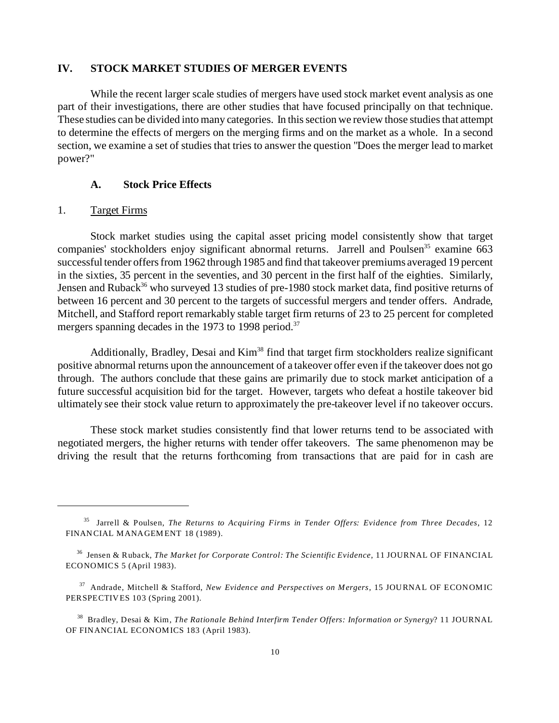#### **IV. STOCK MARKET STUDIES OF MERGER EVENTS**

While the recent larger scale studies of mergers have used stock market event analysis as one part of their investigations, there are other studies that have focused principally on that technique. These studies can be divided into many categories. In this section we review those studies that attempt to determine the effects of mergers on the merging firms and on the market as a whole. In a second section, we examine a set of studies that tries to answer the question "Does the merger lead to market power?"

#### **A. Stock Price Effects**

#### 1. Target Firms

Stock market studies using the capital asset pricing model consistently show that target companies' stockholders enjoy significant abnormal returns. Jarrell and Poulsen<sup>35</sup> examine 663 successful tender offers from 1962 through 1985 and find that takeover premiums averaged 19 percent in the sixties, 35 percent in the seventies, and 30 percent in the first half of the eighties. Similarly, Jensen and Ruback<sup>36</sup> who surveyed 13 studies of pre-1980 stock market data, find positive returns of between 16 percent and 30 percent to the targets of successful mergers and tender offers. Andrade, Mitchell, and Stafford report remarkably stable target firm returns of 23 to 25 percent for completed mergers spanning decades in the 1973 to 1998 period.<sup>37</sup>

Additionally, Bradley, Desai and Kim<sup>38</sup> find that target firm stockholders realize significant positive abnormal returns upon the announcement of a takeover offer even if the takeover does not go through. The authors conclude that these gains are primarily due to stock market anticipation of a future successful acquisition bid for the target. However, targets who defeat a hostile takeover bid ultimately see their stock value return to approximately the pre-takeover level if no takeover occurs.

These stock market studies consistently find that lower returns tend to be associated with negotiated mergers, the higher returns with tender offer takeovers. The same phenomenon may be driving the result that the returns forthcoming from transactions that are paid for in cash are

<sup>35</sup> Jarrell & Poulsen, *The Returns to Acquiring Firms in Tender Offers: Evidence from Three Decades*, 12 FINANCIAL MANAGEMENT 18 (1989).

<sup>36</sup> Jensen & Ruback, *The Market for Corporate Control: The Scientific Evidence*, 11 JOURNAL OF FINANCIAL ECONOMICS 5 (April 1983).

<sup>37</sup> Andrade, Mitchell & Stafford, *New Evidence and Perspectives on Mergers*, 15 JOURNAL OF ECONOMIC PERSPECTIVES 103 (Spring 2001).

<sup>38</sup> Bradley, Desai & Kim, *The Rationale Behind Interfirm Tender Offers: Information or Synergy*? 11 JOURNAL OF FINANCIAL ECONOMICS 183 (April 1983).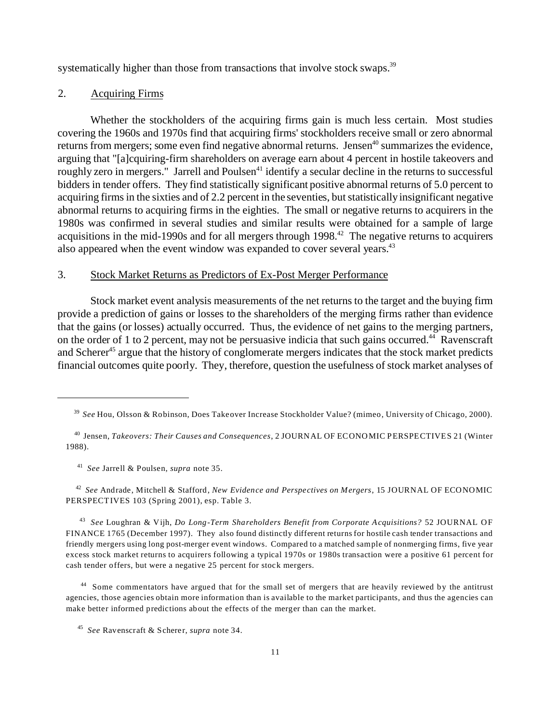systematically higher than those from transactions that involve stock swaps.<sup>39</sup>

### 2. Acquiring Firms

Whether the stockholders of the acquiring firms gain is much less certain. Most studies covering the 1960s and 1970s find that acquiring firms' stockholders receive small or zero abnormal returns from mergers; some even find negative abnormal returns. Jensen<sup>40</sup> summarizes the evidence, arguing that "[a]cquiring-firm shareholders on average earn about 4 percent in hostile takeovers and roughly zero in mergers." Jarrell and Poulsen<sup>41</sup> identify a secular decline in the returns to successful bidders in tender offers. They find statistically significant positive abnormal returns of 5.0 percent to acquiring firms in the sixties and of 2.2 percent in the seventies, but statistically insignificant negative abnormal returns to acquiring firms in the eighties. The small or negative returns to acquirers in the 1980s was confirmed in several studies and similar results were obtained for a sample of large acquisitions in the mid-1990s and for all mergers through 1998.<sup>42</sup> The negative returns to acquirers also appeared when the event window was expanded to cover several years. $43$ 

#### 3. Stock Market Returns as Predictors of Ex-Post Merger Performance

Stock market event analysis measurements of the net returns to the target and the buying firm provide a prediction of gains or losses to the shareholders of the merging firms rather than evidence that the gains (or losses) actually occurred. Thus, the evidence of net gains to the merging partners, on the order of 1 to 2 percent, may not be persuasive indicia that such gains occurred.<sup>44</sup> Ravenscraft and Scherer<sup>45</sup> argue that the history of conglomerate mergers indicates that the stock market predicts financial outcomes quite poorly. They, therefore, question the usefulness of stock market analyses of

41 *See* Jarrell & Poulsen, *supra* note 35.

42 *See* Andrade, Mitchell & Stafford, *New Evidence and Perspectives on Mergers*, 15 JOURNAL OF ECONOMIC PERSPECTIVES 103 (Spring 2001), esp. Table 3.

43 *See* Loughran & Vijh, *Do Long-Term Shareholders Benefit from Corporate Acquisitions?* 52 JOURNAL OF FINANCE 1765 (December 1997). They also found distinctly different returns for hostile cash tender transactions and friendly mergers using long post-merger event windows. Compared to a matched sample of nonmerging firms, five year excess stock market returns to acquirers following a typical 1970s or 1980s transaction were a positive 61 percent for cash tender offers, but were a negative 25 percent for stock mergers.

<sup>44</sup> Some commentators have argued that for the small set of mergers that are heavily reviewed by the antitrust agencies, those agencies obtain more information than is available to the market participants, and thus the agencies can make better informed predictions about the effects of the merger than can the market.

<sup>39</sup> *See* Hou, Olsson & Robinson, Does Takeover Increase Stockholder Value? (mimeo, University of Chicago, 2000).

<sup>40</sup> Jensen, *Takeovers: Their Causes and Consequences*, 2 JOURNAL OF ECONOMIC PERSPECTIVES 21 (Winter 1988).

<sup>45</sup> *See* Ravenscraft & Scherer, *supra* note 34.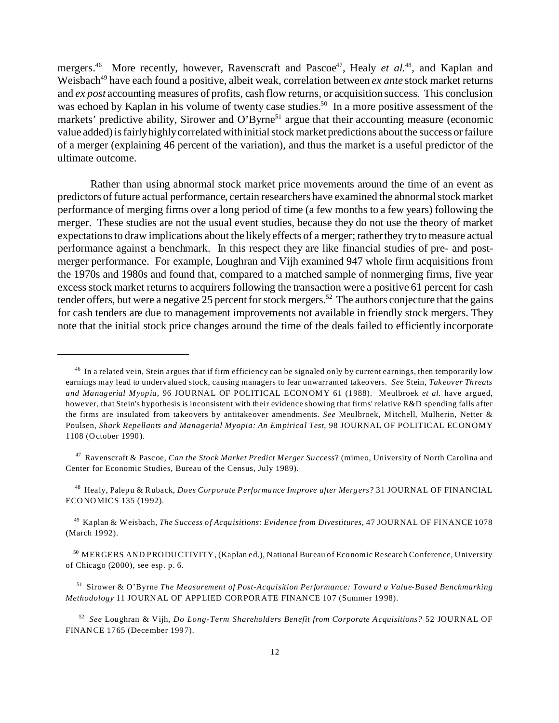mergers.<sup>46</sup> More recently, however, Ravenscraft and Pascoe<sup>47</sup>, Healy *et al.*<sup>48</sup>, and Kaplan and Weisbach<sup>49</sup> have each found a positive, albeit weak, correlation between *ex ante* stock market returns and *ex post* accounting measures of profits, cash flow returns, or acquisition success. This conclusion was echoed by Kaplan in his volume of twenty case studies.<sup>50</sup> In a more positive assessment of the markets' predictive ability, Sirower and O'Byrne<sup>51</sup> argue that their accounting measure (economic value added) is fairly highly correlated with initial stock market predictions about the success or failure of a merger (explaining 46 percent of the variation), and thus the market is a useful predictor of the ultimate outcome.

Rather than using abnormal stock market price movements around the time of an event as predictors of future actual performance, certain researchers have examined the abnormal stock market performance of merging firms over a long period of time (a few months to a few years) following the merger. These studies are not the usual event studies, because they do not use the theory of market expectations to draw implications about the likely effects of a merger; rather they try to measure actual performance against a benchmark. In this respect they are like financial studies of pre- and postmerger performance. For example, Loughran and Vijh examined 947 whole firm acquisitions from the 1970s and 1980s and found that, compared to a matched sample of nonmerging firms, five year excess stock market returns to acquirers following the transaction were a positive 61 percent for cash tender offers, but were a negative  $25$  percent for stock mergers.<sup>52</sup> The authors conjecture that the gains for cash tenders are due to management improvements not available in friendly stock mergers. They note that the initial stock price changes around the time of the deals failed to efficiently incorporate

 $46$  In a related vein, Stein argues that if firm efficiency can be signaled only by current earnings, then temporarily low earnings may lead to undervalued stock, causing managers to fear unwarranted takeovers. *See* Stein, *Takeover Threats and Managerial Myopia*, 96 JOURNAL OF POLITICAL ECONOMY 61 (1988). Meulbroek *et al.* have argued, however, that Stein's hypothesis is inconsistent with their evidence showing that firms' relative R&D spending falls after the firms are insulated from takeovers by antitakeover amendments. *See* Meulbroek, M itchell, Mulherin, Netter & Poulsen, *Shark Repellants and Managerial Myopia: An Empirical Test,* 98 JOURNAL OF POLITICAL ECONOMY 1108 (October 1990).

<sup>47</sup> Ravenscraft & Pascoe, *Can the Stock Market Predict Merger Success*? (mimeo, University of North Carolina and Center for Economic Studies, Bureau of the Census, July 1989).

<sup>48</sup> Healy, Palepu & Ruback, *Does Corporate Performance Improve after Mergers?* 31 JOURNAL OF FINANCIAL ECONOMICS 135 (1992).

<sup>49</sup> Kaplan & Weisbach, *The Success of Acquisitions: Evidence from Divestitures,* 47 JOURNAL OF FINANCE 1078 (March 1992).

<sup>50</sup> MERGERS AND PRODUCTIVITY, (Kaplan ed.), National Bureau of Economic Research Conference, University of Chicago (2000), see esp. p. 6.

<sup>51</sup> Sirower & O'Byrne *The Measurement of Post-Acquisition Performance: Toward a Value-Based Benchmarking Methodology* 11 JOURNAL OF APPLIED CORPORATE FINANCE 107 (Summer 1998).

<sup>52</sup> *See* Loughran & Vijh, *Do Long-Term Shareholders Benefit from Corporate Acquisitions?* 52 JOURNAL OF FINANCE 1765 (December 1997).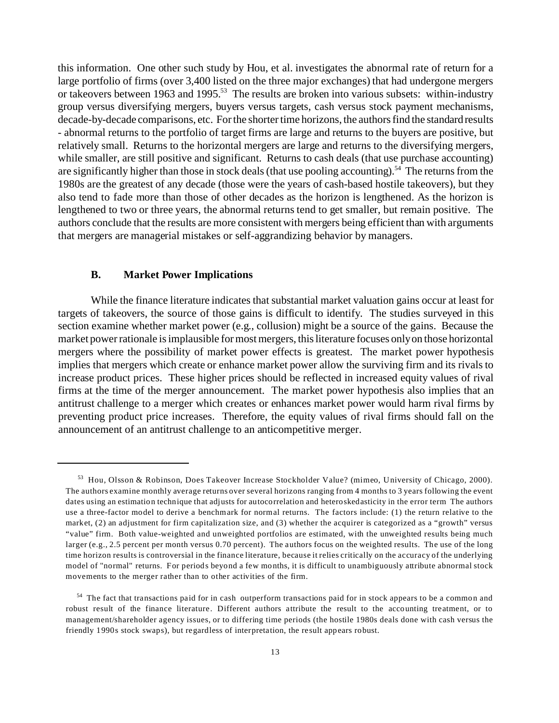this information. One other such study by Hou, et al. investigates the abnormal rate of return for a large portfolio of firms (over 3,400 listed on the three major exchanges) that had undergone mergers or takeovers between 1963 and 1995.<sup>53</sup> The results are broken into various subsets: within-industry group versus diversifying mergers, buyers versus targets, cash versus stock payment mechanisms, decade-by-decade comparisons, etc. For the shorter time horizons, the authors find the standard results - abnormal returns to the portfolio of target firms are large and returns to the buyers are positive, but relatively small. Returns to the horizontal mergers are large and returns to the diversifying mergers, while smaller, are still positive and significant. Returns to cash deals (that use purchase accounting) are significantly higher than those in stock deals (that use pooling accounting).<sup>54</sup> The returns from the 1980s are the greatest of any decade (those were the years of cash-based hostile takeovers), but they also tend to fade more than those of other decades as the horizon is lengthened. As the horizon is lengthened to two or three years, the abnormal returns tend to get smaller, but remain positive. The authors conclude that the results are more consistent with mergers being efficient than with arguments that mergers are managerial mistakes or self-aggrandizing behavior by managers.

#### **B. Market Power Implications**

While the finance literature indicates that substantial market valuation gains occur at least for targets of takeovers, the source of those gains is difficult to identify. The studies surveyed in this section examine whether market power (e.g., collusion) might be a source of the gains. Because the market power rationale is implausible for most mergers, this literature focuses only on those horizontal mergers where the possibility of market power effects is greatest. The market power hypothesis implies that mergers which create or enhance market power allow the surviving firm and its rivals to increase product prices. These higher prices should be reflected in increased equity values of rival firms at the time of the merger announcement. The market power hypothesis also implies that an antitrust challenge to a merger which creates or enhances market power would harm rival firms by preventing product price increases. Therefore, the equity values of rival firms should fall on the announcement of an antitrust challenge to an anticompetitive merger.

<sup>53</sup> Hou, Olsson & Robinson, Does Takeover Increase Stockholder Value? (mimeo, University of Chicago, 2000). The authors examine monthly average returns over several horizons ranging from 4 months to 3 years following the event dates using an estimation technique that adjusts for autocorrelation and heteroskedasticity in the error term The authors use a three-factor model to derive a benchmark for normal returns. The factors include: (1) the return relative to the market, (2) an adjustment for firm capitalization size, and (3) whether the acquirer is categorized as a "growth" versus "value" firm. Both value-weighted and unweighted portfolios are estimated, with the unweighted results being much larger (e.g., 2.5 percent per month versus 0.70 percent). The authors focus on the weighted results. The use of the long time horizon results is controversial in the finance literature, because it relies critically on the accuracy of the underlying model of "normal" returns. For periods beyond a few months, it is difficult to unambiguously attribute abnormal stock movements to the merger rather than to other activities of the firm.

<sup>&</sup>lt;sup>54</sup> The fact that transactions paid for in cash outperform transactions paid for in stock appears to be a common and robust result of the finance literature. Different authors attribute the result to the accounting treatment, or to management/shareholder agency issues, or to differing time periods (the hostile 1980s deals done with cash versus the friendly 1990s stock swaps), but regardless of interpretation, the result appears robust.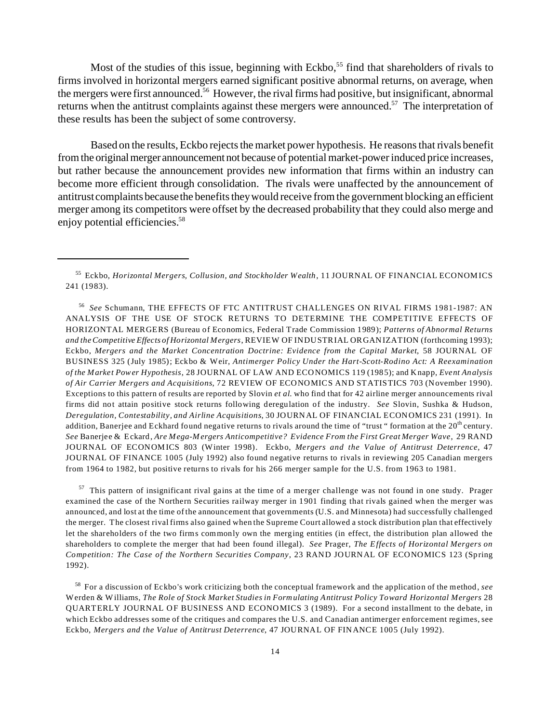Most of the studies of this issue, beginning with Eckbo,<sup>55</sup> find that shareholders of rivals to firms involved in horizontal mergers earned significant positive abnormal returns, on average, when the mergers were first announced.<sup>56</sup> However, the rival firms had positive, but insignificant, abnormal returns when the antitrust complaints against these mergers were announced.<sup>57</sup> The interpretation of these results has been the subject of some controversy.

Based on the results, Eckbo rejects the market power hypothesis. He reasons that rivals benefit from the original merger announcement not because of potential market-power induced price increases, but rather because the announcement provides new information that firms within an industry can become more efficient through consolidation. The rivals were unaffected by the announcement of antitrust complaintsbecausethe benefits they would receive from the government blocking an efficient merger among its competitors were offset by the decreased probability that they could also merge and enjoy potential efficiencies.<sup>58</sup>

56 *See* Schumann, THE EFFECTS OF FTC ANTITRUST CHALLENGES ON RIVAL FIRMS 1981-1987: AN ANALYSIS OF THE USE OF STOCK RETURNS TO DETERMINE THE COMPETITIVE EFFECTS OF HORIZONTAL MERGERS (Bureau of Economics, Federal Trade Commission 1989); *Patterns of Abnormal Returns and theCompetitive Effects of Horizontal Mergers*, REVIEW OF INDUSTRIAL ORGANIZATION (forthcoming 1993); Eckbo, *Mergers and the Market Concentration Doctrine: Evidence from the Capital Market*, 58 JOURNAL OF BUSINESS 325 (July 1985); Eckbo & Weir, *Antimerger Policy Under the Hart-Scott-Rodino Act: A Reexamination of the Market Power Hypothesis*, 28 JOURNAL OF LAW AND ECONOMICS 119 (1985); and Knapp, *Event Analysis of Air Carrier Mergers and Acquisitions*, 72 REVIEW OF ECONOMICS AND STATISTICS 703 (November 1990). Exceptions to this pattern of results are reported by Slovin *et al*. who find that for 42 airline merger announcements rival firms did not attain positive stock returns following deregulation of the industry. *See* Slovin, Sushka & Hudson, *Deregulation, Contestability, and Airline Acquisitions*, 30 JOURNAL OF FINANCIAL ECONOMICS 231 (1991). In addition, Banerjee and Eckhard found negative returns to rivals around the time of "trust " formation at the  $20<sup>th</sup>$  century. *See* Banerjee & Eckard, *Are Mega-Mergers Anticompetitive? Evidence From the First Great Merger Wave*, 29 RAND JOURNAL OF ECONOMICS 803 (Winter 1998). Eckbo, *Mergers and the Value of Antitrust Deterrence,* 47 JOURNAL OF FINANCE 1005 (July 1992) also found negative returns to rivals in reviewing 205 Canadian mergers from 1964 to 1982, but positive returns to rivals for his 266 merger sample for the U.S. from 1963 to 1981.

<sup>57</sup> This pattern of insignificant rival gains at the time of a merger challenge was not found in one study. Prager examined the case of the Northern Securities railway merger in 1901 finding that rivals gained when the merger was announced, and lost at the time of the announcement that governments (U.S. and Minnesota) had successfully challenged the merger. The closest rival firms also gained when the Supreme Court allowed a stock distribution plan that effectively let the shareholders of the two firms commonly own the merging entities (in effect, the distribution plan allowed the shareholders to complete the merger that had been found illegal). *See* Prager, *The Effects of Horizontal Mergers on Competition: The Case of the Northern Securities Company*, 23 RAND JOURNAL OF ECONOMICS 123 (Spring 1992).

<sup>58</sup> For a discussion of Eckbo's work criticizing both the conceptual framework and the application of the method, *see* Werden & Williams, *The Role of Stock Market Studies in Formulating Antitrust Policy Toward Horizontal Mergers* 28 QUARTERLY JOURNAL OF BUSINESS AND ECONOMICS 3 (1989). For a second installment to the debate, in which Eckbo addresses some of the critiques and compares the U.S. and Canadian antimerger enforcement regimes, see Eckbo, *Mergers and the Value of Antitrust Deterrence*, 47 JOURNAL OF FINANCE 1005 (July 1992).

<sup>55</sup> Eckbo, *Horizontal Mergers, Collusion, and Stockholder Wealth*, 11 JOURNAL OF FINANCIAL ECONOM ICS 241 (1983).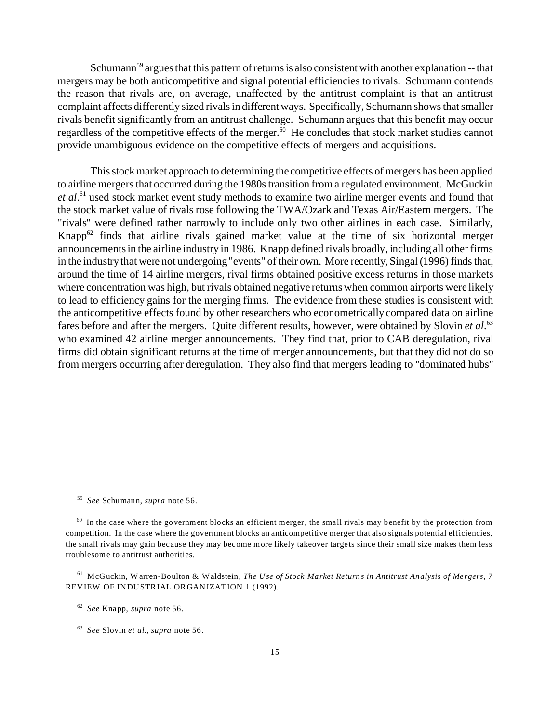Schumann<sup>59</sup> argues that this pattern of returns is also consistent with another explanation -- that mergers may be both anticompetitive and signal potential efficiencies to rivals. Schumann contends the reason that rivals are, on average, unaffected by the antitrust complaint is that an antitrust complaint affects differently sized rivals in different ways. Specifically, Schumann shows that smaller rivals benefit significantly from an antitrust challenge. Schumann argues that this benefit may occur regardless of the competitive effects of the merger.<sup>60</sup> He concludes that stock market studies cannot provide unambiguous evidence on the competitive effects of mergers and acquisitions.

This stock market approach to determining the competitive effects of mergers has been applied to airline mergers that occurred during the 1980s transition from a regulated environment. McGuckin *et al*. <sup>61</sup> used stock market event study methods to examine two airline merger events and found that the stock market value of rivals rose following the TWA/Ozark and Texas Air/Eastern mergers. The "rivals" were defined rather narrowly to include only two other airlines in each case. Similarly, Knapp $62$  finds that airline rivals gained market value at the time of six horizontal merger announcements in the airline industry in 1986. Knapp defined rivals broadly, including all other firms in the industry that were not undergoing "events" of their own. More recently, Singal (1996) finds that, around the time of 14 airline mergers, rival firms obtained positive excess returns in those markets where concentration was high, but rivals obtained negative returns when common airports were likely to lead to efficiency gains for the merging firms. The evidence from these studies is consistent with the anticompetitive effects found by other researchers who econometrically compared data on airline fares before and after the mergers. Quite different results, however, were obtained by Slovin *et al*. 63 who examined 42 airline merger announcements. They find that, prior to CAB deregulation, rival firms did obtain significant returns at the time of merger announcements, but that they did not do so from mergers occurring after deregulation. They also find that mergers leading to "dominated hubs"

<sup>59</sup> *See* Schumann, *supra* note 56.

 $60$  In the case where the government blocks an efficient merger, the small rivals may benefit by the protection from competition. In the case where the government blocks an anticompetitive merger that also signals potential efficiencies, the small rivals may gain because they may become more likely takeover targets since their small size makes them less troublesome to antitrust authorities.

<sup>61</sup> McGuckin, Warren-Boulton & Waldstein, *The Use of Stock Market Returns in Antitrust Analysis of Mergers*, 7 REVIEW OF INDUSTRIAL ORGANIZATION 1 (1992).

<sup>62</sup> *See* Knapp, *supra* note 56.

<sup>63</sup> *See* Slovin *et al*., *supra* note 56.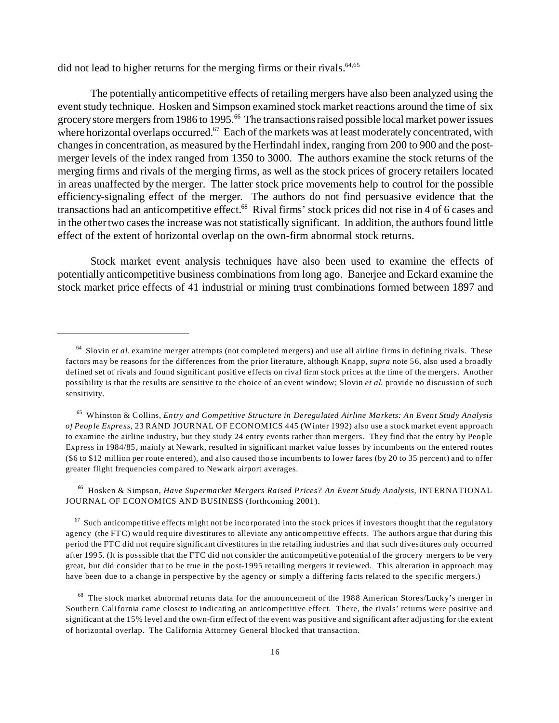did not lead to higher returns for the merging firms or their rivals. $64,65$ 

The potentially anticompetitive effects of retailing mergers have also been analyzed using the event study technique. Hosken and Simpson examined stock market reactions around the time of six grocery store mergers from 1986 to 1995.<sup>66</sup> The transactions raised possible local market power issues where horizontal overlaps occurred.<sup>67</sup> Each of the markets was at least moderately concentrated, with changes in concentration, as measured by the Herfindahl index, ranging from 200 to 900 and the postmerger levels of the index ranged from 1350 to 3000. The authors examine the stock returns of the merging firms and rivals of the merging firms, as well as the stock prices of grocery retailers located in areas unaffected by the merger. The latter stock price movements help to control for the possible efficiency-signaling effect of the merger. The authors do not find persuasive evidence that the transactions had an anticompetitive effect.<sup>68</sup> Rival firms' stock prices did not rise in 4 of 6 cases and in the other two cases the increase was not statistically significant. In addition, the authors found little effect of the extent of horizontal overlap on the own-firm abnormal stock returns.

Stock market event analysis techniques have also been used to examine the effects of potentially anticompetitive business combinations from long ago. Banerjee and Eckard examine the stock market price effects of 41 industrial or mining trust combinations formed between 1897 and

<sup>66</sup> Hosken & Simpson, *Have Supermarket Mergers Raised Prices? An Event Study Analysis*, INTERNATIONAL JOURNAL OF ECONOMICS AND BUSINESS (forthcoming 2001).

 $67$  Such anticompetitive effects might not be incorporated into the stock prices if investors thought that the regulatory agency (the FTC) would require divestitures to alleviate any anticompetitive effects. The authors argue that during this period the FTC did not require significant divestitures in the retailing industries and that such divestitures only occurred after 1995. (It is posssible that the FTC did not consider the anticompetitive potential of the grocery mergers to be very great, but did consider that to be true in the post-1995 retailing mergers it reviewed. This alteration in approach may have been due to a change in perspective by the agency or simply a differing facts related to the specific mergers.)

<sup>64</sup> Slovin *et al*. examine merger attempts (not completed mergers) and use all airline firms in defining rivals. These factors may be reasons for the differences from the prior literature, although Knapp, *supra* note 56, also used a broadly defined set of rivals and found significant positive effects on rival firm stock prices at the time of the mergers. Another possibility is that the results are sensitive to the choice of an event window; Slovin *et al*. provide no discussion of such sensitivity.

<sup>65</sup> Whinston & Collins, *Entry and Competitive Structure in Deregulated Airline Markets: An Event Study Analysis of People Express*, 23 RAND JOURNAL OF ECON OMICS 445 (Winter 1992) also use a stock market event approach to examine the airline industry, but they study 24 entry events rather than mergers. They find that the entry by People Express in 1984/85, mainly at Newark, resulted in significant market value losses by incumbents on the entered routes (\$6 to \$12 million per route entered), and also caused those incumbents to lower fares (by 20 to 35 percent) and to offer greater flight frequencies compared to Newark airport averages.

<sup>&</sup>lt;sup>68</sup> The stock market abnormal returns data for the announcement of the 1988 American Stores/Lucky's merger in Southern California came closest to indicating an anticompetitive effect. There, the rivals' returns were positive and significant at the 15% level and the own-firm effect of the event was positive and significant after adjusting for the extent of horizontal overlap. The California Attorney General blocked that transaction.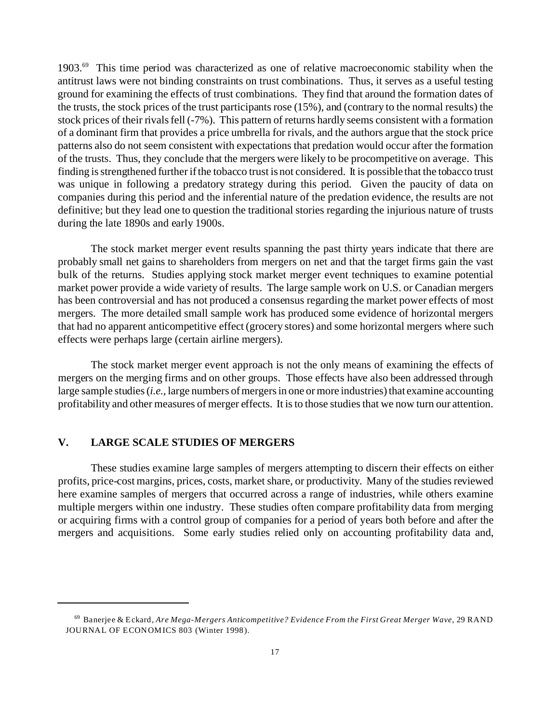1903.<sup>69</sup> This time period was characterized as one of relative macroeconomic stability when the antitrust laws were not binding constraints on trust combinations. Thus, it serves as a useful testing ground for examining the effects of trust combinations. They find that around the formation dates of the trusts, the stock prices of the trust participants rose (15%), and (contrary to the normal results) the stock prices of their rivals fell (-7%). This pattern of returns hardly seems consistent with a formation of a dominant firm that provides a price umbrella for rivals, and the authors argue that the stock price patterns also do not seem consistent with expectations that predation would occur after the formation of the trusts. Thus, they conclude that the mergers were likely to be procompetitive on average. This finding is strengthened further if the tobacco trust is not considered. It is possible that the tobacco trust was unique in following a predatory strategy during this period. Given the paucity of data on companies during this period and the inferential nature of the predation evidence, the results are not definitive; but they lead one to question the traditional stories regarding the injurious nature of trusts during the late 1890s and early 1900s.

The stock market merger event results spanning the past thirty years indicate that there are probably small net gains to shareholders from mergers on net and that the target firms gain the vast bulk of the returns. Studies applying stock market merger event techniques to examine potential market power provide a wide variety of results. The large sample work on U.S. or Canadian mergers has been controversial and has not produced a consensus regarding the market power effects of most mergers. The more detailed small sample work has produced some evidence of horizontal mergers that had no apparent anticompetitive effect (grocery stores) and some horizontal mergers where such effects were perhaps large (certain airline mergers).

The stock market merger event approach is not the only means of examining the effects of mergers on the merging firms and on other groups. Those effects have also been addressed through large sample studies (*i.e.*, large numbers of mergers in one or more industries) that examine accounting profitability and other measures of merger effects. It is to those studies that we now turn our attention.

## **V. LARGE SCALE STUDIES OF MERGERS**

These studies examine large samples of mergers attempting to discern their effects on either profits, price-cost margins, prices, costs, market share, or productivity. Many of the studies reviewed here examine samples of mergers that occurred across a range of industries, while others examine multiple mergers within one industry. These studies often compare profitability data from merging or acquiring firms with a control group of companies for a period of years both before and after the mergers and acquisitions. Some early studies relied only on accounting profitability data and,

<sup>69</sup> Banerjee & Eckard, *Are Mega-Mergers Anticompetitive? Evidence From the First Great Merger Wave*, 29 RAND JOURNAL OF ECONOMICS 803 (Winter 1998).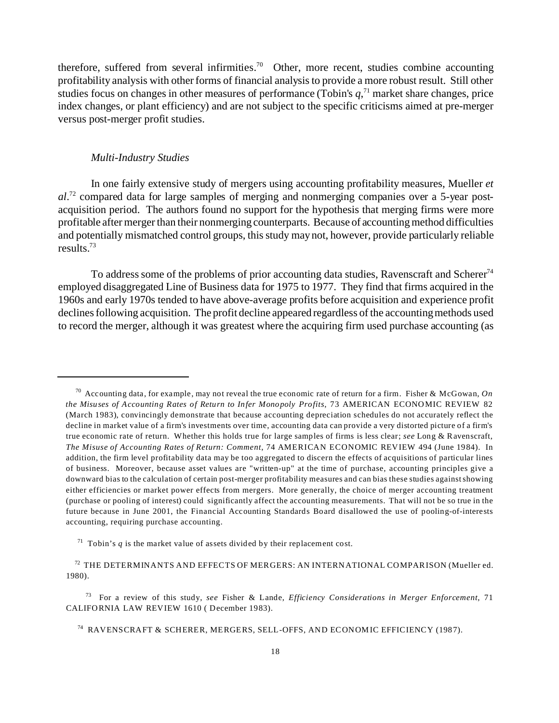therefore, suffered from several infirmities.<sup>70</sup> Other, more recent, studies combine accounting profitability analysis with other forms of financial analysis to provide a more robust result. Still other studies focus on changes in other measures of performance (Tobin's  $q$ ,<sup> $71$ </sup> market share changes, price index changes, or plant efficiency) and are not subject to the specific criticisms aimed at pre-merger versus post-merger profit studies.

#### *Multi-Industry Studies*

In one fairly extensive study of mergers using accounting profitability measures, Mueller *et al*. 72 compared data for large samples of merging and nonmerging companies over a 5-year postacquisition period. The authors found no support for the hypothesis that merging firms were more profitable after merger than their nonmerging counterparts. Because of accounting method difficulties and potentially mismatched control groups, this study may not, however, provide particularly reliable results.<sup>73</sup>

To address some of the problems of prior accounting data studies, Ravenscraft and Scherer<sup>74</sup> employed disaggregated Line of Business data for 1975 to 1977. They find that firms acquired in the 1960s and early 1970s tended to have above-average profits before acquisition and experience profit declines following acquisition. The profit decline appeared regardless of the accounting methods used to record the merger, although it was greatest where the acquiring firm used purchase accounting (as

<sup>73</sup> For a review of this study, *see* Fisher & Lande, *Efficiency Considerations in Merger Enforcement*, 71 CALIFORNIA LAW REVIEW 1610 ( December 1983).

<sup>70</sup> Accounting data, for example, may not reveal the true economic rate of return for a firm. Fisher & McGowan, *On the Misuses of Accounting Rates of Return to Infer Monopoly Profits*, 73 AMERICAN ECONOMIC REVIEW 82 (March 1983), convincingly demonstrate that because accounting depreciation schedules do not accurately reflect the decline in market value of a firm's investments over time, accounting data can provide a very distorted picture of a firm's true economic rate of return. Whether this holds true for large samples of firms is less clear; *see* Long & Ravenscraft, *The Misuse of Accounting Rates of Return: Comment*, 74 AMERICAN ECONOMIC REVIEW 494 (June 1984). In addition, the firm level profitability data may be too aggregated to discern the effects of acquisitions of particular lines of business. Moreover, because asset values are "written-up" at the time of purchase, accounting principles give a downward bias to the calculation of certain post-merger profitability measures and can bias these studies against showing either efficiencies or market power effects from mergers. More generally, the choice of merger accounting treatment (purchase or pooling of interest) could significantly affect the accounting measurements. That will not be so true in the future because in June 2001, the Financial Accounting Standards Board disallowed the use of pooling-of-interests accounting, requiring purchase accounting.

<sup>&</sup>lt;sup>71</sup> Tobin's  $q$  is the market value of assets divided by their replacement cost.

 $72$  THE DETERMINANTS AND EFFECTS OF MERGERS: AN INTERNATIONAL COMPARISON (Mueller ed. 1980).

<sup>74</sup> RAVENSCRAFT & SCHERER, MERGERS, SELL-OFFS, AND ECONOMIC EFFICIENCY (1987).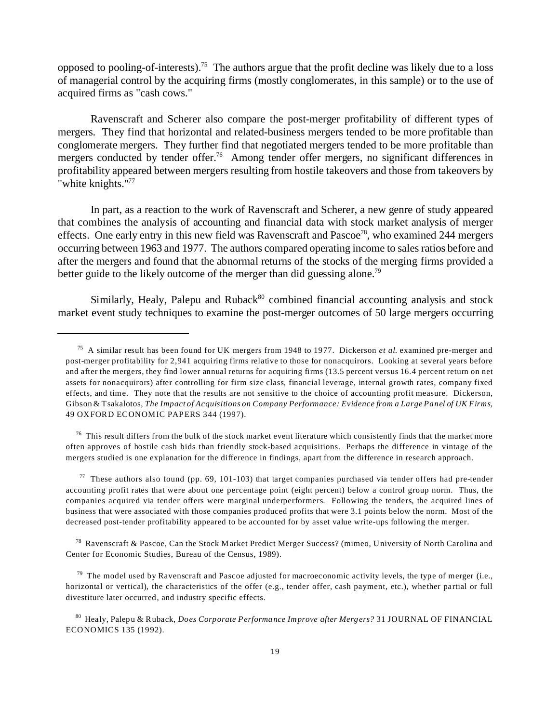opposed to pooling-of-interests).<sup>75</sup> The authors argue that the profit decline was likely due to a loss of managerial control by the acquiring firms (mostly conglomerates, in this sample) or to the use of acquired firms as "cash cows."

Ravenscraft and Scherer also compare the post-merger profitability of different types of mergers. They find that horizontal and related-business mergers tended to be more profitable than conglomerate mergers. They further find that negotiated mergers tended to be more profitable than mergers conducted by tender offer.<sup>76</sup> Among tender offer mergers, no significant differences in profitability appeared between mergers resulting from hostile takeovers and those from takeovers by "white knights."<sup>77</sup>

In part, as a reaction to the work of Ravenscraft and Scherer, a new genre of study appeared that combines the analysis of accounting and financial data with stock market analysis of merger effects. One early entry in this new field was Ravenscraft and Pascoe<sup>78</sup>, who examined 244 mergers occurring between 1963 and 1977. The authors compared operating income to sales ratios before and after the mergers and found that the abnormal returns of the stocks of the merging firms provided a better guide to the likely outcome of the merger than did guessing alone.<sup>79</sup>

Similarly, Healy, Palepu and Ruback $80$  combined financial accounting analysis and stock market event study techniques to examine the post-merger outcomes of 50 large mergers occurring

 $76$  This result differs from the bulk of the stock market event literature which consistently finds that the market more often approves of hostile cash bids than friendly stock-based acquisitions. Perhaps the difference in vintage of the mergers studied is one explanation for the difference in findings, apart from the difference in research approach.

 $77$  These authors also found (pp. 69, 101-103) that target companies purchased via tender offers had pre-tender accounting profit rates that were about one percentage point (eight percent) below a control group norm. Thus, the companies acquired via tender offers were marginal underperformers. Following the tenders, the acquired lines of business that were associated with those companies produced profits that were 3.1 points below the norm. Most of the decreased post-tender profitability appeared to be accounted for by asset value write-ups following the merger.

<sup>78</sup> Ravenscraft & Pascoe, Can the Stock Market Predict Merger Success? (mimeo, University of North Carolina and Center for Economic Studies, Bureau of the Census, 1989).

 $79$  The model used by Ravenscraft and Pascoe adjusted for macroeconomic activity levels, the type of merger (i.e., horizontal or vertical), the characteristics of the offer (e.g., tender offer, cash payment, etc.), whether partial or full divestiture later occurred, and industry specific effects.

<sup>80</sup> Healy, Palepu & Ruback, *Does Corporate Performance Improve after Mergers?* 31 JOURNAL OF FINANCIAL ECONOMICS 135 (1992).

<sup>75</sup> A similar result has been found for UK mergers from 1948 to 1977. Dickerson *et al*. examined pre-merger and post-merger profitability for 2,941 acquiring firms relative to those for nonacquirors. Looking at several years before and after the mergers, they find lower annual returns for acquiring firms (13.5 percent versus 16.4 percent return on net assets for nonacquirors) after controlling for firm size class, financial leverage, internal growth rates, company fixed effects, and time. They note that the results are not sensitive to the choice of accounting profit measure. Dickerson, Gibson & Tsakalotos, *The Impact of Acquisitions on Company Performance: Evidence from a Large Panel of UK Firms*, 49 OXFORD ECONOMIC PAPERS 344 (1997).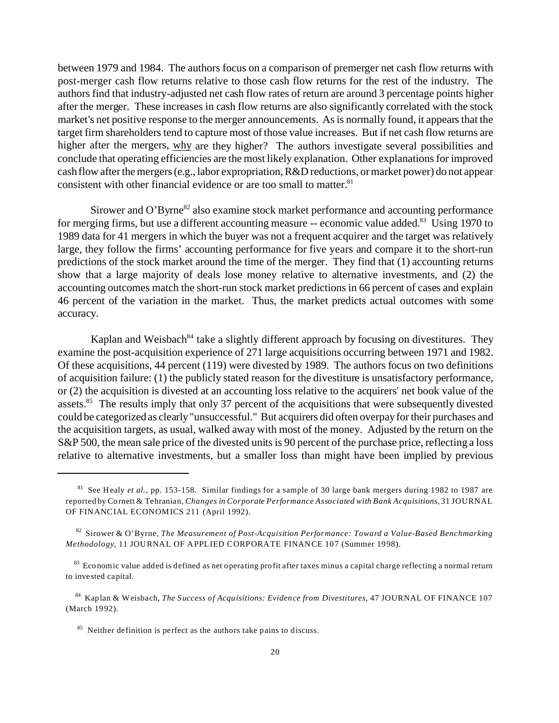between 1979 and 1984. The authors focus on a comparison of premerger net cash flow returns with post-merger cash flow returns relative to those cash flow returns for the rest of the industry. The authors find that industry-adjusted net cash flow rates of return are around 3 percentage points higher after the merger. These increases in cash flow returns are also significantly correlated with the stock market's net positive response to the merger announcements. As is normally found, it appears that the target firm shareholders tend to capture most of those value increases. But if net cash flow returns are higher after the mergers, why are they higher? The authors investigate several possibilities and conclude that operating efficiencies are the most likely explanation. Other explanations for improved cash flow after the mergers (e.g., labor expropriation, R&D reductions, or market power) do not appear consistent with other financial evidence or are too small to matter.<sup>81</sup>

Sirower and O'Byrne<sup>82</sup> also examine stock market performance and accounting performance for merging firms, but use a different accounting measure -- economic value added.<sup>83</sup> Using 1970 to 1989 data for 41 mergers in which the buyer was not a frequent acquirer and the target was relatively large, they follow the firms' accounting performance for five years and compare it to the short-run predictions of the stock market around the time of the merger. They find that (1) accounting returns show that a large majority of deals lose money relative to alternative investments, and (2) the accounting outcomes match the short-run stock market predictions in 66 percent of cases and explain 46 percent of the variation in the market. Thus, the market predicts actual outcomes with some accuracy.

Kaplan and Weisbach<sup>84</sup> take a slightly different approach by focusing on divestitures. They examine the post-acquisition experience of 271 large acquisitions occurring between 1971 and 1982. Of these acquisitions, 44 percent (119) were divested by 1989. The authors focus on two definitions of acquisition failure: (1) the publicly stated reason for the divestiture is unsatisfactory performance, or (2) the acquisition is divested at an accounting loss relative to the acquirers' net book value of the assets.<sup>85</sup> The results imply that only 37 percent of the acquisitions that were subsequently divested could be categorized as clearly "unsuccessful." But acquirers did often overpay for their purchases and the acquisition targets, as usual, walked away with most of the money. Adjusted by the return on the S&P 500, the mean sale price of the divested units is 90 percent of the purchase price, reflecting a loss relative to alternative investments, but a smaller loss than might have been implied by previous

<sup>81</sup> See Healy *et al.*, pp. 153-158. Similar findings for a sample of 30 large bank mergers during 1982 to 1987 are reported by Cornett & Tehranian, *Changes in Corporate Performance Associated with Bank Acquisitions,* 31 JOURNAL OF FINANCIAL ECONOMICS 211 (April 1992).

<sup>82</sup> Sirower & O'Byrne, *The Measurement of Post-Acquisition Performance: Toward a Value-Based Benchmarking Methodology*, 11 JOURNAL OF APPLIED CORPORATE FINANCE 107 (Summer 1998).

<sup>83</sup> Economic value added is defined as net operating profit after taxes minus a capital charge reflecting a normal return to invested capital.

<sup>84</sup> Kaplan & Weisbach, *The Success of Acquisitions: Evidence from Divestitures,* 47 JOURNAL OF FINANCE 107 (March 1992).

<sup>&</sup>lt;sup>85</sup> Neither definition is perfect as the authors take pains to discuss.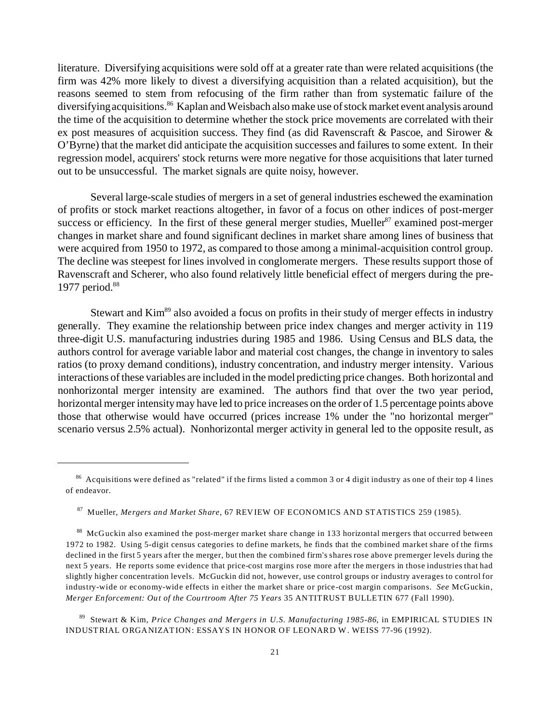literature. Diversifying acquisitions were sold off at a greater rate than were related acquisitions (the firm was 42% more likely to divest a diversifying acquisition than a related acquisition), but the reasons seemed to stem from refocusing of the firm rather than from systematic failure of the diversifying acquisitions.<sup>86</sup> Kaplan and Weisbach also make use of stock market event analysis around the time of the acquisition to determine whether the stock price movements are correlated with their ex post measures of acquisition success. They find (as did Ravenscraft  $\&$  Pascoe, and Sirower  $\&$ O'Byrne) that the market did anticipate the acquisition successes and failures to some extent. In their regression model, acquirers' stock returns were more negative for those acquisitions that later turned out to be unsuccessful. The market signals are quite noisy, however.

Several large-scale studies of mergers in a set of general industries eschewed the examination of profits or stock market reactions altogether, in favor of a focus on other indices of post-merger success or efficiency. In the first of these general merger studies, Mueller<sup>87</sup> examined post-merger changes in market share and found significant declines in market share among lines of business that were acquired from 1950 to 1972, as compared to those among a minimal-acquisition control group. The decline was steepest for lines involved in conglomerate mergers. These results support those of Ravenscraft and Scherer, who also found relatively little beneficial effect of mergers during the pre-1977 period.<sup>88</sup>

Stewart and Kim<sup>89</sup> also avoided a focus on profits in their study of merger effects in industry generally. They examine the relationship between price index changes and merger activity in 119 three-digit U.S. manufacturing industries during 1985 and 1986. Using Census and BLS data, the authors control for average variable labor and material cost changes, the change in inventory to sales ratios (to proxy demand conditions), industry concentration, and industry merger intensity. Various interactions of these variables are included in the model predicting price changes. Both horizontal and nonhorizontal merger intensity are examined. The authors find that over the two year period, horizontal merger intensity may have led to price increases on the order of 1.5 percentage points above those that otherwise would have occurred (prices increase 1% under the "no horizontal merger" scenario versus 2.5% actual). Nonhorizontal merger activity in general led to the opposite result, as

<sup>89</sup> Stewart & Kim, *Price Changes and Mergers in U.S. Manufacturing 1985-86*, in EMPIRICAL STUDIES IN INDUSTRIAL ORGANIZATION: ESSAYS IN HONOR OF LEONARD W. WEISS 77-96 (1992).

 $86$  Acquisitions were defined as "related" if the firms listed a common 3 or 4 digit industry as one of their top 4 lines of endeavor.

<sup>87</sup> Mueller, *Mergers and Market Share*, 67 REVIEW OF ECONOMICS AND STATISTICS 259 (1985).

<sup>88</sup> McGuckin also examined the post-merger market share change in 133 horizontal mergers that occurred between 1972 to 1982. Using 5-digit census categories to define markets, he finds that the combined market share of the firms declined in the first 5 years after the merger, but then the combined firm's shares rose above premerger levels during the next 5 years. He reports some evidence that price-cost margins rose more after the mergers in those industries that had slightly higher concentration levels. McGuckin did not, however, use control groups or industry averages to control for industry-wide or economy-wide effects in either the market share or price-cost margin comparisons. *See* McGuckin, *Merger Enforcement: Out of the Courtroom After 75 Years* 35 ANTITRUST BULLETIN 677 (Fall 1990).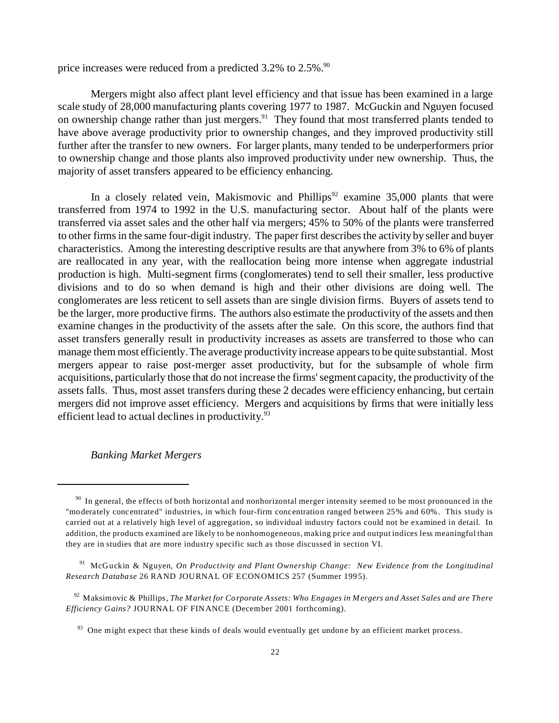price increases were reduced from a predicted  $3.2\%$  to  $2.5\%$ .<sup>90</sup>

Mergers might also affect plant level efficiency and that issue has been examined in a large scale study of 28,000 manufacturing plants covering 1977 to 1987. McGuckin and Nguyen focused on ownership change rather than just mergers.<sup>91</sup> They found that most transferred plants tended to have above average productivity prior to ownership changes, and they improved productivity still further after the transfer to new owners. For larger plants, many tended to be underperformers prior to ownership change and those plants also improved productivity under new ownership. Thus, the majority of asset transfers appeared to be efficiency enhancing.

In a closely related vein, Makismovic and Phillips<sup>92</sup> examine 35,000 plants that were transferred from 1974 to 1992 in the U.S. manufacturing sector. About half of the plants were transferred via asset sales and the other half via mergers; 45% to 50% of the plants were transferred to other firms in the same four-digit industry. The paper first describes the activity by seller and buyer characteristics. Among the interesting descriptive results are that anywhere from 3% to 6% of plants are reallocated in any year, with the reallocation being more intense when aggregate industrial production is high. Multi-segment firms (conglomerates) tend to sell their smaller, less productive divisions and to do so when demand is high and their other divisions are doing well. The conglomerates are less reticent to sell assets than are single division firms. Buyers of assets tend to be the larger, more productive firms. The authors also estimate the productivity of the assets and then examine changes in the productivity of the assets after the sale. On this score, the authors find that asset transfers generally result in productivity increases as assets are transferred to those who can manage them most efficiently. The average productivity increase appears to be quite substantial. Most mergers appear to raise post-merger asset productivity, but for the subsample of whole firm acquisitions, particularly those that do not increase the firms' segment capacity, the productivity of the assets falls. Thus, most asset transfers during these 2 decades were efficiency enhancing, but certain mergers did not improve asset efficiency. Mergers and acquisitions by firms that were initially less efficient lead to actual declines in productivity.<sup>93</sup>

#### *Banking Market Mergers*

 $90$  In general, the effects of both horizontal and nonhorizontal merger intensity seemed to be most pronounced in the "moderately concentrated" industries, in which four-firm concentration ranged between 25% and 60%. This study is carried out at a relatively high level of aggregation, so individual industry factors could not be examined in detail. In addition, the products examined are likely to be nonhomogeneous, making price and output indices less meaningful than they are in studies that are more industry specific such as those discussed in section VI.

<sup>91</sup> McGuckin & Nguyen, *On Productivity and Plant Ownership Change: New Evidence from the Longitudinal Research Database* 26 RAND JOURNAL OF ECONOMICS 257 (Summer 1995).

<sup>92</sup> Maksimovic & Phillips, *The Market for Corporate Assets: Who Engages in Mergers and Asset Sales and are There Efficiency Gains?* JOURNAL OF FINANCE (December 2001 forthcoming).

 $93$  One might expect that these kinds of deals would eventually get undone by an efficient market process.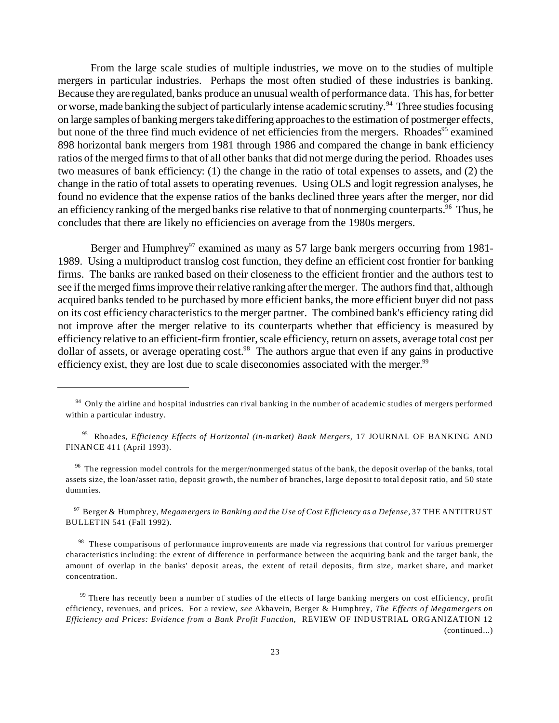From the large scale studies of multiple industries, we move on to the studies of multiple mergers in particular industries. Perhaps the most often studied of these industries is banking. Because they are regulated, banks produce an unusual wealth of performance data. This has, for better or worse, made banking the subject of particularly intense academic scrutiny.<sup>94</sup> Three studies focusing on large samples of banking mergers take differing approaches to the estimation of postmerger effects, but none of the three find much evidence of net efficiencies from the mergers. Rhoades<sup>95</sup> examined 898 horizontal bank mergers from 1981 through 1986 and compared the change in bank efficiency ratios of the merged firms to that of all other banks that did not merge during the period. Rhoades uses two measures of bank efficiency: (1) the change in the ratio of total expenses to assets, and (2) the change in the ratio of total assets to operating revenues. Using OLS and logit regression analyses, he found no evidence that the expense ratios of the banks declined three years after the merger, nor did an efficiency ranking of the merged banks rise relative to that of nonmerging counterparts.<sup>96</sup> Thus, he concludes that there are likely no efficiencies on average from the 1980s mergers.

Berger and Humphrey<sup>97</sup> examined as many as 57 large bank mergers occurring from 1981-1989. Using a multiproduct translog cost function, they define an efficient cost frontier for banking firms. The banks are ranked based on their closeness to the efficient frontier and the authors test to see if the merged firms improve their relative ranking after the merger. The authors find that, although acquired banks tended to be purchased by more efficient banks, the more efficient buyer did not pass on its cost efficiency characteristics to the merger partner. The combined bank's efficiency rating did not improve after the merger relative to its counterparts whether that efficiency is measured by efficiency relative to an efficient-firm frontier, scale efficiency, return on assets, average total cost per dollar of assets, or average operating cost.<sup>98</sup> The authors argue that even if any gains in productive efficiency exist, they are lost due to scale diseconomies associated with the merger.<sup>99</sup>

 $96$  The regression model controls for the merger/nonmerged status of the bank, the deposit overlap of the banks, total assets size, the loan/asset ratio, deposit growth, the number of branches, large deposit to total deposit ratio, and 50 state dummies.

<sup>97</sup> Berger & Humphrey, *Megamergers in Banking and the Use of Cost Efficiency as a Defense,* 37 THE ANTITRUST BULLETIN 541 (Fall 1992).

<sup>98</sup> These comparisons of performance improvements are made via regressions that control for various premerger characteristics including: the extent of difference in performance between the acquiring bank and the target bank, the amount of overlap in the banks' deposit areas, the extent of retail deposits, firm size, market share, and market concentration.

 $99$  There has recently been a number of studies of the effects of large banking mergers on cost efficiency, profit efficiency, revenues, and prices. For a review, *see* Akhavein, Berger & Humphrey, *The Effects of Megamergers on Efficiency and Prices: Evidence from a Bank Profit Function*, REVIEW OF INDUSTRIAL ORGANIZATION 12 (continued...)

<sup>&</sup>lt;sup>94</sup> Only the airline and hospital industries can rival banking in the number of academic studies of mergers performed within a particular industry.

<sup>95</sup> Rhoades, *Efficiency Effects of Horizontal (in-market) Bank Mergers,* 17 JOURNAL OF BANKING AND FINANCE 411 (April 1993).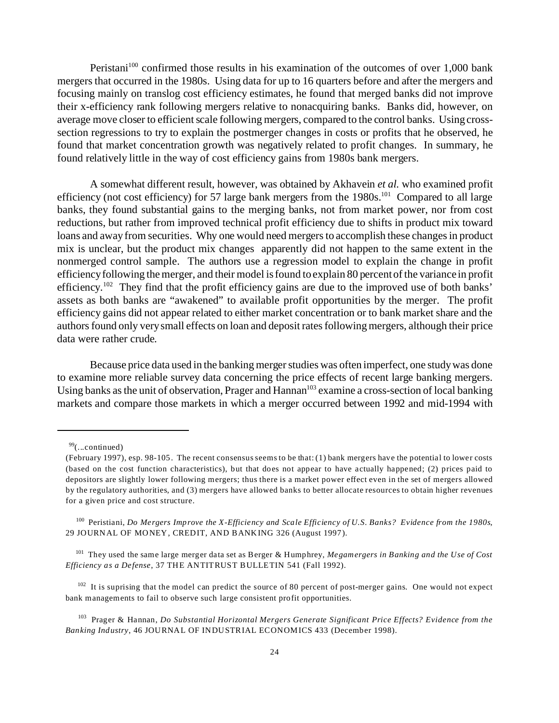Peristani<sup>100</sup> confirmed those results in his examination of the outcomes of over 1,000 bank mergers that occurred in the 1980s. Using data for up to 16 quarters before and after the mergers and focusing mainly on translog cost efficiency estimates, he found that merged banks did not improve their x-efficiency rank following mergers relative to nonacquiring banks. Banks did, however, on average move closer to efficient scale following mergers, compared to the control banks. Using crosssection regressions to try to explain the postmerger changes in costs or profits that he observed, he found that market concentration growth was negatively related to profit changes. In summary, he found relatively little in the way of cost efficiency gains from 1980s bank mergers.

A somewhat different result, however, was obtained by Akhavein *et al.* who examined profit efficiency (not cost efficiency) for 57 large bank mergers from the 1980s.<sup>101</sup> Compared to all large banks, they found substantial gains to the merging banks, not from market power, nor from cost reductions, but rather from improved technical profit efficiency due to shifts in product mix toward loans and away from securities. Why one would need mergers to accomplish these changes in product mix is unclear, but the product mix changes apparently did not happen to the same extent in the nonmerged control sample. The authors use a regression model to explain the change in profit efficiency following the merger, and their model is found to explain 80 percent of the variance in profit efficiency.<sup>102</sup> They find that the profit efficiency gains are due to the improved use of both banks' assets as both banks are "awakened" to available profit opportunities by the merger. The profit efficiency gains did not appear related to either market concentration or to bank market share and the authors found only very small effects on loan and deposit rates following mergers, although their price data were rather crude.

Because price data used in the banking merger studies was often imperfect, one study was done to examine more reliable survey data concerning the price effects of recent large banking mergers. Using banks as the unit of observation, Prager and Hannan<sup>103</sup> examine a cross-section of local banking markets and compare those markets in which a merger occurred between 1992 and mid-1994 with

<sup>100</sup> Peristiani, *Do Mergers Improve the X-Efficiency and Scale Efficiency of U.S. Banks? Evidence from the 1980s*, 29 JOURNAL OF MONEY, CREDIT, AND BANKING 326 (August 1997).

<sup>101</sup> They used the same large merger data set as Berger & Humphrey, *Megamergers in Banking and the Use of Cost Efficiency as a Defense*, 37 THE ANTITRUST BULLETIN 541 (Fall 1992).

<sup>102</sup> It is suprising that the model can predict the source of 80 percent of post-merger gains. One would not expect bank managements to fail to observe such large consistent profit opportunities.

<sup>103</sup> Prager & Hannan, *Do Substantial Horizontal Mergers Generate Significant Price Effects? Evidence from the Banking Industry*, 46 JOURNAL OF INDUSTRIAL ECONOMICS 433 (December 1998).

 $99$ (...continued)

<sup>(</sup>February 1997), esp. 98-105. The recent consensus seems to be that: (1) bank mergers have the potential to lower costs (based on the cost function characteristics), but that does not appear to have actually happened; (2) prices paid to depositors are slightly lower following mergers; thus there is a market power effect even in the set of mergers allowed by the regulatory authorities, and (3) mergers have allowed banks to better allocate resources to obtain higher revenues for a given price and cost structure.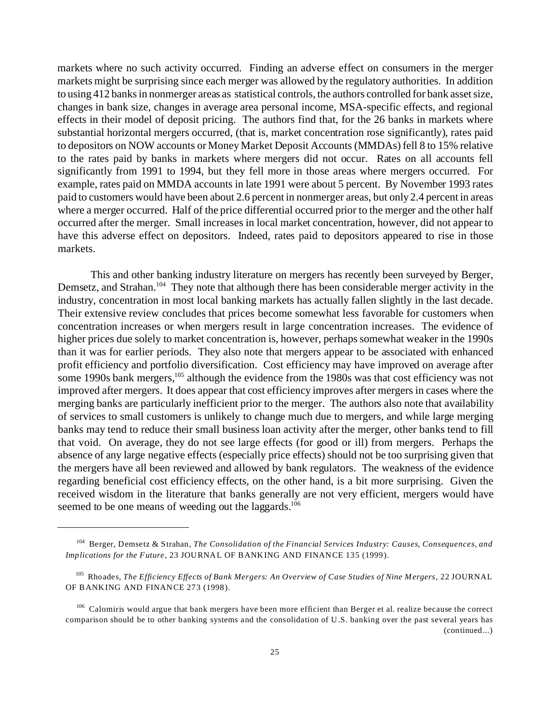markets where no such activity occurred. Finding an adverse effect on consumers in the merger markets might be surprising since each merger was allowed by the regulatory authorities. In addition to using 412 banks in nonmerger areas as statistical controls, the authors controlled for bank asset size, changes in bank size, changes in average area personal income, MSA-specific effects, and regional effects in their model of deposit pricing. The authors find that, for the 26 banks in markets where substantial horizontal mergers occurred, (that is, market concentration rose significantly), rates paid to depositors on NOW accounts or Money Market Deposit Accounts (MMDAs) fell 8 to 15% relative to the rates paid by banks in markets where mergers did not occur. Rates on all accounts fell significantly from 1991 to 1994, but they fell more in those areas where mergers occurred. For example, rates paid on MMDA accounts in late 1991 were about 5 percent. By November 1993 rates paid to customers would have been about 2.6 percent in nonmerger areas, but only 2.4 percent in areas where a merger occurred. Half of the price differential occurred prior to the merger and the other half occurred after the merger. Small increases in local market concentration, however, did not appear to have this adverse effect on depositors. Indeed, rates paid to depositors appeared to rise in those markets.

This and other banking industry literature on mergers has recently been surveyed by Berger, Demsetz, and Strahan.<sup>104</sup> They note that although there has been considerable merger activity in the industry, concentration in most local banking markets has actually fallen slightly in the last decade. Their extensive review concludes that prices become somewhat less favorable for customers when concentration increases or when mergers result in large concentration increases. The evidence of higher prices due solely to market concentration is, however, perhaps somewhat weaker in the 1990s than it was for earlier periods. They also note that mergers appear to be associated with enhanced profit efficiency and portfolio diversification. Cost efficiency may have improved on average after some 1990s bank mergers,<sup>105</sup> although the evidence from the 1980s was that cost efficiency was not improved after mergers. It does appear that cost efficiency improves after mergers in cases where the merging banks are particularly inefficient prior to the merger. The authors also note that availability of services to small customers is unlikely to change much due to mergers, and while large merging banks may tend to reduce their small business loan activity after the merger, other banks tend to fill that void. On average, they do not see large effects (for good or ill) from mergers. Perhaps the absence of any large negative effects (especially price effects) should not be too surprising given that the mergers have all been reviewed and allowed by bank regulators. The weakness of the evidence regarding beneficial cost efficiency effects, on the other hand, is a bit more surprising. Given the received wisdom in the literature that banks generally are not very efficient, mergers would have seemed to be one means of weeding out the laggards.<sup>106</sup>

<sup>104</sup> Berger, Demsetz & Strahan, *The Consolidation of the Financial Services Industry: Causes, Consequences, and Implications for the Future*, 23 JOURNAL OF BANKING AND FINANCE 135 (1999).

<sup>105</sup> Rhoades, *The Efficiency Effects of Bank Mergers: An Overview of Case Studies of Nine Mergers*, 22 JOURNAL OF BANKING AND FINANCE 273 (1998).

<sup>&</sup>lt;sup>106</sup> Calomiris would argue that bank mergers have been more efficient than Berger et al. realize because the correct comparison should be to other banking systems and the consolidation of U.S. banking over the past several years has (continued...)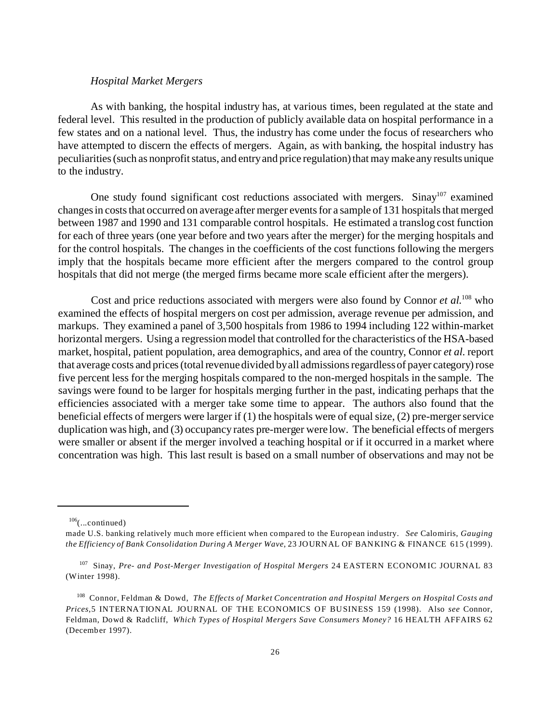#### *Hospital Market Mergers*

As with banking, the hospital industry has, at various times, been regulated at the state and federal level. This resulted in the production of publicly available data on hospital performance in a few states and on a national level. Thus, the industry has come under the focus of researchers who have attempted to discern the effects of mergers. Again, as with banking, the hospital industry has peculiarities (such as nonprofit status, and entry and price regulation) that may make any results unique to the industry.

One study found significant cost reductions associated with mergers. Sinay<sup>107</sup> examined changes in costs that occurred on average after merger events for a sample of 131 hospitals that merged between 1987 and 1990 and 131 comparable control hospitals. He estimated a translog cost function for each of three years (one year before and two years after the merger) for the merging hospitals and for the control hospitals. The changes in the coefficients of the cost functions following the mergers imply that the hospitals became more efficient after the mergers compared to the control group hospitals that did not merge (the merged firms became more scale efficient after the mergers).

Cost and price reductions associated with mergers were also found by Connor *et al.*<sup>108</sup> who examined the effects of hospital mergers on cost per admission, average revenue per admission, and markups. They examined a panel of 3,500 hospitals from 1986 to 1994 including 122 within-market horizontal mergers. Using a regression model that controlled for the characteristics of the HSA-based market, hospital, patient population, area demographics, and area of the country, Connor *et al.* report that average costs and prices (total revenue divided by all admissions regardless of payer category) rose five percent less for the merging hospitals compared to the non-merged hospitals in the sample. The savings were found to be larger for hospitals merging further in the past, indicating perhaps that the efficiencies associated with a merger take some time to appear. The authors also found that the beneficial effects of mergers were larger if (1) the hospitals were of equal size, (2) pre-merger service duplication was high, and (3) occupancy rates pre-merger were low. The beneficial effects of mergers were smaller or absent if the merger involved a teaching hospital or if it occurred in a market where concentration was high. This last result is based on a small number of observations and may not be

 $106$ (...continued)

made U.S. banking relatively much more efficient when compared to the European industry. *See* Calomiris, *Gauging the Efficiency of Bank Consolidation During A Merger Wave*, 23 JOURNAL OF BANKING & FINANCE 615 (1999).

<sup>107</sup> Sinay, *Pre- and Post-Merger Investigation of Hospital Mergers* 24 EASTERN ECONOMIC JOURNAL 83 (Winter 1998).

<sup>108</sup> Connor, Feldman & Dowd, *The Effects of Market Concentration and Hospital Mergers on Hospital Costs and Prices,*5 INTERNATIONAL JOURNAL OF THE ECONOMICS OF BUSINESS 159 (1998). Also *see* Connor, Feldman, Dowd & Radcliff, *Which Types of Hospital Mergers Save Consumers Money?* 16 HEALTH AFFAIRS 62 (December 1997).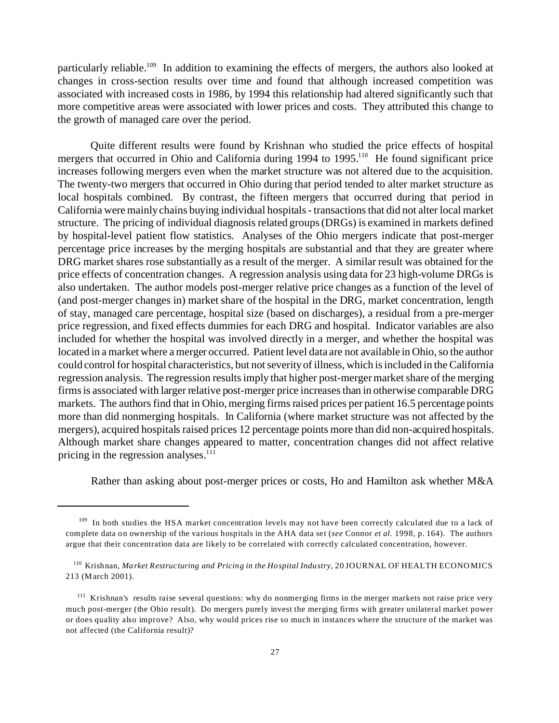particularly reliable.<sup>109</sup> In addition to examining the effects of mergers, the authors also looked at changes in cross-section results over time and found that although increased competition was associated with increased costs in 1986, by 1994 this relationship had altered significantly such that more competitive areas were associated with lower prices and costs. They attributed this change to the growth of managed care over the period.

Quite different results were found by Krishnan who studied the price effects of hospital mergers that occurred in Ohio and California during 1994 to 1995.<sup>110</sup> He found significant price increases following mergers even when the market structure was not altered due to the acquisition. The twenty-two mergers that occurred in Ohio during that period tended to alter market structure as local hospitals combined. By contrast, the fifteen mergers that occurred during that period in California were mainly chains buying individual hospitals - transactions that did not alter local market structure. The pricing of individual diagnosis related groups (DRGs) is examined in markets defined by hospital-level patient flow statistics. Analyses of the Ohio mergers indicate that post-merger percentage price increases by the merging hospitals are substantial and that they are greater where DRG market shares rose substantially as a result of the merger. A similar result was obtained for the price effects of concentration changes. A regression analysis using data for 23 high-volume DRGs is also undertaken. The author models post-merger relative price changes as a function of the level of (and post-merger changes in) market share of the hospital in the DRG, market concentration, length of stay, managed care percentage, hospital size (based on discharges), a residual from a pre-merger price regression, and fixed effects dummies for each DRG and hospital. Indicator variables are also included for whether the hospital was involved directly in a merger, and whether the hospital was located in a market where a merger occurred. Patient level data are not available in Ohio, so the author could control for hospital characteristics, but not severity of illness, which is included in the California regression analysis. The regression results imply that higher post-merger market share of the merging firms is associated with larger relative post-merger price increases than in otherwise comparable DRG markets. The authors find that in Ohio, merging firms raised prices per patient 16.5 percentage points more than did nonmerging hospitals. In California (where market structure was not affected by the mergers), acquired hospitals raised prices 12 percentage points more than did non-acquired hospitals. Although market share changes appeared to matter, concentration changes did not affect relative pricing in the regression analyses. $111$ 

Rather than asking about post-merger prices or costs, Ho and Hamilton ask whether M&A

<sup>&</sup>lt;sup>109</sup> In both studies the HSA market concentration levels may not have been correctly calculated due to a lack of complete data on ownership of the various hospitals in the AHA data set (*see* Connor *et al.* 1998, p. 164). The authors argue that their concentration data are likely to be correlated with correctly calculated concentration, however.

<sup>110</sup> Krishnan, *Market Restructuring and Pricing in the Hospital Industry*, 20 JOURNAL OF HEALTH ECONOMICS 213 (March 2001).

<sup>&</sup>lt;sup>111</sup> Krishnan's results raise several questions: why do nonmerging firms in the merger markets not raise price very much post-merger (the Ohio result). Do mergers purely invest the merging firms with greater unilateral market power or does quality also improve? Also, why would prices rise so much in instances where the structure of the market was not affected (the California result)?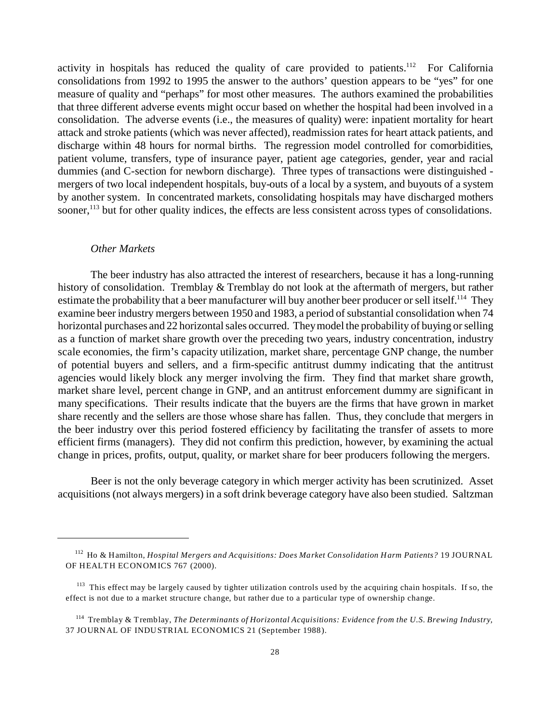activity in hospitals has reduced the quality of care provided to patients.<sup>112</sup> For California consolidations from 1992 to 1995 the answer to the authors' question appears to be "yes" for one measure of quality and "perhaps" for most other measures. The authors examined the probabilities that three different adverse events might occur based on whether the hospital had been involved in a consolidation. The adverse events (i.e., the measures of quality) were: inpatient mortality for heart attack and stroke patients (which was never affected), readmission rates for heart attack patients, and discharge within 48 hours for normal births. The regression model controlled for comorbidities, patient volume, transfers, type of insurance payer, patient age categories, gender, year and racial dummies (and C-section for newborn discharge). Three types of transactions were distinguished mergers of two local independent hospitals, buy-outs of a local by a system, and buyouts of a system by another system. In concentrated markets, consolidating hospitals may have discharged mothers sooner,<sup>113</sup> but for other quality indices, the effects are less consistent across types of consolidations.

#### *Other Markets*

The beer industry has also attracted the interest of researchers, because it has a long-running history of consolidation. Tremblay & Tremblay do not look at the aftermath of mergers, but rather estimate the probability that a beer manufacturer will buy another beer producer or sell itself.<sup>114</sup> They examine beer industry mergers between 1950 and 1983, a period of substantial consolidation when 74 horizontal purchases and 22 horizontal sales occurred. They model the probability of buying or selling as a function of market share growth over the preceding two years, industry concentration, industry scale economies, the firm's capacity utilization, market share, percentage GNP change, the number of potential buyers and sellers, and a firm-specific antitrust dummy indicating that the antitrust agencies would likely block any merger involving the firm. They find that market share growth, market share level, percent change in GNP, and an antitrust enforcement dummy are significant in many specifications. Their results indicate that the buyers are the firms that have grown in market share recently and the sellers are those whose share has fallen. Thus, they conclude that mergers in the beer industry over this period fostered efficiency by facilitating the transfer of assets to more efficient firms (managers). They did not confirm this prediction, however, by examining the actual change in prices, profits, output, quality, or market share for beer producers following the mergers.

Beer is not the only beverage category in which merger activity has been scrutinized. Asset acquisitions (not always mergers) in a soft drink beverage category have also been studied. Saltzman

<sup>112</sup> Ho & Hamilton, *Hospital Mergers and Acquisitions: Does Market Consolidation Harm Patients?* 19 JOURNAL OF HEALTH ECONOMICS 767 (2000).

 $113$  This effect may be largely caused by tighter utilization controls used by the acquiring chain hospitals. If so, the effect is not due to a market structure change, but rather due to a particular type of ownership change.

<sup>114</sup> Tremblay & Tremblay, *The Determinants of Horizontal Acquisitions: Evidence from the U.S. Brewing Industry,* 37 JOURNAL OF INDUSTRIAL ECONOMICS 21 (September 1988).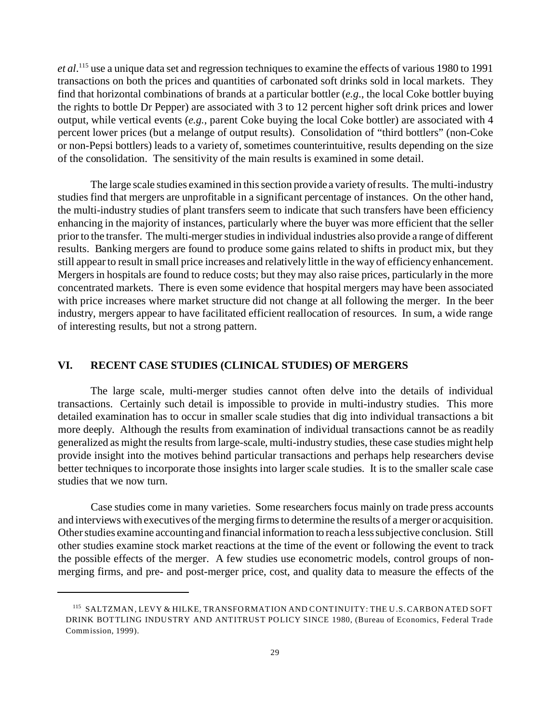*et al*. <sup>115</sup> use a unique data set and regression techniques to examine the effects of various 1980 to 1991 transactions on both the prices and quantities of carbonated soft drinks sold in local markets. They find that horizontal combinations of brands at a particular bottler (*e.g*., the local Coke bottler buying the rights to bottle Dr Pepper) are associated with 3 to 12 percent higher soft drink prices and lower output, while vertical events (*e.g.*, parent Coke buying the local Coke bottler) are associated with 4 percent lower prices (but a melange of output results). Consolidation of "third bottlers" (non-Coke or non-Pepsi bottlers) leads to a variety of, sometimes counterintuitive, results depending on the size of the consolidation. The sensitivity of the main results is examined in some detail.

The large scale studies examined in this section provide a variety of results. The multi-industry studies find that mergers are unprofitable in a significant percentage of instances. On the other hand, the multi-industry studies of plant transfers seem to indicate that such transfers have been efficiency enhancing in the majority of instances, particularly where the buyer was more efficient that the seller prior to the transfer. The multi-merger studies in individual industries also provide a range of different results. Banking mergers are found to produce some gains related to shifts in product mix, but they still appear to result in small price increases and relatively little in the way of efficiency enhancement. Mergers in hospitals are found to reduce costs; but they may also raise prices, particularly in the more concentrated markets. There is even some evidence that hospital mergers may have been associated with price increases where market structure did not change at all following the merger. In the beer industry, mergers appear to have facilitated efficient reallocation of resources. In sum, a wide range of interesting results, but not a strong pattern.

### **VI. RECENT CASE STUDIES (CLINICAL STUDIES) OF MERGERS**

The large scale, multi-merger studies cannot often delve into the details of individual transactions. Certainly such detail is impossible to provide in multi-industry studies. This more detailed examination has to occur in smaller scale studies that dig into individual transactions a bit more deeply. Although the results from examination of individual transactions cannot be as readily generalized as might the results from large-scale, multi-industry studies, these case studies might help provide insight into the motives behind particular transactions and perhaps help researchers devise better techniques to incorporate those insights into larger scale studies. It is to the smaller scale case studies that we now turn.

Case studies come in many varieties. Some researchers focus mainly on trade press accounts and interviews with executives of the merging firms to determine the results of a merger or acquisition. Other studies examine accounting and financial information to reach a less subjective conclusion. Still other studies examine stock market reactions at the time of the event or following the event to track the possible effects of the merger. A few studies use econometric models, control groups of nonmerging firms, and pre- and post-merger price, cost, and quality data to measure the effects of the

<sup>115</sup> SALTZMAN, LEVY & HILKE, TRANSFORMATION AND CONTINUITY: THE U.S. CARBON ATED SOFT DRINK BOTTLING INDUSTRY AND ANTITRUST POLICY SINCE 1980, (Bureau of Economics, Federal Trade Commission, 1999).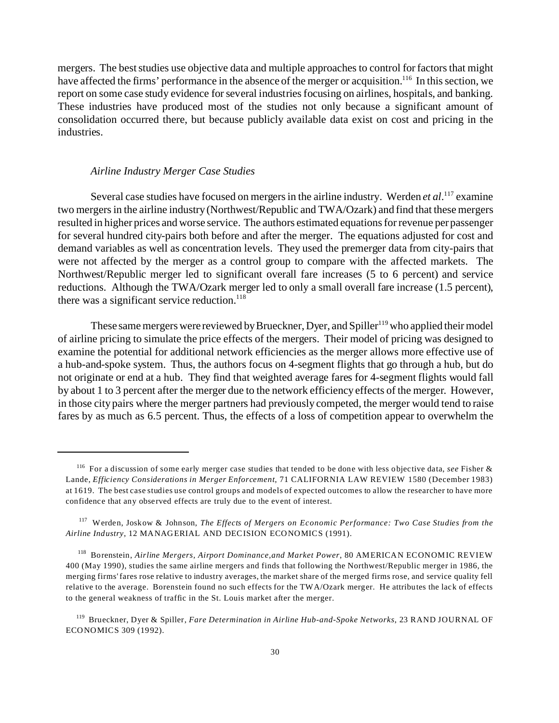mergers. The best studies use objective data and multiple approaches to control for factors that might have affected the firms' performance in the absence of the merger or acquisition.<sup>116</sup> In this section, we report on some case study evidence for several industries focusing on airlines, hospitals, and banking. These industries have produced most of the studies not only because a significant amount of consolidation occurred there, but because publicly available data exist on cost and pricing in the industries.

#### *Airline Industry Merger Case Studies*

Several case studies have focused on mergers in the airline industry. Werden *et al*. <sup>117</sup> examine two mergers in the airline industry (Northwest/Republic and TWA/Ozark) and find that these mergers resulted in higher prices and worse service. The authors estimated equations for revenue per passenger for several hundred city-pairs both before and after the merger. The equations adjusted for cost and demand variables as well as concentration levels. They used the premerger data from city-pairs that were not affected by the merger as a control group to compare with the affected markets. The Northwest/Republic merger led to significant overall fare increases (5 to 6 percent) and service reductions. Although the TWA/Ozark merger led to only a small overall fare increase (1.5 percent), there was a significant service reduction.<sup>118</sup>

These same mergers were reviewed by Brueckner, Dyer, and Spiller<sup>119</sup> who applied their model of airline pricing to simulate the price effects of the mergers. Their model of pricing was designed to examine the potential for additional network efficiencies as the merger allows more effective use of a hub-and-spoke system. Thus, the authors focus on 4-segment flights that go through a hub, but do not originate or end at a hub. They find that weighted average fares for 4-segment flights would fall by about 1 to 3 percent after the merger due to the network efficiency effects of the merger. However, in those city pairs where the merger partners had previously competed, the merger would tend to raise fares by as much as 6.5 percent. Thus, the effects of a loss of competition appear to overwhelm the

<sup>116</sup> For a discussion of some early merger case studies that tended to be done with less objective data, *see* Fisher & Lande, *Efficiency Considerations in Merger Enforcement*, 71 CALIFORNIA LAW REVIEW 1580 (December 1983) at 1619. The best case studies use control groups and models of expected outcomes to allow the researcher to have more confidence that any observed effects are truly due to the event of interest.

<sup>117</sup> Werden, Joskow & Johnson, *The Effects of Mergers on Economic Performance: Two Case Studies from the Airline Industry*, 12 MANAGERIAL AND DECISION ECONOMICS (1991).

<sup>118</sup> Borenstein, *Airline Mergers, Airport Dominance,and Market Power*, 80 AMERICAN ECONOMIC REVIEW 400 (May 1990), studies the same airline mergers and finds that following the Northwest/Republic merger in 1986, the merging firms' fares rose relative to industry averages, the market share of the merged firms rose, and service quality fell relative to the average. Borenstein found no such effects for the TWA/Ozark merger. He attributes the lack of effects to the general weakness of traffic in the St. Louis market after the merger.

<sup>119</sup> Brueckner, Dyer & Spiller, *Fare Determination in Airline Hub-and-Spoke Networks*, 23 RAND JOURNAL OF ECONOMICS 309 (1992).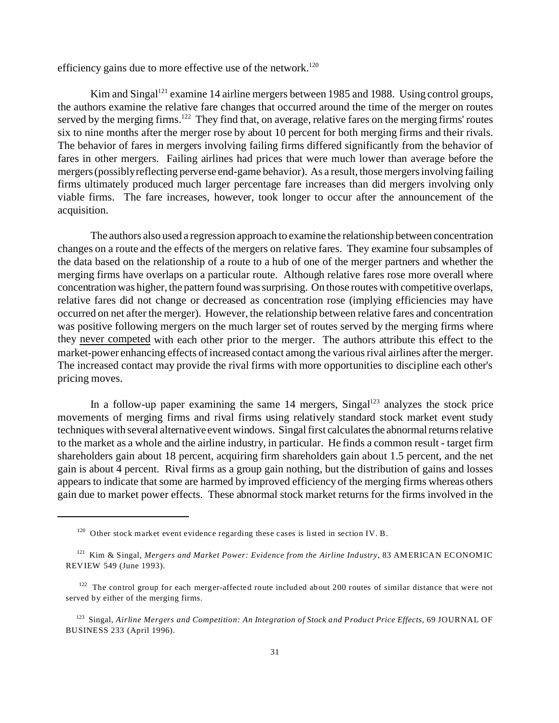efficiency gains due to more effective use of the network.<sup>120</sup>

Kim and Singal<sup>121</sup> examine 14 airline mergers between 1985 and 1988. Using control groups, the authors examine the relative fare changes that occurred around the time of the merger on routes served by the merging firms.<sup>122</sup> They find that, on average, relative fares on the merging firms' routes six to nine months after the merger rose by about 10 percent for both merging firms and their rivals. The behavior of fares in mergers involving failing firms differed significantly from the behavior of fares in other mergers. Failing airlines had prices that were much lower than average before the mergers (possibly reflecting perverse end-game behavior). As a result, those mergers involving failing firms ultimately produced much larger percentage fare increases than did mergers involving only viable firms. The fare increases, however, took longer to occur after the announcement of the acquisition.

The authors also used a regression approach to examine the relationship between concentration changes on a route and the effects of the mergers on relative fares. They examine four subsamples of the data based on the relationship of a route to a hub of one of the merger partners and whether the merging firms have overlaps on a particular route. Although relative fares rose more overall where concentration was higher, the pattern found was surprising. On those routes with competitive overlaps, relative fares did not change or decreased as concentration rose (implying efficiencies may have occurred on net after the merger). However, the relationship between relative fares and concentration was positive following mergers on the much larger set of routes served by the merging firms where they never competed with each other prior to the merger. The authors attribute this effect to the market-power enhancing effects of increased contact among the various rival airlines after the merger. The increased contact may provide the rival firms with more opportunities to discipline each other's pricing moves.

In a follow-up paper examining the same  $14$  mergers, Singal<sup>123</sup> analyzes the stock price movements of merging firms and rival firms using relatively standard stock market event study techniques with several alternative event windows. Singal first calculates the abnormalreturns relative to the market as a whole and the airline industry, in particular. He finds a common result - target firm shareholders gain about 18 percent, acquiring firm shareholders gain about 1.5 percent, and the net gain is about 4 percent. Rival firms as a group gain nothing, but the distribution of gains and losses appears to indicate that some are harmed by improved efficiency of the merging firms whereas others gain due to market power effects. These abnormal stock market returns for the firms involved in the

<sup>&</sup>lt;sup>120</sup> Other stock market event evidence regarding these cases is listed in section IV. B.

<sup>121</sup> Kim & Singal, *Mergers and Market Power: Evidence from the Airline Industry*, 83 AMERICAN ECONOMIC REVIEW 549 (June 1993).

 $122$  The control group for each merger-affected route included about 200 routes of similar distance that were not served by either of the merging firms.

<sup>123</sup> Singal, *Airline Mergers and Competition: An Integration of Stock and Product Price Effects,* 69 JOURNAL OF BUSINESS 233 (April 1996).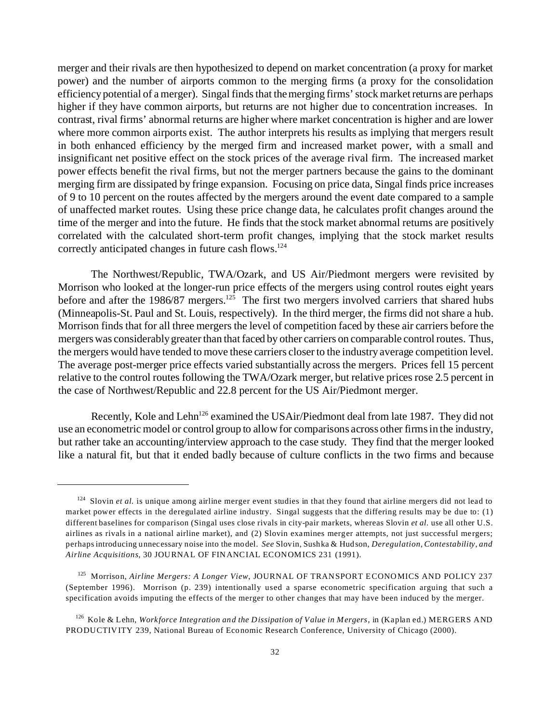merger and their rivals are then hypothesized to depend on market concentration (a proxy for market power) and the number of airports common to the merging firms (a proxy for the consolidation efficiency potential of a merger). Singal finds that the merging firms' stock market returns are perhaps higher if they have common airports, but returns are not higher due to concentration increases. In contrast, rival firms' abnormal returns are higher where market concentration is higher and are lower where more common airports exist. The author interprets his results as implying that mergers result in both enhanced efficiency by the merged firm and increased market power, with a small and insignificant net positive effect on the stock prices of the average rival firm. The increased market power effects benefit the rival firms, but not the merger partners because the gains to the dominant merging firm are dissipated by fringe expansion. Focusing on price data, Singal finds price increases of 9 to 10 percent on the routes affected by the mergers around the event date compared to a sample of unaffected market routes. Using these price change data, he calculates profit changes around the time of the merger and into the future. He finds that the stock market abnormal returns are positively correlated with the calculated short-term profit changes, implying that the stock market results correctly anticipated changes in future cash flows.<sup>124</sup>

The Northwest/Republic, TWA/Ozark, and US Air/Piedmont mergers were revisited by Morrison who looked at the longer-run price effects of the mergers using control routes eight years before and after the 1986/87 mergers.<sup>125</sup> The first two mergers involved carriers that shared hubs (Minneapolis-St. Paul and St. Louis, respectively). In the third merger, the firms did not share a hub. Morrison finds that for all three mergers the level of competition faced by these air carriers before the mergers was considerably greater than that faced by other carriers on comparable control routes. Thus, the mergers would have tended to move these carriers closer to the industry average competition level. The average post-merger price effects varied substantially across the mergers. Prices fell 15 percent relative to the control routes following the TWA/Ozark merger, but relative prices rose 2.5 percent in the case of Northwest/Republic and 22.8 percent for the US Air/Piedmont merger.

Recently, Kole and Lehn<sup>126</sup> examined the USAir/Piedmont deal from late 1987. They did not use an econometric model or control group to allow for comparisons across other firms in the industry, but rather take an accounting/interview approach to the case study. They find that the merger looked like a natural fit, but that it ended badly because of culture conflicts in the two firms and because

<sup>&</sup>lt;sup>124</sup> Slovin *et al.* is unique among airline merger event studies in that they found that airline mergers did not lead to market power effects in the deregulated airline industry. Singal suggests that the differing results may be due to: (1) different baselines for comparison (Singal uses close rivals in city-pair markets, whereas Slovin *et al.* use all other U.S. airlines as rivals in a national airline market), and (2) Slovin examines merger attempts, not just successful mergers; perhaps introducing unnecessary noise into the model. *See* Slovin, Sushka & Hudson, *Deregulation, Contestability, and Airline Acquisitions*, 30 JOURNAL OF FINANCIAL ECONOMICS 231 (1991).

<sup>125</sup> Morrison, *Airline Mergers: A Longer View*, JOURNAL OF TRANSPORT ECONOMICS AND POLICY 237 (September 1996). Morrison (p. 239) intentionally used a sparse econometric specification arguing that such a specification avoids imputing the effects of the merger to other changes that may have been induced by the merger.

<sup>126</sup> Kole & Lehn, *Workforce Integration and the Dissipation of Value in Mergers*, in (Kaplan ed.) MERGERS AND PRODUCTIVITY 239, National Bureau of Economic Research Conference, University of Chicago (2000).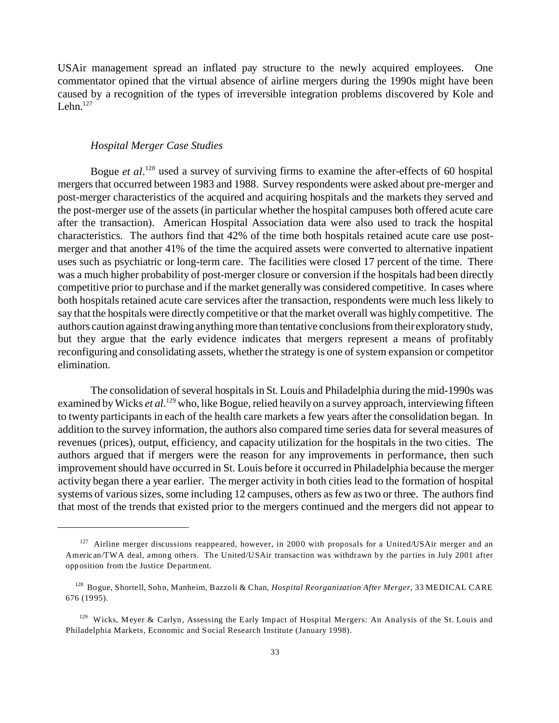USAir management spread an inflated pay structure to the newly acquired employees. One commentator opined that the virtual absence of airline mergers during the 1990s might have been caused by a recognition of the types of irreversible integration problems discovered by Kole and Lehn. $127$ 

#### *Hospital Merger Case Studies*

Bogue *et al.*<sup>128</sup> used a survey of surviving firms to examine the after-effects of 60 hospital mergers that occurred between 1983 and 1988. Survey respondents were asked about pre-merger and post-merger characteristics of the acquired and acquiring hospitals and the markets they served and the post-merger use of the assets (in particular whether the hospital campuses both offered acute care after the transaction). American Hospital Association data were also used to track the hospital characteristics. The authors find that 42% of the time both hospitals retained acute care use postmerger and that another 41% of the time the acquired assets were converted to alternative inpatient uses such as psychiatric or long-term care. The facilities were closed 17 percent of the time. There was a much higher probability of post-merger closure or conversion if the hospitals had been directly competitive prior to purchase and if the market generally was considered competitive. In cases where both hospitals retained acute care services after the transaction, respondents were much less likely to say that the hospitals were directly competitive or that the market overall was highly competitive. The authors caution against drawing anything more than tentative conclusions fromtheir exploratory study, but they argue that the early evidence indicates that mergers represent a means of profitably reconfiguring and consolidating assets, whether the strategy is one of system expansion or competitor elimination.

The consolidation of several hospitals in St. Louis and Philadelphia during the mid-1990s was examined by Wicks *et al*.<sup>129</sup> who, like Bogue, relied heavily on a survey approach, interviewing fifteen to twenty participants in each of the health care markets a few years after the consolidation began. In addition to the survey information, the authors also compared time series data for several measures of revenues (prices), output, efficiency, and capacity utilization for the hospitals in the two cities. The authors argued that if mergers were the reason for any improvements in performance, then such improvement should have occurred in St. Louis before it occurred in Philadelphia because the merger activity began there a year earlier. The merger activity in both cities lead to the formation of hospital systems of various sizes, some including 12 campuses, others as few as two or three. The authors find that most of the trends that existed prior to the mergers continued and the mergers did not appear to

 $127$  Airline merger discussions reappeared, however, in 2000 with proposals for a United/USAir merger and an American/TWA deal, among others. The United/USAir transaction was withdrawn by the parties in July 2001 after opposition from the Justice Department.

<sup>128</sup> Bogue, Shortell, Sohn, Manheim, Bazzoli & Chan, *Hospital Reorganization After Merger*, 33 MEDICAL CARE 676 (1995).

 $129$  Wicks, Meyer & Carlyn, Assessing the Early Impact of Hospital Mergers: An Analysis of the St. Louis and Philadelphia Markets, Economic and Social Research Institute (January 1998).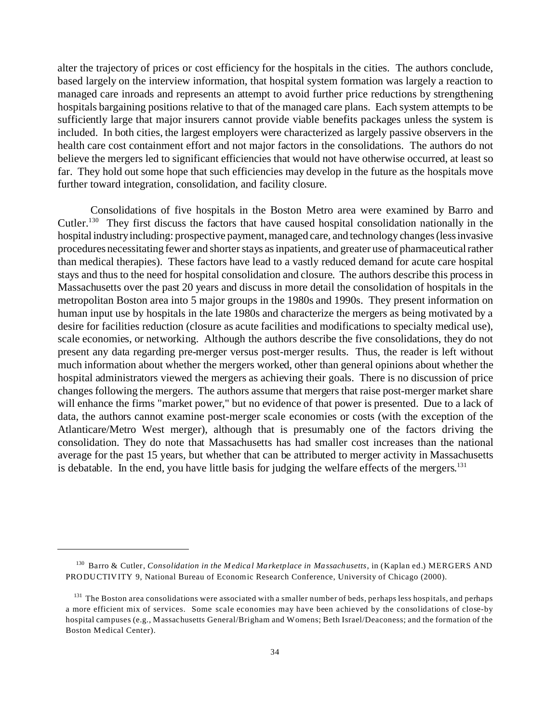alter the trajectory of prices or cost efficiency for the hospitals in the cities. The authors conclude, based largely on the interview information, that hospital system formation was largely a reaction to managed care inroads and represents an attempt to avoid further price reductions by strengthening hospitals bargaining positions relative to that of the managed care plans. Each system attempts to be sufficiently large that major insurers cannot provide viable benefits packages unless the system is included. In both cities, the largest employers were characterized as largely passive observers in the health care cost containment effort and not major factors in the consolidations. The authors do not believe the mergers led to significant efficiencies that would not have otherwise occurred, at least so far. They hold out some hope that such efficiencies may develop in the future as the hospitals move further toward integration, consolidation, and facility closure.

Consolidations of five hospitals in the Boston Metro area were examined by Barro and Cutler.<sup>130</sup> They first discuss the factors that have caused hospital consolidation nationally in the hospital industry including: prospective payment, managed care, and technology changes (less invasive procedures necessitating fewer and shorter stays as inpatients, and greater use of pharmaceutical rather than medical therapies). These factors have lead to a vastly reduced demand for acute care hospital stays and thus to the need for hospital consolidation and closure. The authors describe this process in Massachusetts over the past 20 years and discuss in more detail the consolidation of hospitals in the metropolitan Boston area into 5 major groups in the 1980s and 1990s. They present information on human input use by hospitals in the late 1980s and characterize the mergers as being motivated by a desire for facilities reduction (closure as acute facilities and modifications to specialty medical use), scale economies, or networking. Although the authors describe the five consolidations, they do not present any data regarding pre-merger versus post-merger results. Thus, the reader is left without much information about whether the mergers worked, other than general opinions about whether the hospital administrators viewed the mergers as achieving their goals. There is no discussion of price changes following the mergers. The authors assume that mergers that raise post-merger market share will enhance the firms "market power," but no evidence of that power is presented. Due to a lack of data, the authors cannot examine post-merger scale economies or costs (with the exception of the Atlanticare/Metro West merger), although that is presumably one of the factors driving the consolidation. They do note that Massachusetts has had smaller cost increases than the national average for the past 15 years, but whether that can be attributed to merger activity in Massachusetts is debatable. In the end, you have little basis for judging the welfare effects of the mergers.<sup>131</sup>

<sup>130</sup> Barro & Cutler, *Consolidation in the Medical Marketplace in Massachusetts*, in (Kaplan ed.) MERGERS AND PRODUCTIV ITY 9, National Bureau of Economic Research Conference, University of Chicago (2000).

<sup>&</sup>lt;sup>131</sup> The Boston area consolidations were associated with a smaller number of beds, perhaps less hospitals, and perhaps a more efficient mix of services. Some scale economies may have been achieved by the consolidations of close-by hospital campuses (e.g., Massachusetts General/Brigham and Womens; Beth Israel/Deaconess; and the formation of the Boston Medical Center).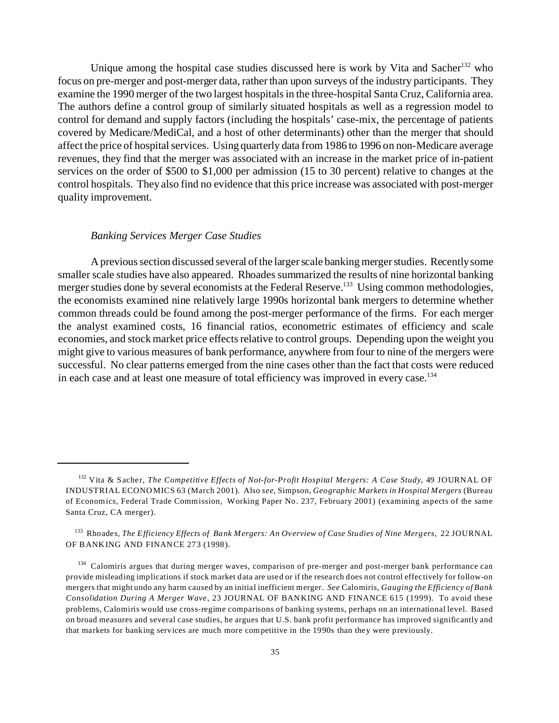Unique among the hospital case studies discussed here is work by Vita and Sacher<sup>132</sup> who focus on pre-merger and post-merger data, rather than upon surveys of the industry participants. They examine the 1990 merger of the two largest hospitals in the three-hospital Santa Cruz, California area. The authors define a control group of similarly situated hospitals as well as a regression model to control for demand and supply factors (including the hospitals' case-mix, the percentage of patients covered by Medicare/MediCal, and a host of other determinants) other than the merger that should affect the price of hospital services. Using quarterly data from 1986 to 1996 on non-Medicare average revenues, they find that the merger was associated with an increase in the market price of in-patient services on the order of \$500 to \$1,000 per admission (15 to 30 percent) relative to changes at the control hospitals. They also find no evidence that this price increase was associated with post-merger quality improvement.

#### *Banking Services Merger Case Studies*

A previous section discussed several of the larger scale banking merger studies. Recently some smaller scale studies have also appeared. Rhoades summarized the results of nine horizontal banking merger studies done by several economists at the Federal Reserve.<sup>133</sup> Using common methodologies, the economists examined nine relatively large 1990s horizontal bank mergers to determine whether common threads could be found among the post-merger performance of the firms. For each merger the analyst examined costs, 16 financial ratios, econometric estimates of efficiency and scale economies, and stock market price effects relative to control groups. Depending upon the weight you might give to various measures of bank performance, anywhere from four to nine of the mergers were successful. No clear patterns emerged from the nine cases other than the fact that costs were reduced in each case and at least one measure of total efficiency was improved in every case.<sup>134</sup>

<sup>132</sup> Vita & Sacher, *The Competitive Effects of Not-for-Profit Hospital Mergers: A Case Study*, 49 JOURNAL OF INDUSTRIAL ECONOMICS 63 (March 2001). Also *see*, Simpson, *Geographic Markets in Hospital Mergers* (Bureau of Economics, Federal Trade Commission, Working Paper No. 237, February 2001) (examining aspects of the same Santa Cruz, CA merger).

<sup>133</sup> Rhoades, *The Efficiency Effects of Bank Mergers: An Overview of Case Studies of Nine Mergers*, 22 JOURNAL OF BANKING AND FINANCE 273 (1998).

<sup>&</sup>lt;sup>134</sup> Calomiris argues that during merger waves, comparison of pre-merger and post-merger bank performance can provide misleading implications if stock market data are used or if the research does not control effectively for follow-on mergers that might undo any harm caused by an initial inefficient merger. *See* Calomiris, *Gauging the Efficiency of Bank Consolidation During A Merger Wave*, 23 JOURNAL OF BANKING AND FINANCE 615 (1999). To avoid these problems, Calomiris would use cross-regime comparisons of banking systems, perhaps on an international level. Based on broad measures and several case studies, he argues that U.S. bank profit performance has improved significantly and that markets for banking services are much more competitive in the 1990s than they were previously.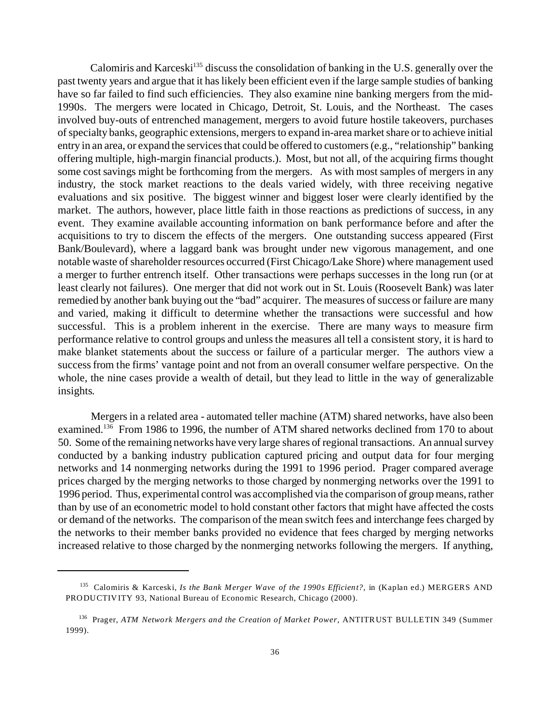Calomiris and Karceski<sup>135</sup> discuss the consolidation of banking in the U.S. generally over the past twenty years and argue that it has likely been efficient even if the large sample studies of banking have so far failed to find such efficiencies. They also examine nine banking mergers from the mid-1990s. The mergers were located in Chicago, Detroit, St. Louis, and the Northeast. The cases involved buy-outs of entrenched management, mergers to avoid future hostile takeovers, purchases of specialty banks, geographic extensions, mergers to expand in-area market share or to achieve initial entry in an area, or expand the services that could be offered to customers (e.g., "relationship" banking offering multiple, high-margin financial products.). Most, but not all, of the acquiring firms thought some cost savings might be forthcoming from the mergers. As with most samples of mergers in any industry, the stock market reactions to the deals varied widely, with three receiving negative evaluations and six positive. The biggest winner and biggest loser were clearly identified by the market. The authors, however, place little faith in those reactions as predictions of success, in any event. They examine available accounting information on bank performance before and after the acquisitions to try to discern the effects of the mergers. One outstanding success appeared (First Bank/Boulevard), where a laggard bank was brought under new vigorous management, and one notable waste of shareholder resources occurred (First Chicago/Lake Shore) where management used a merger to further entrench itself. Other transactions were perhaps successes in the long run (or at least clearly not failures). One merger that did not work out in St. Louis (Roosevelt Bank) was later remedied by another bank buying out the "bad" acquirer. The measures of success or failure are many and varied, making it difficult to determine whether the transactions were successful and how successful. This is a problem inherent in the exercise. There are many ways to measure firm performance relative to control groups and unless the measures all tell a consistent story, it is hard to make blanket statements about the success or failure of a particular merger. The authors view a success from the firms' vantage point and not from an overall consumer welfare perspective. On the whole, the nine cases provide a wealth of detail, but they lead to little in the way of generalizable insights.

Mergers in a related area - automated teller machine (ATM) shared networks, have also been examined.<sup>136</sup> From 1986 to 1996, the number of ATM shared networks declined from 170 to about 50. Some of the remaining networks have very large shares of regional transactions. An annual survey conducted by a banking industry publication captured pricing and output data for four merging networks and 14 nonmerging networks during the 1991 to 1996 period. Prager compared average prices charged by the merging networks to those charged by nonmerging networks over the 1991 to 1996 period. Thus, experimental control was accomplished via the comparison of group means, rather than by use of an econometric model to hold constant other factors that might have affected the costs or demand of the networks. The comparison of the mean switch fees and interchange fees charged by the networks to their member banks provided no evidence that fees charged by merging networks increased relative to those charged by the nonmerging networks following the mergers. If anything,

<sup>135</sup> Calomiris & Karceski, *Is the Bank Merger Wave of the 1990s Efficient?*, in (Kaplan ed.) MERGERS AND PRODUCTIVITY 93, National Bureau of Economic Research, Chicago (2000).

<sup>136</sup> Prager, *ATM Network Mergers and the Creation of Market Power*, ANTITRUST BULLETIN 349 (Summer 1999).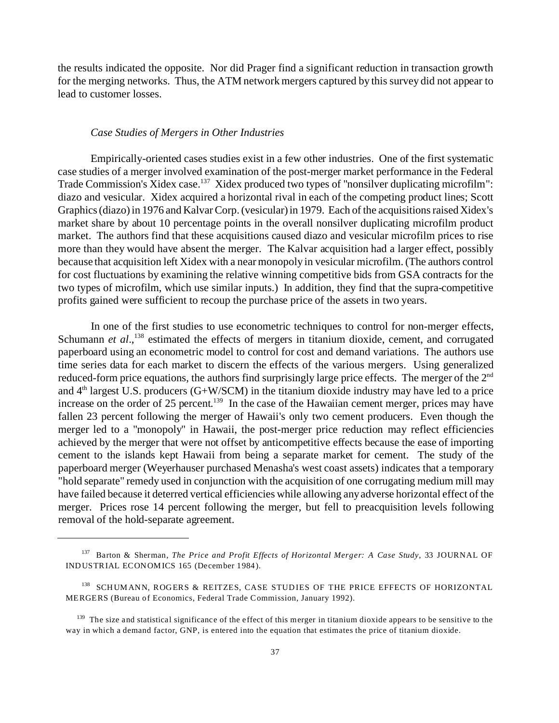the results indicated the opposite. Nor did Prager find a significant reduction in transaction growth for the merging networks. Thus, the ATM network mergers captured by this survey did not appear to lead to customer losses.

### *Case Studies of Mergers in Other Industries*

Empirically-oriented cases studies exist in a few other industries. One of the first systematic case studies of a merger involved examination of the post-merger market performance in the Federal Trade Commission's Xidex case.<sup>137</sup> Xidex produced two types of "nonsilver duplicating microfilm": diazo and vesicular. Xidex acquired a horizontal rival in each of the competing product lines; Scott Graphics (diazo) in 1976 and Kalvar Corp. (vesicular) in 1979. Each of the acquisitions raised Xidex's market share by about 10 percentage points in the overall nonsilver duplicating microfilm product market. The authors find that these acquisitions caused diazo and vesicular microfilm prices to rise more than they would have absent the merger. The Kalvar acquisition had a larger effect, possibly because that acquisition left Xidex with a near monopoly in vesicular microfilm. (The authors control for cost fluctuations by examining the relative winning competitive bids from GSA contracts for the two types of microfilm, which use similar inputs.) In addition, they find that the supra-competitive profits gained were sufficient to recoup the purchase price of the assets in two years.

In one of the first studies to use econometric techniques to control for non-merger effects, Schumann *et al.*,<sup>138</sup> estimated the effects of mergers in titanium dioxide, cement, and corrugated paperboard using an econometric model to control for cost and demand variations. The authors use time series data for each market to discern the effects of the various mergers. Using generalized reduced-form price equations, the authors find surprisingly large price effects. The merger of the 2<sup>nd</sup> and  $4<sup>th</sup>$  largest U.S. producers (G+W/SCM) in the titanium dioxide industry may have led to a price increase on the order of 25 percent.<sup>139</sup> In the case of the Hawaiian cement merger, prices may have fallen 23 percent following the merger of Hawaii's only two cement producers. Even though the merger led to a "monopoly" in Hawaii, the post-merger price reduction may reflect efficiencies achieved by the merger that were not offset by anticompetitive effects because the ease of importing cement to the islands kept Hawaii from being a separate market for cement. The study of the paperboard merger (Weyerhauser purchased Menasha's west coast assets) indicates that a temporary "hold separate" remedy used in conjunction with the acquisition of one corrugating medium mill may have failed because it deterred vertical efficiencies while allowing any adverse horizontal effect of the merger. Prices rose 14 percent following the merger, but fell to preacquisition levels following removal of the hold-separate agreement.

<sup>137</sup> Barton & Sherman, *The Price and Profit Effects of Horizontal Merger: A Case Study*, 33 JOURNAL OF INDUSTRIAL ECONOMICS 165 (December 1984).

<sup>138</sup> SCHUMANN, ROGERS & REITZES, CASE STUDIES OF THE PRICE EFFECTS OF HORIZONTAL MERGERS (Bureau of Economics, Federal Trade Commission, January 1992).

 $139$  The size and statistical significance of the effect of this merger in titanium dioxide appears to be sensitive to the way in which a demand factor, GNP, is entered into the equation that estimates the price of titanium dioxide.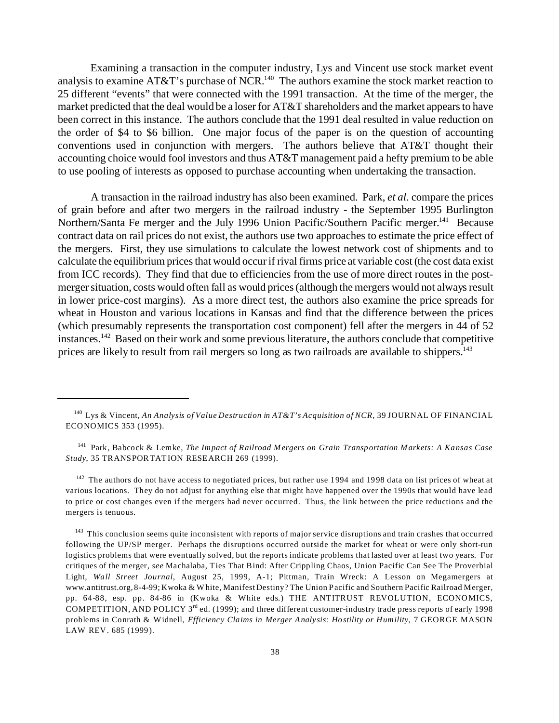Examining a transaction in the computer industry, Lys and Vincent use stock market event analysis to examine AT&T's purchase of NCR.<sup>140</sup> The authors examine the stock market reaction to 25 different "events" that were connected with the 1991 transaction. At the time of the merger, the market predicted that the deal would be a loser for AT&T shareholders and the market appears to have been correct in this instance. The authors conclude that the 1991 deal resulted in value reduction on the order of \$4 to \$6 billion. One major focus of the paper is on the question of accounting conventions used in conjunction with mergers. The authors believe that AT&T thought their accounting choice would fool investors and thus AT&T management paid a hefty premium to be able to use pooling of interests as opposed to purchase accounting when undertaking the transaction.

A transaction in the railroad industry has also been examined. Park, *et al*. compare the prices of grain before and after two mergers in the railroad industry - the September 1995 Burlington Northern/Santa Fe merger and the July 1996 Union Pacific/Southern Pacific merger.<sup>141</sup> Because contract data on rail prices do not exist, the authors use two approaches to estimate the price effect of the mergers. First, they use simulations to calculate the lowest network cost of shipments and to calculate the equilibrium prices that would occur if rival firms price at variable cost (the cost data exist from ICC records). They find that due to efficiencies from the use of more direct routes in the postmerger situation, costs would often fall as would prices (although the mergers would not always result in lower price-cost margins). As a more direct test, the authors also examine the price spreads for wheat in Houston and various locations in Kansas and find that the difference between the prices (which presumably represents the transportation cost component) fell after the mergers in 44 of 52 instances.<sup>142</sup> Based on their work and some previous literature, the authors conclude that competitive prices are likely to result from rail mergers so long as two railroads are available to shippers.<sup>143</sup>

<sup>142</sup> The authors do not have access to negotiated prices, but rather use 1994 and 1998 data on list prices of wheat at various locations. They do not adjust for anything else that might have happened over the 1990s that would have lead to price or cost changes even if the mergers had never occurred. Thus, the link between the price reductions and the mergers is tenuous.

<sup>143</sup> This conclusion seems quite inconsistent with reports of major service disruptions and train crashes that occurred following the UP/SP merger. Perhaps the disruptions occurred outside the market for wheat or were only short-run logistics problems that were eventually solved, but the reports indicate problems that lasted over at least two years. For critiques of the merger, *see* Machalaba, Ties That Bind: After Crippling Chaos, Union Pacific Can See The Proverbial Light, *Wall Street Journal*, August 25, 1999, A-1; Pittman, Train Wreck: A Lesson on Megamergers at www.antitrust.org, 8-4-99; Kwoka & W hite, Manifest Destiny? The Union Pacific and Southern Pacific Railroad Merger, pp. 64-88, esp. pp. 84-86 in (Kwoka & White eds.) THE ANTITRUST REVOLUTION, ECONOMICS, COMPETITION, AND POLICY  $3^{rd}$  ed. (1999); and three different customer-industry trade press reports of early 1998 problems in Conrath & Widnell, *Efficiency Claims in Merger Analysis: Hostility or Humility*, 7 GEORGE MASON LAW REV. 685 (1999).

<sup>140</sup> Lys & Vincent, *An Analysis of Value Destruction in AT&T's Acquisition of NCR*, 39 JOURNAL OF FINANCIAL ECONOMICS 353 (1995).

<sup>141</sup> Park, Babcock & Lemke, *The Impact of Railroad Mergers on Grain Transportation Markets: A Kansas Case Study*, 35 TRANSPORTATION RESEARCH 269 (1999).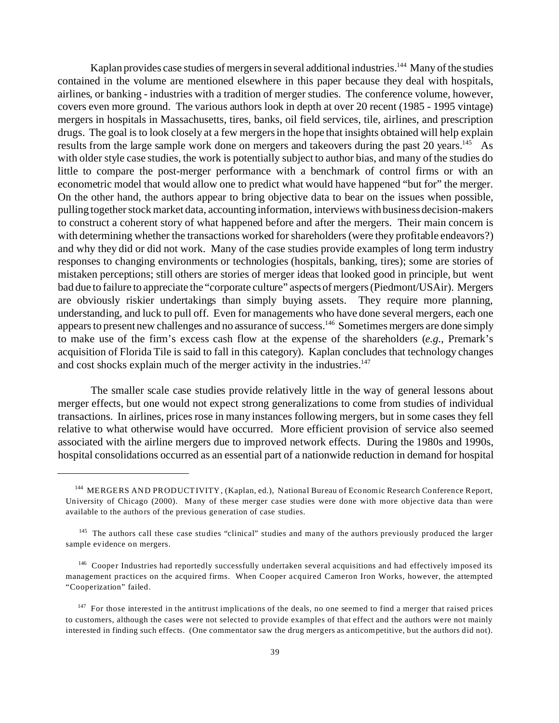Kaplan provides case studies of mergers in several additional industries.<sup>144</sup> Many of the studies contained in the volume are mentioned elsewhere in this paper because they deal with hospitals, airlines, or banking - industries with a tradition of merger studies. The conference volume, however, covers even more ground. The various authors look in depth at over 20 recent (1985 - 1995 vintage) mergers in hospitals in Massachusetts, tires, banks, oil field services, tile, airlines, and prescription drugs. The goal is to look closely at a few mergers in the hope that insights obtained will help explain results from the large sample work done on mergers and takeovers during the past 20 years.<sup>145</sup> As with older style case studies, the work is potentially subject to author bias, and many of the studies do little to compare the post-merger performance with a benchmark of control firms or with an econometric model that would allow one to predict what would have happened "but for" the merger. On the other hand, the authors appear to bring objective data to bear on the issues when possible, pulling together stock market data, accounting information, interviews with business decision-makers to construct a coherent story of what happened before and after the mergers. Their main concern is with determining whether the transactions worked for shareholders (were they profitable endeavors?) and why they did or did not work. Many of the case studies provide examples of long term industry responses to changing environments or technologies (hospitals, banking, tires); some are stories of mistaken perceptions; still others are stories of merger ideas that looked good in principle, but went bad due to failure to appreciate the "corporate culture" aspects of mergers (Piedmont/USAir). Mergers are obviously riskier undertakings than simply buying assets. They require more planning, understanding, and luck to pull off. Even for managements who have done several mergers, each one appears to present new challenges and no assurance of success.<sup>146</sup> Sometimes mergers are done simply to make use of the firm's excess cash flow at the expense of the shareholders (*e.g.*, Premark's acquisition of Florida Tile is said to fall in this category). Kaplan concludes that technology changes and cost shocks explain much of the merger activity in the industries.<sup>147</sup>

The smaller scale case studies provide relatively little in the way of general lessons about merger effects, but one would not expect strong generalizations to come from studies of individual transactions. In airlines, prices rose in many instances following mergers, but in some cases they fell relative to what otherwise would have occurred. More efficient provision of service also seemed associated with the airline mergers due to improved network effects. During the 1980s and 1990s, hospital consolidations occurred as an essential part of a nationwide reduction in demand for hospital

<sup>144</sup> MERGERS AND PRODUCTIVITY, (Kaplan, ed.), National Bureau of Economic Research Conference Report, University of Chicago (2000). Many of these merger case studies were done with more objective data than were available to the authors of the previous generation of case studies.

<sup>&</sup>lt;sup>145</sup> The authors call these case studies "clinical" studies and many of the authors previously produced the larger sample evidence on mergers.

<sup>&</sup>lt;sup>146</sup> Cooper Industries had reportedly successfully undertaken several acquisitions and had effectively imposed its management practices on the acquired firms. When Cooper acquired Cameron Iron Works, however, the attempted "Cooperization" failed.

 $147$  For those interested in the antitrust implications of the deals, no one seemed to find a merger that raised prices to customers, although the cases were not selected to provide examples of that effect and the authors were not mainly interested in finding such effects. (One commentator saw the drug mergers as anticompetitive, but the authors did not).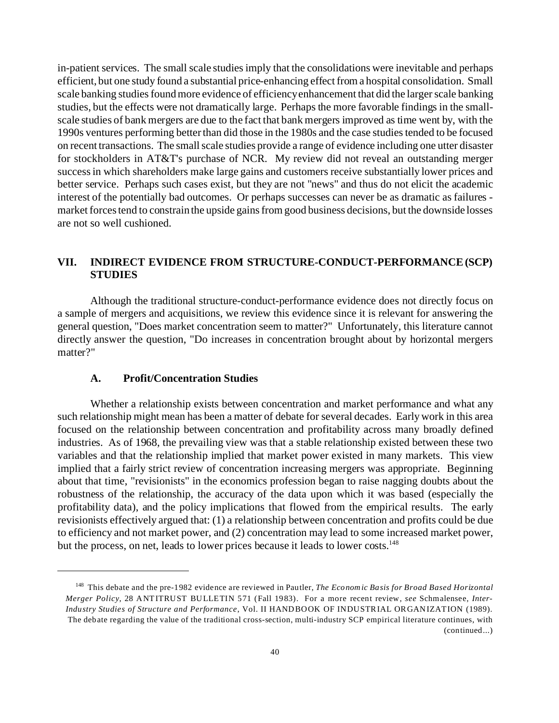in-patient services. The small scale studies imply that the consolidations were inevitable and perhaps efficient, but one study found a substantial price-enhancing effect from a hospital consolidation. Small scale banking studies found more evidence of efficiency enhancement that did the larger scale banking studies, but the effects were not dramatically large. Perhaps the more favorable findings in the smallscale studies of bank mergers are due to the fact that bank mergers improved as time went by, with the 1990s ventures performing better than did those in the 1980s and the case studies tended to be focused on recent transactions. The small scale studies provide a range of evidence including one utter disaster for stockholders in AT&T's purchase of NCR. My review did not reveal an outstanding merger success in which shareholders make large gains and customers receive substantially lower prices and better service. Perhaps such cases exist, but they are not "news" and thus do not elicit the academic interest of the potentially bad outcomes. Or perhaps successes can never be as dramatic as failures market forces tend to constrain the upside gains from good business decisions, but the downside losses are not so well cushioned.

# **VII. INDIRECT EVIDENCE FROM STRUCTURE-CONDUCT-PERFORMANCE (SCP) STUDIES**

Although the traditional structure-conduct-performance evidence does not directly focus on a sample of mergers and acquisitions, we review this evidence since it is relevant for answering the general question, "Does market concentration seem to matter?" Unfortunately, this literature cannot directly answer the question, "Do increases in concentration brought about by horizontal mergers matter?"

### **A. Profit/Concentration Studies**

Whether a relationship exists between concentration and market performance and what any such relationship might mean has been a matter of debate for several decades. Early work in this area focused on the relationship between concentration and profitability across many broadly defined industries. As of 1968, the prevailing view was that a stable relationship existed between these two variables and that the relationship implied that market power existed in many markets. This view implied that a fairly strict review of concentration increasing mergers was appropriate. Beginning about that time, "revisionists" in the economics profession began to raise nagging doubts about the robustness of the relationship, the accuracy of the data upon which it was based (especially the profitability data), and the policy implications that flowed from the empirical results. The early revisionists effectively argued that: (1) a relationship between concentration and profits could be due to efficiency and not market power, and (2) concentration may lead to some increased market power, but the process, on net, leads to lower prices because it leads to lower costs.<sup>148</sup>

<sup>148</sup> This debate and the pre-1982 evidence are reviewed in Pautler, *The Economic Basis for Broad Based Horizontal Merger Policy*, 28 ANTITRUST BULLETIN 571 (Fall 1983). For a more recent review, *see* Schmalensee, *Inter-Industry Studies of Structure and Performance*, Vol. II HANDBOOK OF INDUSTRIAL ORGANIZATION (1989). The debate regarding the value of the traditional cross-section, multi-industry SCP empirical literature continues, with (continued...)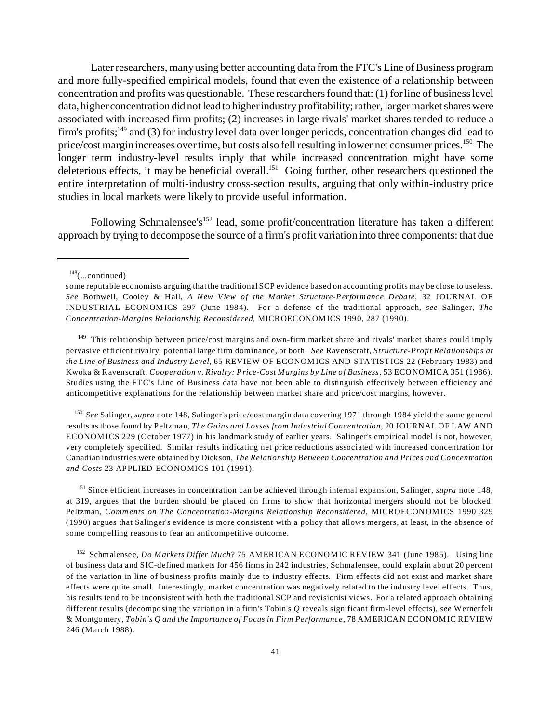Later researchers, many using better accounting data from the FTC's Line of Business program and more fully-specified empirical models, found that even the existence of a relationship between concentration and profits was questionable. These researchers found that: (1) for line of business level data, higher concentration did not lead to higher industry profitability; rather, larger market shares were associated with increased firm profits; (2) increases in large rivals' market shares tended to reduce a firm's profits;<sup>149</sup> and (3) for industry level data over longer periods, concentration changes did lead to price/cost margin increases over time, but costs also fell resulting in lower net consumer prices.<sup>150</sup> The longer term industry-level results imply that while increased concentration might have some deleterious effects, it may be beneficial overall.<sup>151</sup> Going further, other researchers questioned the entire interpretation of multi-industry cross-section results, arguing that only within-industry price studies in local markets were likely to provide useful information.

Following Schmalensee's<sup>152</sup> lead, some profit/concentration literature has taken a different approach by trying to decompose the source of a firm's profit variation into three components: that due

 $148$ (...continued)

<sup>149</sup> This relationship between price/cost margins and own-firm market share and rivals' market shares could imply pervasive efficient rivalry, potential large firm dominance, or both. *See* Ravenscraft, *Structure-Profit Relationships at the Line of Business and Industry Level*, 65 REVIEW OF ECONOMICS AND STATISTICS 22 (February 1983) and Kwoka & Ravenscraft, *Cooperation v. Rivalry: Price-Cost Margins by Line of Business*, 53 ECONOMICA 351 (1986). Studies using the FT C's Line of Business data have not been able to distinguish effectively between efficiency and anticompetitive explanations for the relationship between market share and price/cost margins, however.

150 *See* Salinger, *supra* note 148, Salinger's price/cost margin data covering 1971 through 1984 yield the same general results as those found by Peltzman, *The Gains and Losses from Industrial Concentration*, 20 JOURNAL OF LAW AND ECONOMICS 229 (October 1977) in his landmark study of earlier years. Salinger's empirical model is not, however, very completely specified. Similar results indicating net price reductions associated with increased concentration for Canadian industries were obtained by Dickson, *The Relationship Between Concentration and Prices and Concentration and Costs* 23 APPLIED ECONOMICS 101 (1991).

<sup>151</sup> Since efficient increases in concentration can be achieved through internal expansion, Salinger, *supra* note 148, at 319, argues that the burden should be placed on firms to show that horizontal mergers should not be blocked. Peltzman, *Comments on The Concentration-Margins Relationship Reconsidered*, MICROECONOMICS 1990 329 (1990) argues that Salinger's evidence is more consistent with a policy that allows mergers, at least, in the absence of some compelling reasons to fear an anticompetitive outcome.

<sup>152</sup> Schmalensee, *Do Markets Differ Much*? 75 AMERICAN ECONOMIC REVIEW 341 (June 1985). Using line of business data and SIC-defined markets for 456 firms in 242 industries, Schmalensee, could explain about 20 percent of the variation in line of business profits mainly due to industry effects. Firm effects did not exist and market share effects were quite small. Interestingly, market concentration was negatively related to the industry level effects. Thus, his results tend to be inconsistent with both the traditional SCP and revisionist views. For a related approach obtaining different results (decomposing the variation in a firm's Tobin's *Q* reveals significant firm-level effects), *see* Wernerfelt & Montgomery, *Tobin's Q and the Importance of Focus in Firm Performance*, 78 AMERICAN ECONOMIC REVIEW 246 (March 1988).

some reputable economists arguing that the traditional SCP evidence based on accounting profits may be close to useless. *See* Bothwell, Cooley & Hall, *A New View of the Market Structure-Performance Debate*, 32 JOURNAL OF INDUSTRIAL ECONOMICS 397 (June 1984). For a defense of the traditional approach, *see* Salinger, *The Concentration-Margins Relationship Reconsidered*, MICROECONOMICS 1990, 287 (1990).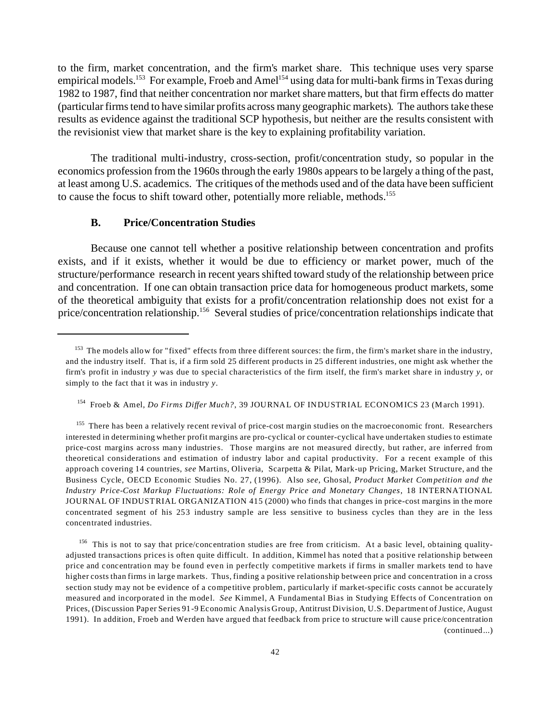to the firm, market concentration, and the firm's market share. This technique uses very sparse empirical models.<sup>153</sup> For example, Froeb and Amel<sup>154</sup> using data for multi-bank firms in Texas during 1982 to 1987, find that neither concentration nor market share matters, but that firm effects do matter (particular firms tend to have similar profits across many geographic markets). The authors take these results as evidence against the traditional SCP hypothesis, but neither are the results consistent with the revisionist view that market share is the key to explaining profitability variation.

The traditional multi-industry, cross-section, profit/concentration study, so popular in the economics profession from the 1960s through the early 1980s appears to be largely a thing of the past, at least among U.S. academics. The critiques of the methods used and of the data have been sufficient to cause the focus to shift toward other, potentially more reliable, methods.<sup>155</sup>

## **B. Price/Concentration Studies**

Because one cannot tell whether a positive relationship between concentration and profits exists, and if it exists, whether it would be due to efficiency or market power, much of the structure/performance research in recent years shifted toward study of the relationship between price and concentration. If one can obtain transaction price data for homogeneous product markets, some of the theoretical ambiguity that exists for a profit/concentration relationship does not exist for a price/concentration relationship.156 Several studies of price/concentration relationships indicate that

 $153$  The models allow for "fixed" effects from three different sources: the firm, the firm's market share in the industry, and the industry itself. That is, if a firm sold 25 different products in 25 different industries, one might ask whether the firm's profit in industry *y* was due to special characteristics of the firm itself, the firm's market share in industry *y*, or simply to the fact that it was in industry *y*.

<sup>154</sup> Froeb & Amel, *Do Firms Differ Much?*, 39 JOURNAL OF INDUSTRIAL ECONOMICS 23 (March 1991).

<sup>&</sup>lt;sup>155</sup> There has been a relatively recent revival of price-cost margin studies on the macroeconomic front. Researchers interested in determining whether profit margins are pro-cyclical or counter-cyclical have undertaken studies to estimate price-cost margins across many industries. Those margins are not measured directly, but rather, are inferred from theoretical considerations and estimation of industry labor and capital productivity. For a recent example of this approach covering 14 countries, *see* Martins, Oliveria, Scarpetta & Pilat, Mark-up Pricing, Market Structure, and the Business Cycle, OECD Economic Studies No. 27, (1996). Also *see*, Ghosal, *Product Market Competition and the Industry Price-Cost Markup Fluctuations: Role of Energy Price and Monetary Changes*, 18 INTERNATIONAL JOURNAL OF INDUSTRIAL ORGANIZATION 415 (2000) who finds that changes in price-cost margins in the more concentrated segment of his 253 industry sample are less sensitive to business cycles than they are in the less concentrated industries.

 $156$  This is not to say that price/concentration studies are free from criticism. At a basic level, obtaining qualityadjusted transactions prices is often quite difficult. In addition, Kimmel has noted that a positive relationship between price and concentration may be found even in perfectly competitive markets if firms in smaller markets tend to have higher costs than firms in large markets. Thus, finding a positive relationship between price and concentration in a cross section study may not be evidence of a competitive problem, particularly if market-specific costs cannot be accurately measured and incorporated in the model. *See* Kimmel, A Fundamental Bias in Studying Effects of Concentration on Prices, (Discussion Paper Series 91-9 Economic Analysis Group, Antitrust Division, U.S. Department of Justice, August 1991). In addition, Froeb and Werden have argued that feedback from price to structure will cause price/concentration (continued...)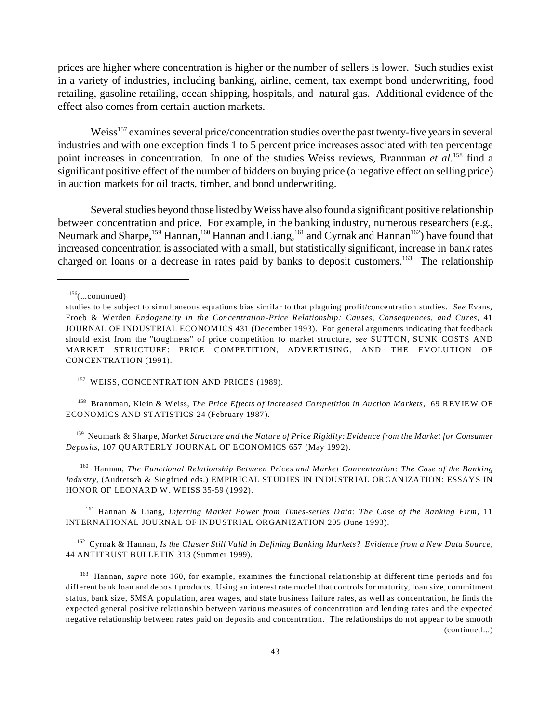prices are higher where concentration is higher or the number of sellers is lower. Such studies exist in a variety of industries, including banking, airline, cement, tax exempt bond underwriting, food retailing, gasoline retailing, ocean shipping, hospitals, and natural gas. Additional evidence of the effect also comes from certain auction markets.

Weiss<sup>157</sup> examines several price/concentration studies over the past twenty-five years in several industries and with one exception finds 1 to 5 percent price increases associated with ten percentage point increases in concentration. In one of the studies Weiss reviews, Brannman *et al*. <sup>158</sup> find a significant positive effect of the number of bidders on buying price (a negative effect on selling price) in auction markets for oil tracts, timber, and bond underwriting.

Several studies beyond those listed by Weiss have also found a significant positive relationship between concentration and price. For example, in the banking industry, numerous researchers (e.g., Neumark and Sharpe,<sup>159</sup> Hannan,<sup>160</sup> Hannan and Liang,<sup>161</sup> and Cyrnak and Hannan<sup>162</sup>) have found that increased concentration is associated with a small, but statistically significant, increase in bank rates charged on loans or a decrease in rates paid by banks to deposit customers.<sup>163</sup> The relationship

#### <sup>157</sup> WEISS, CONCENTRATION AND PRICES (1989).

<sup>158</sup> Brannman, Klein & Weiss, *The Price Effects of Increased Competition in Auction Markets*, 69 REVIEW OF ECONOMICS AND STATISTICS 24 (February 1987).

<sup>159</sup> Neumark & Sharpe, *Market Structure and the Nature of Price Rigidity: Evidence from the Market for Consumer Deposits*, 107 QUARTERLY JOURNAL OF ECONOMICS 657 (May 1992).

<sup>160</sup> Hannan, *The Functional Relationship Between Prices and Market Concentration: The Case of the Banking Industry*, (Audretsch & Siegfried eds.) EMPIRICAL STUDIES IN INDUSTRIAL ORGANIZATION: ESSAYS IN HONOR OF LEONARD W. WEISS 35-59 (1992).

<sup>161</sup> Hannan & Liang, *Inferring Market Power from Times-series Data: The Case of the Banking Firm,* 11 INTERNATIONAL JOURNAL OF INDUSTRIAL ORGANIZATION 205 (June 1993).

<sup>162</sup> Cyrnak & Hannan, *Is the Cluster Still Valid in Defining Banking Markets? Evidence from a New Data Source*, 44 ANTITRUST BULLETIN 313 (Summer 1999).

<sup>163</sup> Hannan, *supra* note 160, for example, examines the functional relationship at different time periods and for different bank loan and deposit products. Using an interest rate model that controls for maturity, loan size, commitment status, bank size, SMSA population, area wages, and state business failure rates, as well as concentration, he finds the expected general positive relationship between various measures of concentration and lending rates and the expected negative relationship between rates paid on deposits and concentration. The relationships do not appear to be smooth (continued...)

 $156$ (...continued)

studies to be subject to simultaneous equations bias similar to that plaguing profit/concentration studies. *See* Evans, Froeb & Werden *Endogeneity in the Concentration-Price Relationship: Causes, Consequences, and Cures,* 41 JOURNAL OF INDUSTRIAL ECONOM ICS 431 (December 1993). For general arguments indicating that feedback should exist from the "toughness" of price competition to market structure, *see* SUTTON, SUNK COSTS AND MARKET STRUCTURE: PRICE COMPETITION, ADVERTISING, AND THE EVOLUTION OF CONCENTRATION (1991).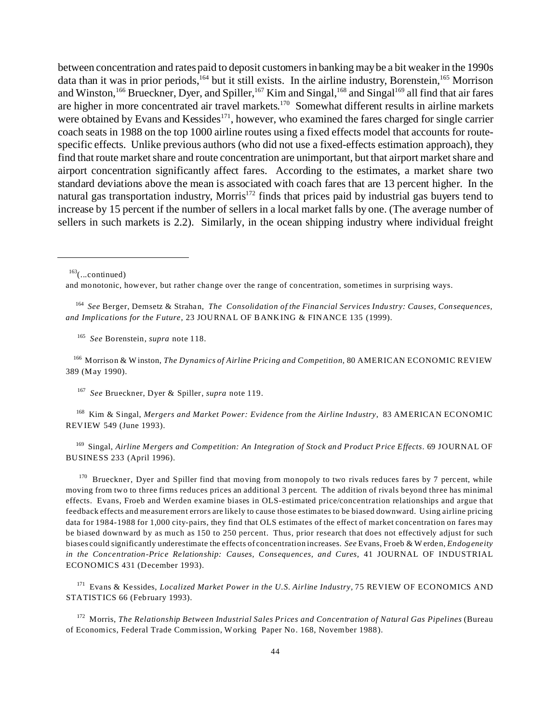between concentration and rates paid to deposit customers in banking may be a bit weaker in the 1990s data than it was in prior periods,<sup>164</sup> but it still exists. In the airline industry, Borenstein,<sup>165</sup> Morrison and Winston,  $^{166}$  Brueckner, Dyer, and Spiller,  $^{167}$  Kim and Singal,  $^{168}$  and Singal $^{169}$  all find that air fares are higher in more concentrated air travel markets.<sup>170</sup> Somewhat different results in airline markets were obtained by Evans and Kessides<sup>171</sup>, however, who examined the fares charged for single carrier coach seats in 1988 on the top 1000 airline routes using a fixed effects model that accounts for routespecific effects. Unlike previous authors (who did not use a fixed-effects estimation approach), they find that route market share and route concentration are unimportant, but that airport market share and airport concentration significantly affect fares. According to the estimates, a market share two standard deviations above the mean is associated with coach fares that are 13 percent higher. In the natural gas transportation industry, Morris<sup>172</sup> finds that prices paid by industrial gas buyers tend to increase by 15 percent if the number of sellers in a local market falls by one. (The average number of sellers in such markets is 2.2). Similarly, in the ocean shipping industry where individual freight

 $163$ (...continued)

164 *See* Berger, Demsetz & Strahan, *The Consolidation of the Financial Services Industry: Causes, Consequences, and Implications for the Future*, 23 JOURNAL OF BANKING & FINANCE 135 (1999).

165 *See* Borenstein, *supra* note 118.

<sup>166</sup> Morrison & W inston, *The Dynamics of Airline Pricing and Competition*, 80 AMERICAN ECONOMIC REVIEW 389 (May 1990).

167 *See* Brueckner, Dyer & Spiller, *supra* note 119.

<sup>168</sup> Kim & Singal, *Mergers and Market Power: Evidence from the Airline Industry*, 83 AMERICAN ECONOMIC REVIEW 549 (June 1993).

<sup>169</sup> Singal, *Airline Mergers and Competition: An Integration of Stock and Product Price Effects*. 69 JOURNAL OF BUSINESS 233 (April 1996).

 $170$  Brueckner, Dyer and Spiller find that moving from monopoly to two rivals reduces fares by 7 percent, while moving from two to three firms reduces prices an additional 3 percent. The addition of rivals beyond three has minimal effects. Evans, Froeb and Werden examine biases in OLS-estimated price/concentration relationships and argue that feedback effects and measurement errors are likely to cause those estimates to be biased downward. Using airline pricing data for 1984-1988 for 1,000 city-pairs, they find that OLS estimates of the effect of market concentration on fares may be biased downward by as much as 150 to 250 percent. Thus, prior research that does not effectively adjust for such biases could significantly underestimate the effects of concentration increases. *See* Evans, Froeb & Werden, *Endogeneity in the Concentration-Price Relationship: Causes, Consequences, and Cures,* 41 JOURNAL OF INDUSTRIAL ECONOMICS 431 (December 1993).

<sup>171</sup> Evans & Kessides, *Localized Market Power in the U.S. Airline Industry,* 75 REVIEW OF ECONOMICS AND STATISTICS 66 (February 1993).

<sup>172</sup> Morris, *The Relationship Between Industrial Sales Prices and Concentration of Natural Gas Pipelines* (Bureau of Economics, Federal Trade Commission, Working Paper No. 168, November 1988).

and monotonic, however, but rather change over the range of concentration, sometimes in surprising ways.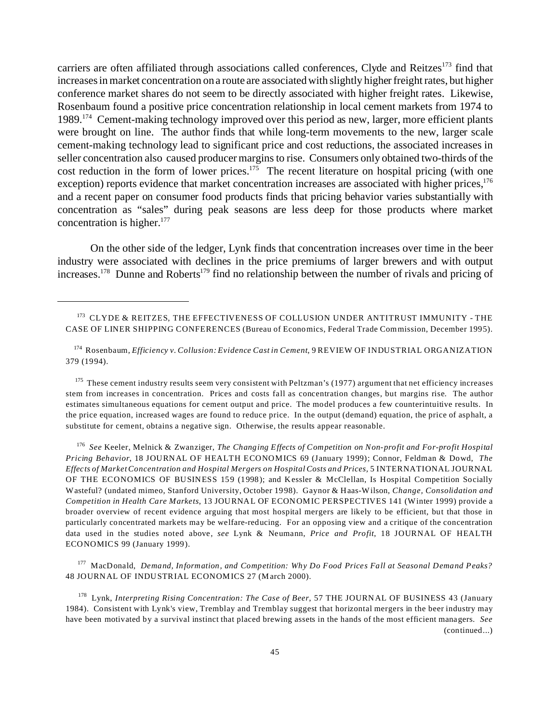carriers are often affiliated through associations called conferences, Clyde and Reitzes<sup>173</sup> find that increases in market concentration on a route are associated with slightly higher freight rates, but higher conference market shares do not seem to be directly associated with higher freight rates. Likewise, Rosenbaum found a positive price concentration relationship in local cement markets from 1974 to 1989.<sup>174</sup> Cement-making technology improved over this period as new, larger, more efficient plants were brought on line. The author finds that while long-term movements to the new, larger scale cement-making technology lead to significant price and cost reductions, the associated increases in seller concentration also caused producer margins to rise. Consumers only obtained two-thirds of the cost reduction in the form of lower prices.<sup>175</sup> The recent literature on hospital pricing (with one exception) reports evidence that market concentration increases are associated with higher prices,<sup>176</sup> and a recent paper on consumer food products finds that pricing behavior varies substantially with concentration as "sales" during peak seasons are less deep for those products where market concentration is higher. $177$ 

On the other side of the ledger, Lynk finds that concentration increases over time in the beer industry were associated with declines in the price premiums of larger brewers and with output increases.<sup>178</sup> Dunne and Roberts<sup>179</sup> find no relationship between the number of rivals and pricing of

<sup>175</sup> These cement industry results seem very consistent with Peltzman's (1977) argument that net efficiency increases stem from increases in concentration. Prices and costs fall as concentration changes, but margins rise. The author estimates simultaneous equations for cement output and price. The model produces a few counterintuitive results. In the price equation, increased wages are found to reduce price. In the output (demand) equation, the price of asphalt, a substitute for cement, obtains a negative sign. Otherwise, the results appear reasonable.

176 *See* Keeler, Melnick & Zwanziger, *The Changing Effects of Competition on Non-profit and For-profit Hospital Pricing Behavior*, 18 JOURNAL OF HEALTH ECONOMICS 69 (January 1999); Connor, Feldman & Dowd, *The Effects of Market Concentration and Hospital Mergers on Hospital Costs and Prices,* 5 INTERNATIONAL JOURNAL OF THE ECONOMICS OF BUSINESS 159 (1998); and Kessler & McClellan, Is Hospital Competition Socially Wasteful? (undated mimeo, Stanford University, October 1998). Gaynor & Haas-Wilson, *Change, Consolidation and Competition in Health Care Markets*, 13 JOURNAL OF ECONOMIC PERSPECTIVES 141 (Winter 1999) provide a broader overview of recent evidence arguing that most hospital mergers are likely to be efficient, but that those in particularly concentrated markets may be welfare-reducing. For an opposing view and a critique of the concentration data used in the studies noted above, *see* Lynk & Neumann, *Price and Profit*, 18 JOURNAL OF HEALTH ECONOMICS 99 (January 1999).

<sup>177</sup> MacDonald, *Demand, Information, and Competition: Why Do Food Prices Fall at Seasonal Demand Peaks?* 48 JOURNAL OF INDUSTRIAL ECONOMICS 27 (March 2000).

<sup>178</sup> Lynk, *Interpreting Rising Concentration: The Case of Beer*, 57 THE JOURNAL OF BUSINESS 43 (January 1984). Consistent with Lynk's view, Tremblay and Tremblay suggest that horizontal mergers in the beer industry may have been motivated by a survival instinct that placed brewing assets in the hands of the most efficient managers. *See* (continued...)

<sup>173</sup> CLYDE & REITZES, THE EFFECTIVENESS OF COLLUSION UNDER ANTITRUST IMMUNITY - THE CASE OF LINER SHIPPING CONFERENCES (Bureau of Economics, Federal Trade Commission, December 1995).

<sup>174</sup> Rosenbaum, *Efficiency v. Collusion: Evidence Cast in Cement*, 9 REVIEW OF INDUSTRIAL ORGANIZATION 379 (1994).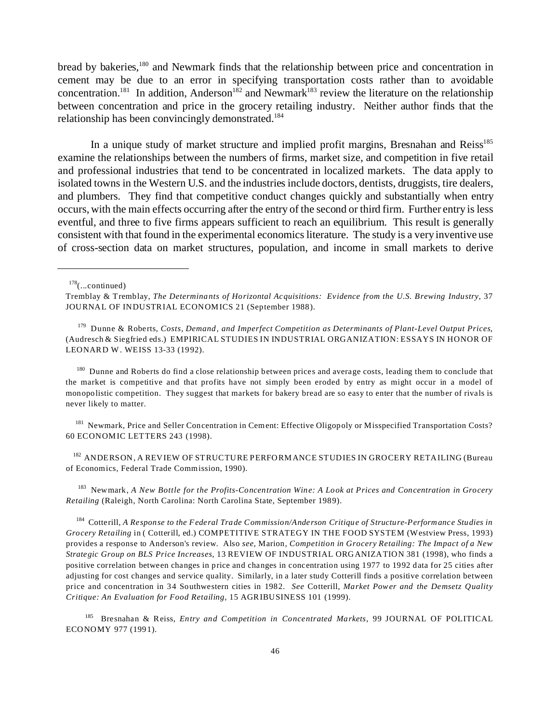bread by bakeries,<sup>180</sup> and Newmark finds that the relationship between price and concentration in cement may be due to an error in specifying transportation costs rather than to avoidable concentration.<sup>181</sup> In addition, Anderson<sup>182</sup> and Newmark<sup>183</sup> review the literature on the relationship between concentration and price in the grocery retailing industry. Neither author finds that the relationship has been convincingly demonstrated.<sup>184</sup>

In a unique study of market structure and implied profit margins, Bresnahan and Reiss<sup>185</sup> examine the relationships between the numbers of firms, market size, and competition in five retail and professional industries that tend to be concentrated in localized markets. The data apply to isolated towns in the Western U.S. and the industries include doctors, dentists, druggists, tire dealers, and plumbers. They find that competitive conduct changes quickly and substantially when entry occurs, with the main effects occurring after the entry of the second or third firm. Further entry is less eventful, and three to five firms appears sufficient to reach an equilibrium. This result is generally consistent with that found in the experimental economics literature. The study is a very inventive use of cross-section data on market structures, population, and income in small markets to derive

179 Dunne & Roberts, *Costs, Demand, and Imperfect Competition as Determinants of Plant-Level Output Prices*, (Audresch & Siegfried eds.) EMPIRICAL STUDIES IN INDUSTRIAL ORGANIZATION: ESSAYS IN HONOR OF LEONARD W. WEISS 13-33 (1992).

<sup>180</sup> Dunne and Roberts do find a close relationship between prices and average costs, leading them to conclude that the market is competitive and that profits have not simply been eroded by entry as might occur in a model of monopolistic competition. They suggest that markets for bakery bread are so easy to enter that the number of rivals is never likely to matter.

<sup>181</sup> Newmark, Price and Seller Concentration in Cement: Effective Oligopoly or Misspecified Transportation Costs? 60 ECONOMIC LETTERS 243 (1998).

<sup>182</sup> ANDERSON, A REVIEW OF STRUCTURE PERFORMANCE STUDIES IN GROCERY RETAILING (Bureau of Economics, Federal Trade Commission, 1990).

<sup>183</sup> Newmark, *A New Bottle for the Profits-Concentration Wine: A Look at Prices and Concentration in Grocery Retailing* (Raleigh, North Carolina: North Carolina State, September 1989).

<sup>184</sup> Cotterill, *A Response to the Federal Trade Commission/Anderson Critique of Structure-Performance Studies in Grocery Retailing* in ( Cotterill, ed.) COMPETITIVE STRATEGY IN THE FOOD SYSTEM (Westview Press, 1993) provides a response to Anderson's review. Also *see*, Marion, *Competition in Grocery Retailing: The Impact of a New Strategic Group on BLS Price Increases*, 13 REVIEW OF INDUSTRIAL ORGANIZATION 381 (1998), who finds a positive correlation between changes in price and changes in concentration using 1977 to 1992 data for 25 cities after adjusting for cost changes and service quality. Similarly, in a later study Cotterill finds a positive correlation between price and concentration in 34 Southwestern cities in 1982. *See* Cotterill, *Market Power and the Demsetz Quality Critique: An Evaluation for Food Retailing*, 15 AGRIBUSINESS 101 (1999).

<sup>185</sup> Bresnahan & Reiss, *Entry and Competition in Concentrated Markets*, 99 JOURNAL OF POLITICAL ECONOMY 977 (1991).

 $178$ (...continued)

Tremblay & Tremblay, *The Determinants of Horizontal Acquisitions: Evidence from the U.S. Brewing Industry*, 37 JOURNAL OF INDUSTRIAL ECONOMICS 21 (September 1988).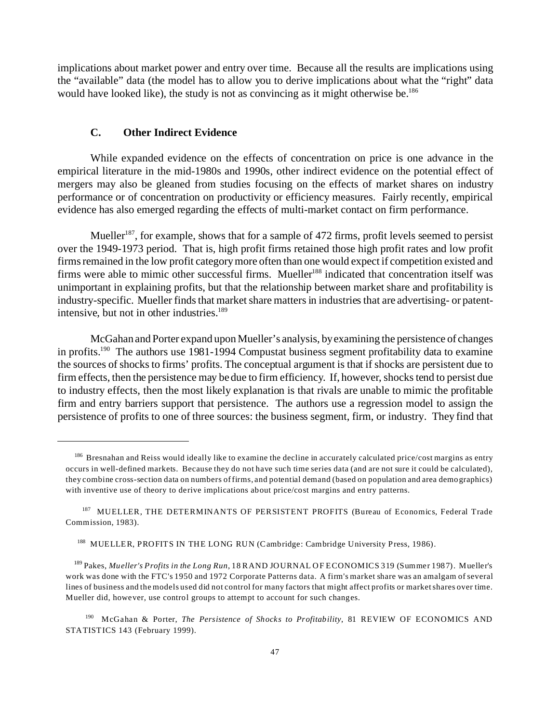implications about market power and entry over time. Because all the results are implications using the "available" data (the model has to allow you to derive implications about what the "right" data would have looked like), the study is not as convincing as it might otherwise be.<sup>186</sup>

# **C. Other Indirect Evidence**

While expanded evidence on the effects of concentration on price is one advance in the empirical literature in the mid-1980s and 1990s, other indirect evidence on the potential effect of mergers may also be gleaned from studies focusing on the effects of market shares on industry performance or of concentration on productivity or efficiency measures. Fairly recently, empirical evidence has also emerged regarding the effects of multi-market contact on firm performance.

Mueller<sup>187</sup>, for example, shows that for a sample of 472 firms, profit levels seemed to persist over the 1949-1973 period. That is, high profit firms retained those high profit rates and low profit firms remained in the low profit category more often than one would expect if competition existed and firms were able to mimic other successful firms. Mueller<sup>188</sup> indicated that concentration itself was unimportant in explaining profits, but that the relationship between market share and profitability is industry-specific. Mueller finds that market share matters in industries that are advertising- or patentintensive, but not in other industries.<sup>189</sup>

McGahan and Porter expand upon Mueller's analysis, by examining the persistence of changes in profits.<sup>190</sup> The authors use 1981-1994 Compustat business segment profitability data to examine the sources of shocks to firms' profits. The conceptual argument is that if shocks are persistent due to firm effects, then the persistence may be due to firm efficiency. If, however, shocks tend to persist due to industry effects, then the most likely explanation is that rivals are unable to mimic the profitable firm and entry barriers support that persistence. The authors use a regression model to assign the persistence of profits to one of three sources: the business segment, firm, or industry. They find that

<sup>&</sup>lt;sup>186</sup> Bresnahan and Reiss would ideally like to examine the decline in accurately calculated price/cost margins as entry occurs in well-defined markets. Because they do not have such time series data (and are not sure it could be calculated), they combine cross-section data on numbers of firms, and potential demand (based on population and area demographics) with inventive use of theory to derive implications about price/cost margins and entry patterns.

<sup>&</sup>lt;sup>187</sup> MUELLER, THE DETERMINANTS OF PERSISTENT PROFITS (Bureau of Economics, Federal Trade Commission, 1983).

<sup>188</sup> MUELLER, PROFITS IN THE LONG RUN (Cambridge: Cambridge University Press, 1986).

<sup>189</sup> Pakes, *Mueller's Profits in the Long Run*, 18 RAND JOURNAL OF ECONOMICS 319 (Summer 1987). Mueller's work was done with the FTC's 1950 and 1972 Corporate Patterns data. A firm's market share was an amalgam of several lines of business and the models used did not control for many factors that might affect profits or market shares over time. Mueller did, however, use control groups to attempt to account for such changes.

<sup>190</sup> McGahan & Porter, *The Persistence of Shocks to Profitability*, 81 REVIEW OF ECONOMICS AND STATISTICS 143 (February 1999).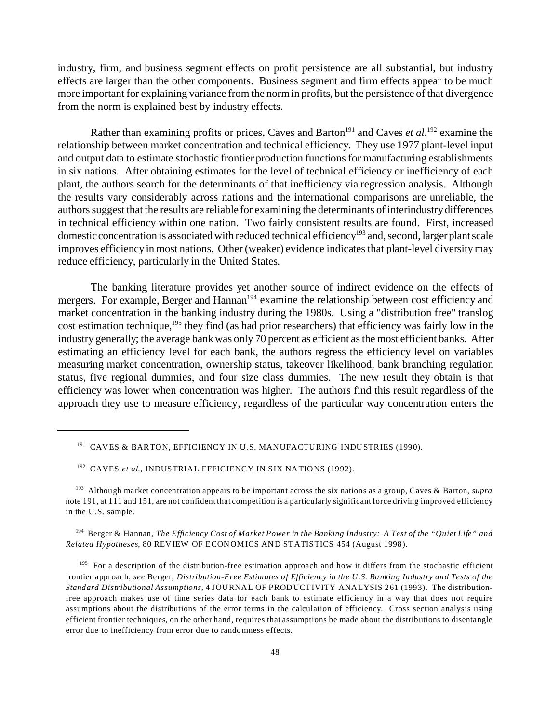industry, firm, and business segment effects on profit persistence are all substantial, but industry effects are larger than the other components. Business segment and firm effects appear to be much more important for explaining variance from the norm in profits, but the persistence of that divergence from the norm is explained best by industry effects.

Rather than examining profits or prices, Caves and Barton<sup>191</sup> and Caves *et al*.<sup>192</sup> examine the relationship between market concentration and technical efficiency. They use 1977 plant-level input and output data to estimate stochastic frontier production functions for manufacturing establishments in six nations. After obtaining estimates for the level of technical efficiency or inefficiency of each plant, the authors search for the determinants of that inefficiency via regression analysis. Although the results vary considerably across nations and the international comparisons are unreliable, the authors suggest that the results are reliable for examining the determinants of interindustry differences in technical efficiency within one nation. Two fairly consistent results are found. First, increased domestic concentration is associated with reduced technical efficiency<sup>193</sup> and, second, larger plant scale improves efficiency in most nations. Other (weaker) evidence indicates that plant-level diversity may reduce efficiency, particularly in the United States.

The banking literature provides yet another source of indirect evidence on the effects of mergers. For example, Berger and Hannan<sup>194</sup> examine the relationship between cost efficiency and market concentration in the banking industry during the 1980s. Using a "distribution free" translog cost estimation technique,<sup>195</sup> they find (as had prior researchers) that efficiency was fairly low in the industry generally; the average bank was only 70 percent as efficient as the most efficient banks. After estimating an efficiency level for each bank, the authors regress the efficiency level on variables measuring market concentration, ownership status, takeover likelihood, bank branching regulation status, five regional dummies, and four size class dummies. The new result they obtain is that efficiency was lower when concentration was higher. The authors find this result regardless of the approach they use to measure efficiency, regardless of the particular way concentration enters the

<sup>194</sup> Berger & Hannan, *The Efficiency Cost of Market Power in the Banking Industry: A Test of the "Quiet Life" and Related Hypotheses*, 80 REVIEW OF ECONOMICS AND STATISTICS 454 (August 1998).

<sup>195</sup> For a description of the distribution-free estimation approach and how it differs from the stochastic efficient frontier approach, *see* Berger, *Distribution-Free Estimates of Efficiency in the U.S. Banking Industry and Tests of the Standard Distributional Assumptions*, 4 JOURNAL OF PROD UCT IVITY ANALYSIS 261 (1993). The distributionfree approach makes use of time series data for each bank to estimate efficiency in a way that does not require assumptions about the distributions of the error terms in the calculation of efficiency. Cross section analysis using efficient frontier techniques, on the other hand, requires that assumptions be made about the distributions to disentangle error due to inefficiency from error due to randomness effects.

<sup>&</sup>lt;sup>191</sup> CAVES & BARTON, EFFICIENCY IN U.S. MANUFACTURING INDUSTRIES (1990).

<sup>&</sup>lt;sup>192</sup> CAVES *et al.*, INDUSTRIAL EFFICIENCY IN SIX NATIONS (1992).

<sup>193</sup> Although market concentration appears to be important across the six nations as a group, Caves & Barton, *supra* note 191, at 111 and 151, are not confident that competition is a particularly significant force driving improved efficiency in the U.S. sample.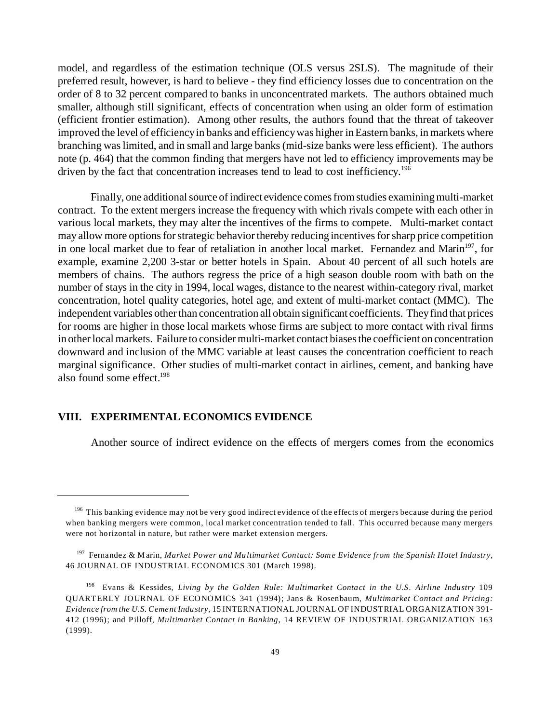model, and regardless of the estimation technique (OLS versus 2SLS). The magnitude of their preferred result, however, is hard to believe - they find efficiency losses due to concentration on the order of 8 to 32 percent compared to banks in unconcentrated markets. The authors obtained much smaller, although still significant, effects of concentration when using an older form of estimation (efficient frontier estimation). Among other results, the authors found that the threat of takeover improved the level of efficiency in banks and efficiency was higher in Eastern banks, in markets where branching was limited, and in small and large banks (mid-size banks were less efficient). The authors note (p. 464) that the common finding that mergers have not led to efficiency improvements may be driven by the fact that concentration increases tend to lead to cost inefficiency.<sup>196</sup>

Finally, one additional source of indirect evidence comes from studies examining multi-market contract. To the extent mergers increase the frequency with which rivals compete with each other in various local markets, they may alter the incentives of the firms to compete. Multi-market contact may allow more options for strategic behavior thereby reducing incentives for sharp price competition in one local market due to fear of retaliation in another local market. Fernandez and Marin<sup>197</sup>, for example, examine 2,200 3-star or better hotels in Spain. About 40 percent of all such hotels are members of chains. The authors regress the price of a high season double room with bath on the number of stays in the city in 1994, local wages, distance to the nearest within-category rival, market concentration, hotel quality categories, hotel age, and extent of multi-market contact (MMC). The independent variables other than concentration all obtain significant coefficients. They find that prices for rooms are higher in those local markets whose firms are subject to more contact with rival firms in other local markets. Failure to consider multi-market contact biases the coefficient on concentration downward and inclusion of the MMC variable at least causes the concentration coefficient to reach marginal significance. Other studies of multi-market contact in airlines, cement, and banking have also found some effect. $198$ 

# **VIII. EXPERIMENTAL ECONOMICS EVIDENCE**

Another source of indirect evidence on the effects of mergers comes from the economics

<sup>&</sup>lt;sup>196</sup> This banking evidence may not be very good indirect evidence of the effects of mergers because during the period when banking mergers were common, local market concentration tended to fall. This occurred because many mergers were not horizontal in nature, but rather were market extension mergers.

<sup>197</sup> Fernandez & Marin, *Market Power and Multimarket Contact: Some Evidence from the Spanish Hotel Industry*, 46 JOURNAL OF INDUSTRIAL ECONOMICS 301 (March 1998).

<sup>198</sup> Evans & Kessides, *Living by the Golden Rule: Multimarket Contact in the U.S. Airline Industry* 109 QUARTERLY JOURNAL OF ECONOMICS 341 (1994); Jans & Rosenbaum, *Multimarket Contact and Pricing: Evidence from the U.S. Cement Industry*, 15 INTERNATIONAL JOURNAL OF INDUSTRIAL ORGANIZATION 391- 412 (1996); and Pilloff, *Multimarket Contact in Banking*, 14 REVIEW OF INDUSTRIAL ORGANIZATION 163 (1999).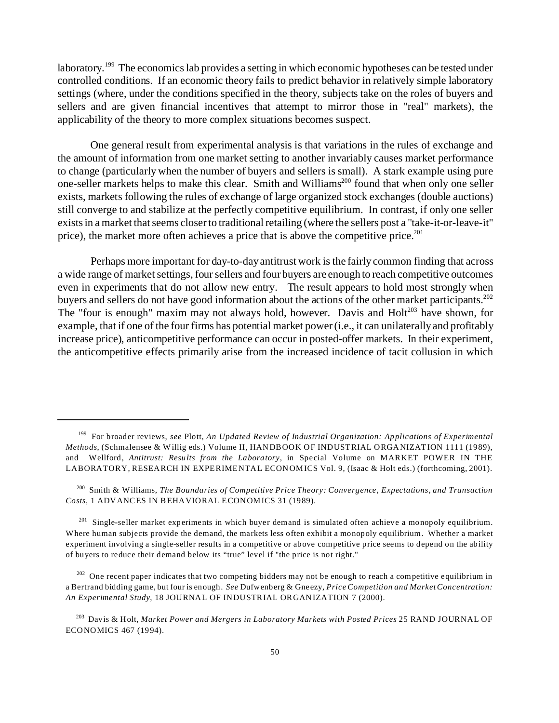laboratory.<sup>199</sup> The economics lab provides a setting in which economic hypotheses can be tested under controlled conditions. If an economic theory fails to predict behavior in relatively simple laboratory settings (where, under the conditions specified in the theory, subjects take on the roles of buyers and sellers and are given financial incentives that attempt to mirror those in "real" markets), the applicability of the theory to more complex situations becomes suspect.

One general result from experimental analysis is that variations in the rules of exchange and the amount of information from one market setting to another invariably causes market performance to change (particularly when the number of buyers and sellers is small). A stark example using pure one-seller markets helps to make this clear. Smith and Williams<sup>200</sup> found that when only one seller exists, markets following the rules of exchange of large organized stock exchanges (double auctions) still converge to and stabilize at the perfectly competitive equilibrium. In contrast, if only one seller exists in a market that seems closer to traditional retailing (where the sellers post a "take-it-or-leave-it" price), the market more often achieves a price that is above the competitive price.<sup>201</sup>

Perhaps more important for day-to-day antitrust work is the fairly common finding that across a wide range of market settings, four sellers and four buyers are enough to reach competitive outcomes even in experiments that do not allow new entry. The result appears to hold most strongly when buyers and sellers do not have good information about the actions of the other market participants.<sup>202</sup> The "four is enough" maxim may not always hold, however. Davis and  $Holt<sup>203</sup>$  have shown, for example, that if one of the four firms has potential market power (i.e., it can unilaterally and profitably increase price), anticompetitive performance can occur in posted-offer markets. In their experiment, the anticompetitive effects primarily arise from the increased incidence of tacit collusion in which

<sup>199</sup> For broader reviews, *see* Plott, *An Updated Review of Industrial Organization: Applications of Experimental Methods*, (Schmalensee & Willig eds.) Volume II, HANDBOOK OF INDUSTRIAL ORGANIZATION 1111 (1989), and Wellford, *Antitrust: Results from the Laboratory*, in Special Volume on MARKET POWER IN THE LABORATORY, RESEARCH IN EXPERIMENTAL ECONOMICS Vol. 9, (Isaac & Holt eds.) (forthcoming, 2001).

<sup>200</sup> Smith & Williams, *The Boundaries of Competitive Price Theory: Convergence, Expectations, and Transaction Costs*, 1 ADVANCES IN BEHAVIORAL ECONOMICS 31 (1989).

<sup>&</sup>lt;sup>201</sup> Single-seller market experiments in which buyer demand is simulated often achieve a monopoly equilibrium. Where human subjects provide the demand, the markets less often exhibit a monopoly equilibrium. Whether a market experiment involving a single-seller results in a competitive or above competitive price seems to depend on the ability of buyers to reduce their demand below its "true" level if "the price is not right."

 $202$  One recent paper indicates that two competing bidders may not be enough to reach a competitive equilibrium in a Bertrand bidding game, but four is enough. *See* Dufwenberg & Gneezy, *Price Competition and Market Concentration: An Experimental Study*, 18 JOURNAL OF INDUSTRIAL ORGANIZATION 7 (2000).

<sup>203</sup> Davis & Holt, *Market Power and Mergers in Laboratory Markets with Posted Prices* 25 RAND JOURNAL OF ECONOMICS 467 (1994).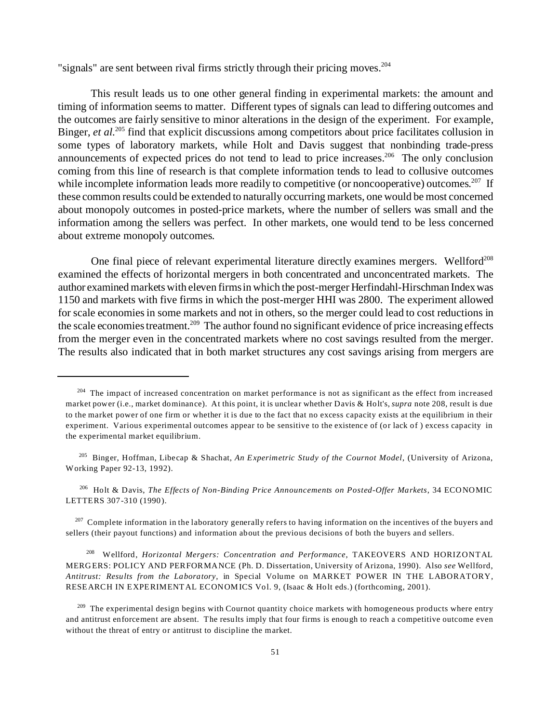"signals" are sent between rival firms strictly through their pricing moves.<sup>204</sup>

This result leads us to one other general finding in experimental markets: the amount and timing of information seems to matter. Different types of signals can lead to differing outcomes and the outcomes are fairly sensitive to minor alterations in the design of the experiment. For example, Binger, *et al.*<sup>205</sup> find that explicit discussions among competitors about price facilitates collusion in some types of laboratory markets, while Holt and Davis suggest that nonbinding trade-press announcements of expected prices do not tend to lead to price increases.<sup>206</sup> The only conclusion coming from this line of research is that complete information tends to lead to collusive outcomes while incomplete information leads more readily to competitive (or noncooperative) outcomes.<sup>207</sup> If these common results could be extended to naturally occurring markets, one would be most concerned about monopoly outcomes in posted-price markets, where the number of sellers was small and the information among the sellers was perfect. In other markets, one would tend to be less concerned about extreme monopoly outcomes.

One final piece of relevant experimental literature directly examines mergers. Wellford<sup>208</sup> examined the effects of horizontal mergers in both concentrated and unconcentrated markets. The author examined markets with eleven firms in which the post-merger Herfindahl-Hirschman Indexwas 1150 and markets with five firms in which the post-merger HHI was 2800. The experiment allowed for scale economies in some markets and not in others, so the merger could lead to cost reductions in the scale economies treatment.<sup>209</sup> The author found no significant evidence of price increasing effects from the merger even in the concentrated markets where no cost savings resulted from the merger. The results also indicated that in both market structures any cost savings arising from mergers are

<sup>206</sup> Holt & Davis, *The Effects of Non-Binding Price Announcements on Posted-Offer Markets*, 34 ECONOMIC LETTERS 307-310 (1990).

 $207$  Complete information in the laboratory generally refers to having information on the incentives of the buyers and sellers (their payout functions) and information about the previous decisions of both the buyers and sellers.

<sup>208</sup> Wellford, *Horizontal Mergers: Concentration and Performance*, TAKEOVERS AND HORIZONTAL MERGERS: POLICY AND PERFORMANCE (Ph. D. Dissertation, University of Arizona, 1990). Also *see* Wellford, *Antitrust: Results from the Laboratory*, in Special Volume on MARKET POWER IN THE LABORATORY, RESEARCH IN EXPERIMENT AL ECONOM ICS Vol. 9, (Isaac & Holt eds.) (forthcoming, 2001).

<sup>&</sup>lt;sup>204</sup> The impact of increased concentration on market performance is not as significant as the effect from increased market power (i.e., market dominance). At this point, it is unclear whether Davis & Holt's, *supra* note 208, result is due to the market power of one firm or whether it is due to the fact that no excess capacity exists at the equilibrium in their experiment. Various experimental outcomes appear to be sensitive to the existence of (or lack of ) excess capacity in the experimental market equilibrium.

<sup>205</sup> Binger, Hoffman, Libecap & Shachat, *An Experimetric Study of the Cournot Model*, (University of Arizona, Working Paper 92-13, 1992).

 $^{209}$  The experimental design begins with Cournot quantity choice markets with homogeneous products where entry and antitrust enforcement are absent. The results imply that four firms is enough to reach a competitive outcome even without the threat of entry or antitrust to discipline the market.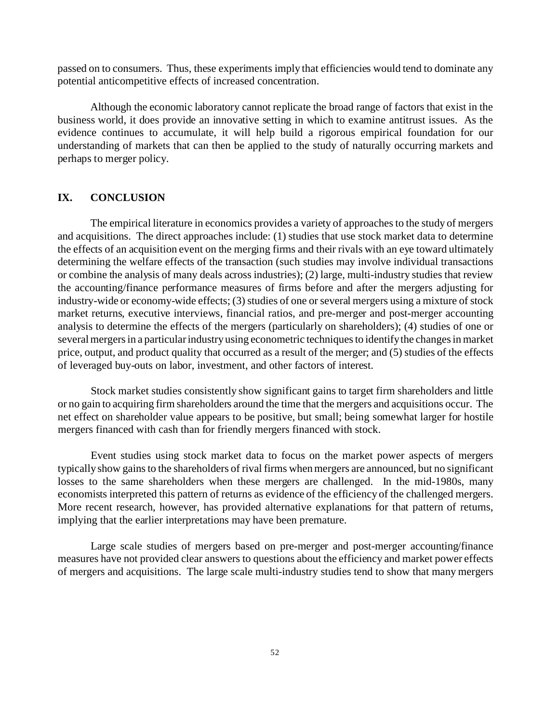passed on to consumers. Thus, these experiments imply that efficiencies would tend to dominate any potential anticompetitive effects of increased concentration.

Although the economic laboratory cannot replicate the broad range of factors that exist in the business world, it does provide an innovative setting in which to examine antitrust issues. As the evidence continues to accumulate, it will help build a rigorous empirical foundation for our understanding of markets that can then be applied to the study of naturally occurring markets and perhaps to merger policy.

# **IX. CONCLUSION**

The empirical literature in economics provides a variety of approaches to the study of mergers and acquisitions. The direct approaches include: (1) studies that use stock market data to determine the effects of an acquisition event on the merging firms and their rivals with an eye toward ultimately determining the welfare effects of the transaction (such studies may involve individual transactions or combine the analysis of many deals across industries); (2) large, multi-industry studies that review the accounting/finance performance measures of firms before and after the mergers adjusting for industry-wide or economy-wide effects; (3) studies of one or several mergers using a mixture of stock market returns, executive interviews, financial ratios, and pre-merger and post-merger accounting analysis to determine the effects of the mergers (particularly on shareholders); (4) studies of one or several mergers in a particular industry using econometric techniques to identify the changes in market price, output, and product quality that occurred as a result of the merger; and (5) studies of the effects of leveraged buy-outs on labor, investment, and other factors of interest.

Stock market studies consistently show significant gains to target firm shareholders and little or no gain to acquiring firm shareholders around the time that the mergers and acquisitions occur. The net effect on shareholder value appears to be positive, but small; being somewhat larger for hostile mergers financed with cash than for friendly mergers financed with stock.

Event studies using stock market data to focus on the market power aspects of mergers typically show gains to the shareholders of rival firms when mergers are announced, but no significant losses to the same shareholders when these mergers are challenged. In the mid-1980s, many economists interpreted this pattern of returns as evidence of the efficiency of the challenged mergers. More recent research, however, has provided alternative explanations for that pattern of returns, implying that the earlier interpretations may have been premature.

Large scale studies of mergers based on pre-merger and post-merger accounting/finance measures have not provided clear answers to questions about the efficiency and market power effects of mergers and acquisitions. The large scale multi-industry studies tend to show that many mergers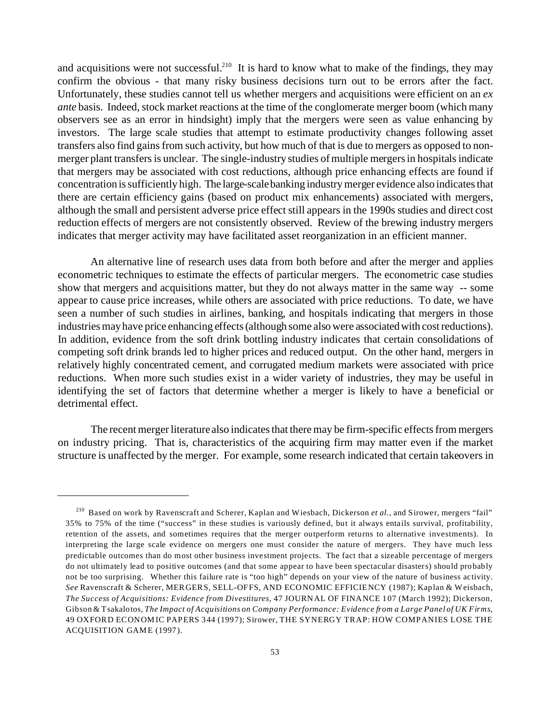and acquisitions were not successful.<sup>210</sup> It is hard to know what to make of the findings, they may confirm the obvious - that many risky business decisions turn out to be errors after the fact. Unfortunately, these studies cannot tell us whether mergers and acquisitions were efficient on an *ex ante* basis. Indeed, stock market reactions at the time of the conglomerate merger boom (which many observers see as an error in hindsight) imply that the mergers were seen as value enhancing by investors. The large scale studies that attempt to estimate productivity changes following asset transfers also find gains from such activity, but how much of that is due to mergers as opposed to nonmerger plant transfers is unclear. The single-industry studies of multiple mergers in hospitals indicate that mergers may be associated with cost reductions, although price enhancing effects are found if concentration is sufficiently high. The large-scalebanking industry merger evidence also indicates that there are certain efficiency gains (based on product mix enhancements) associated with mergers, although the small and persistent adverse price effect still appears in the 1990s studies and direct cost reduction effects of mergers are not consistently observed. Review of the brewing industry mergers indicates that merger activity may have facilitated asset reorganization in an efficient manner.

An alternative line of research uses data from both before and after the merger and applies econometric techniques to estimate the effects of particular mergers. The econometric case studies show that mergers and acquisitions matter, but they do not always matter in the same way -- some appear to cause price increases, while others are associated with price reductions. To date, we have seen a number of such studies in airlines, banking, and hospitals indicating that mergers in those industries may have price enhancing effects (although some also were associated with cost reductions). In addition, evidence from the soft drink bottling industry indicates that certain consolidations of competing soft drink brands led to higher prices and reduced output. On the other hand, mergers in relatively highly concentrated cement, and corrugated medium markets were associated with price reductions. When more such studies exist in a wider variety of industries, they may be useful in identifying the set of factors that determine whether a merger is likely to have a beneficial or detrimental effect.

The recent merger literature also indicates that there may be firm-specific effects from mergers on industry pricing. That is, characteristics of the acquiring firm may matter even if the market structure is unaffected by the merger. For example, some research indicated that certain takeovers in

<sup>210</sup> Based on work by Ravenscraft and Scherer, Kaplan and Wiesbach, Dickerson *et al.*, and Sirower, mergers "fail" 35% to 75% of the time ("success" in these studies is variously defined, but it always entails survival, profitability, retention of the assets, and sometimes requires that the merger outperform returns to alternative investments). In interpreting the large scale evidence on mergers one must consider the nature of mergers. They have much less predictable outcomes than do most other business investment projects. The fact that a sizeable percentage of mergers do not ultimately lead to positive outcomes (and that some appear to have been spectacular disasters) should probably not be too surprising. Whether this failure rate is "too high" depends on your view of the nature of business activity. *See* Ravenscraft & Scherer, MERGERS, SELL-OFFS, AND ECONOMIC EFFICIENCY (1987); Kaplan & Weisbach, *The Success of Acquisitions: Evidence from Divestitures*, 47 JOURNAL OF FINANCE 107 (March 1992); Dickerson, Gibson & Tsakalotos, *The Impact of Acquisitions on Company Performance: Evidence from a Large Panel of UK Firms*, 49 OXFORD ECONOMIC PAPERS 344 (1997); Sirower, THE SYNERGY TRAP: HOW COMPANIES LOSE THE ACQUISITION GAME (1997).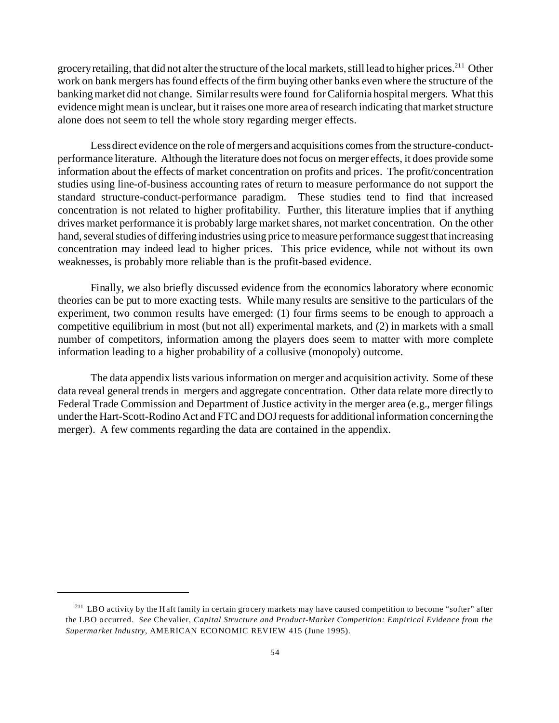grocery retailing, that did not alter the structure of the local markets, still lead to higher prices.<sup>211</sup> Other work on bank mergers has found effects of the firm buying other banks even where the structure of the banking market did not change. Similar results were found for California hospital mergers. What this evidence might mean is unclear, but it raises one more area of research indicating that market structure alone does not seem to tell the whole story regarding merger effects.

Less direct evidence on the role of mergers and acquisitions comes from the structure-conductperformance literature. Although the literature does not focus on merger effects, it does provide some information about the effects of market concentration on profits and prices. The profit/concentration studies using line-of-business accounting rates of return to measure performance do not support the standard structure-conduct-performance paradigm. These studies tend to find that increased concentration is not related to higher profitability. Further, this literature implies that if anything drives market performance it is probably large market shares, not market concentration. On the other hand, several studies of differing industries using price to measure performance suggest that increasing concentration may indeed lead to higher prices. This price evidence, while not without its own weaknesses, is probably more reliable than is the profit-based evidence.

Finally, we also briefly discussed evidence from the economics laboratory where economic theories can be put to more exacting tests. While many results are sensitive to the particulars of the experiment, two common results have emerged: (1) four firms seems to be enough to approach a competitive equilibrium in most (but not all) experimental markets, and (2) in markets with a small number of competitors, information among the players does seem to matter with more complete information leading to a higher probability of a collusive (monopoly) outcome.

The data appendix lists various information on merger and acquisition activity. Some of these data reveal general trends in mergers and aggregate concentration. Other data relate more directly to Federal Trade Commission and Department of Justice activity in the merger area (e.g., merger filings under the Hart-Scott-Rodino Act and FTC and DOJ requests for additional information concerning the merger). A few comments regarding the data are contained in the appendix.

 $^{211}$  LBO activity by the Haft family in certain grocery markets may have caused competition to become "softer" after the LBO occurred. *See* Chevalier, *Capital Structure and Product-Market Competition: Empirical Evidence from the Supermarket Industry*, AMERICAN ECONOMIC REVIEW 415 (June 1995).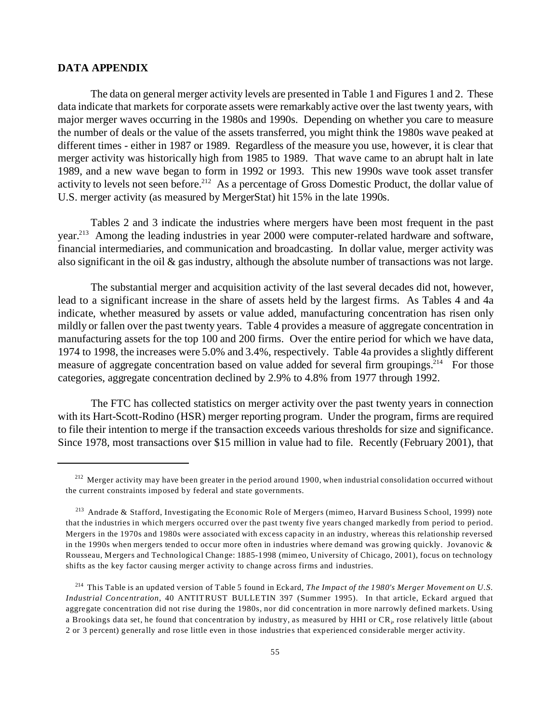#### **DATA APPENDIX**

The data on general merger activity levels are presented in Table 1 and Figures 1 and 2. These data indicate that markets for corporate assets were remarkably active over the last twenty years, with major merger waves occurring in the 1980s and 1990s. Depending on whether you care to measure the number of deals or the value of the assets transferred, you might think the 1980s wave peaked at different times - either in 1987 or 1989. Regardless of the measure you use, however, it is clear that merger activity was historically high from 1985 to 1989. That wave came to an abrupt halt in late 1989, and a new wave began to form in 1992 or 1993. This new 1990s wave took asset transfer activity to levels not seen before.<sup>212</sup> As a percentage of Gross Domestic Product, the dollar value of U.S. merger activity (as measured by MergerStat) hit 15% in the late 1990s.

Tables 2 and 3 indicate the industries where mergers have been most frequent in the past year.<sup>213</sup> Among the leading industries in year 2000 were computer-related hardware and software, financial intermediaries, and communication and broadcasting. In dollar value, merger activity was also significant in the oil  $\&$  gas industry, although the absolute number of transactions was not large.

The substantial merger and acquisition activity of the last several decades did not, however, lead to a significant increase in the share of assets held by the largest firms. As Tables 4 and 4a indicate, whether measured by assets or value added, manufacturing concentration has risen only mildly or fallen over the past twenty years. Table 4 provides a measure of aggregate concentration in manufacturing assets for the top 100 and 200 firms. Over the entire period for which we have data, 1974 to 1998, the increases were 5.0% and 3.4%, respectively. Table 4a provides a slightly different measure of aggregate concentration based on value added for several firm groupings.<sup>214</sup> For those categories, aggregate concentration declined by 2.9% to 4.8% from 1977 through 1992.

The FTC has collected statistics on merger activity over the past twenty years in connection with its Hart-Scott-Rodino (HSR) merger reporting program. Under the program, firms are required to file their intention to merge if the transaction exceeds various thresholds for size and significance. Since 1978, most transactions over \$15 million in value had to file. Recently (February 2001), that

 $^{212}$  Merger activity may have been greater in the period around 1900, when industrial consolidation occurred without the current constraints imposed by federal and state governments.

<sup>&</sup>lt;sup>213</sup> Andrade & Stafford, Investigating the Economic Role of Mergers (mimeo, Harvard Business School, 1999) note that the industries in which mergers occurred over the past twenty five years changed markedly from period to period. Mergers in the 1970s and 1980s were associated with excess capacity in an industry, whereas this relationship reversed in the 1990s when mergers tended to occur more often in industries where demand was growing quickly. Jovanovic & Rousseau, Mergers and Technological Change: 1885-1998 (mimeo, University of Chicago, 2001), focus on technology shifts as the key factor causing merger activity to change across firms and industries.

<sup>214</sup> This Table is an updated version of Table 5 found in Eckard, *The Impact of the 1980's Merger Movement on U.S. Industrial Concentration*, 40 ANTITRUST BULLETIN 397 (Summer 1995). In that article, Eckard argued that aggregate concentration did not rise during the 1980s, nor did concentration in more narrowly defined markets. Using a Brookings data set, he found that concentration by industry, as measured by HHI or  $\rm CR_{i}$  rose relatively little (about 2 or 3 percent) generally and rose little even in those industries that experienced considerable merger activity.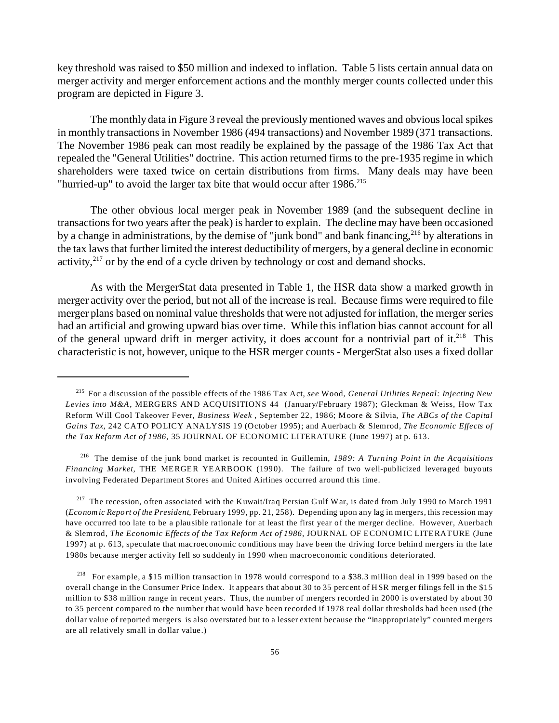key threshold was raised to \$50 million and indexed to inflation. Table 5 lists certain annual data on merger activity and merger enforcement actions and the monthly merger counts collected under this program are depicted in Figure 3.

The monthly data in Figure 3 reveal the previously mentioned waves and obvious local spikes in monthly transactions in November 1986 (494 transactions) and November 1989 (371 transactions. The November 1986 peak can most readily be explained by the passage of the 1986 Tax Act that repealed the "General Utilities" doctrine. This action returned firms to the pre-1935 regime in which shareholders were taxed twice on certain distributions from firms. Many deals may have been "hurried-up" to avoid the larger tax bite that would occur after 1986.<sup>215</sup>

The other obvious local merger peak in November 1989 (and the subsequent decline in transactions for two years after the peak) is harder to explain. The decline may have been occasioned by a change in administrations, by the demise of "junk bond" and bank financing,<sup>216</sup> by alterations in the tax laws that further limited the interest deductibility of mergers, by a general decline in economic activity, $2^{17}$  or by the end of a cycle driven by technology or cost and demand shocks.

As with the MergerStat data presented in Table 1, the HSR data show a marked growth in merger activity over the period, but not all of the increase is real. Because firms were required to file merger plans based on nominal value thresholds that were not adjusted for inflation, the merger series had an artificial and growing upward bias over time. While this inflation bias cannot account for all of the general upward drift in merger activity, it does account for a nontrivial part of it.<sup>218</sup> This characteristic is not, however, unique to the HSR merger counts - MergerStat also uses a fixed dollar

<sup>217</sup> The recession, often associated with the Kuwait/Iraq Persian Gulf War, is dated from July 1990 to March 1991 (*Economic Report of the President*, February 1999, pp. 21, 258). Depending upon any lag in mergers, this recession may have occurred too late to be a plausible rationale for at least the first year of the merger decline. However, Auerbach & Slemrod, *The Economic Effects of the Tax Reform Act of 1986*, JOURNAL OF ECONOMIC LITERATURE (June 1997) at p. 613, speculate that macroeconomic conditions may have been the driving force behind mergers in the late 1980s because merger activity fell so suddenly in 1990 when macroeconomic conditions deteriorated.

<sup>215</sup> For a discussion of the possible effects of the 1986 Tax Act, *see* Wood, *General Utilities Repeal: Injecting New Levies into M&A*, MERGERS AND ACQUISITIONS 44 (January/February 1987); Gleckman & Weiss, How Tax Reform Will Cool Takeover Fever, *Business Week* , September 22, 1986; Moore & Silvia, *The ABCs of the Capital Gains Tax*, 242 CATO POLICY ANALYSIS 19 (October 1995); and Auerbach & Slemrod, *The Economic Effects of the Tax Reform Act of 1986*, 35 JOURNAL OF ECONOM IC LITERATURE (June 1997) at p. 613.

<sup>216</sup> The demise of the junk bond market is recounted in Guillemin, *1989: A Turning Point in the Acquisitions Financing Market*, THE MERGER YEARBOOK (1990). The failure of two well-publicized leveraged buyouts involving Federated Department Stores and United Airlines occurred around this time.

<sup>&</sup>lt;sup>218</sup> For example, a \$15 million transaction in 1978 would correspond to a \$38.3 million deal in 1999 based on the overall change in the Consumer Price Index. It appears that about 30 to 35 percent of HSR merger filings fell in the \$15 million to \$38 million range in recent years. Thus, the number of mergers recorded in 2000 is overstated by about 30 to 35 percent compared to the number that would have been recorded if 1978 real dollar thresholds had been used (the dollar value of reported mergers is also overstated but to a lesser extent because the "inappropriately" counted mergers are all relatively small in dollar value.)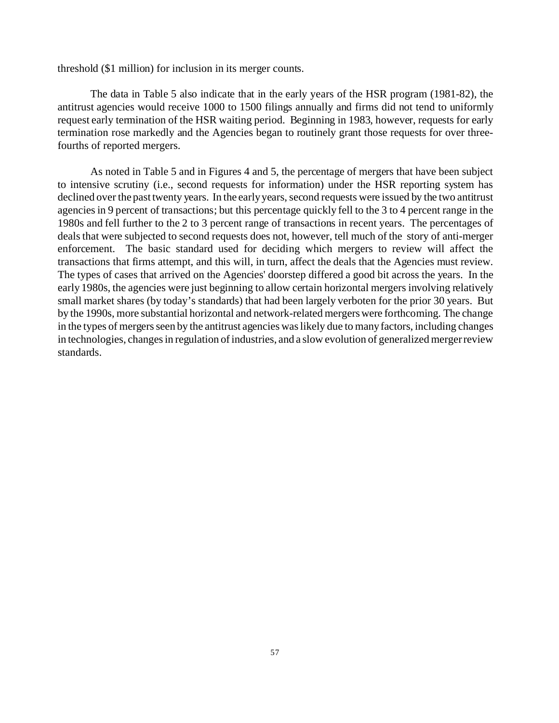threshold (\$1 million) for inclusion in its merger counts.

The data in Table 5 also indicate that in the early years of the HSR program (1981-82), the antitrust agencies would receive 1000 to 1500 filings annually and firms did not tend to uniformly request early termination of the HSR waiting period. Beginning in 1983, however, requests for early termination rose markedly and the Agencies began to routinely grant those requests for over threefourths of reported mergers.

As noted in Table 5 and in Figures 4 and 5, the percentage of mergers that have been subject to intensive scrutiny (i.e., second requests for information) under the HSR reporting system has declined over the past twenty years. In the early years, second requests were issued by the two antitrust agencies in 9 percent of transactions; but this percentage quickly fell to the 3 to 4 percent range in the 1980s and fell further to the 2 to 3 percent range of transactions in recent years. The percentages of deals that were subjected to second requests does not, however, tell much of the story of anti-merger enforcement. The basic standard used for deciding which mergers to review will affect the transactions that firms attempt, and this will, in turn, affect the deals that the Agencies must review. The types of cases that arrived on the Agencies' doorstep differed a good bit across the years. In the early 1980s, the agencies were just beginning to allow certain horizontal mergers involving relatively small market shares (by today's standards) that had been largely verboten for the prior 30 years. But by the 1990s, more substantial horizontal and network-related mergers were forthcoming. The change in the types of mergers seen by the antitrust agencies was likely due to many factors, including changes in technologies, changes in regulation of industries, and a slow evolution of generalized merger review standards.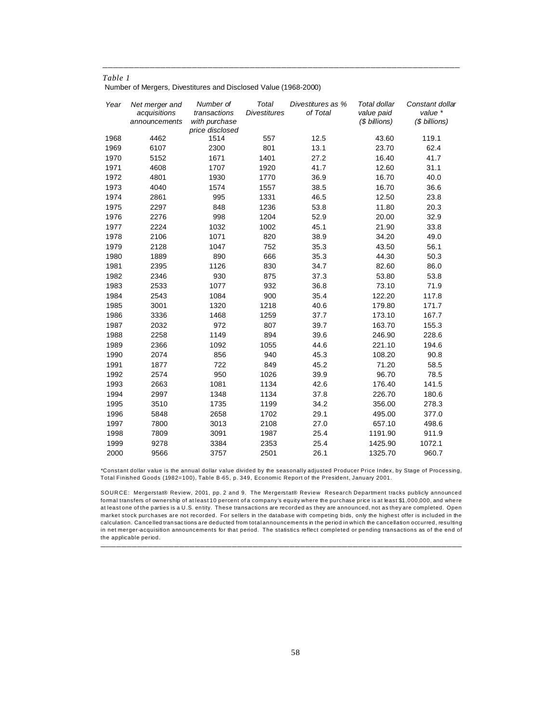Number of Mergers, Divestitures and Disclosed Value (1968-2000)

| Year | Net merger and<br>acquisitions<br>announcements | Number of<br>transactions<br>with purchase<br>price disclosed | Total<br><b>Divestitures</b> | Divestitures as %<br>of Total | Total dollar<br>value paid<br>(\$ billions) | Constant dollar<br>value *<br>(\$ billions) |
|------|-------------------------------------------------|---------------------------------------------------------------|------------------------------|-------------------------------|---------------------------------------------|---------------------------------------------|
| 1968 | 4462                                            | 1514                                                          | 557                          | 12.5                          | 43.60                                       | 119.1                                       |
| 1969 | 6107                                            | 2300                                                          | 801                          | 13.1                          | 23.70                                       | 62.4                                        |
| 1970 | 5152                                            | 1671                                                          | 1401                         | 27.2                          | 16.40                                       | 41.7                                        |
| 1971 | 4608                                            | 1707                                                          | 1920                         | 41.7                          | 12.60                                       | 31.1                                        |
| 1972 | 4801                                            | 1930                                                          | 1770                         | 36.9                          | 16.70                                       | 40.0                                        |
| 1973 | 4040                                            | 1574                                                          | 1557                         | 38.5                          | 16.70                                       | 36.6                                        |
| 1974 | 2861                                            | 995                                                           | 1331                         | 46.5                          | 12.50                                       | 23.8                                        |
| 1975 | 2297                                            | 848                                                           | 1236                         | 53.8                          | 11.80                                       | 20.3                                        |
| 1976 | 2276                                            | 998                                                           | 1204                         | 52.9                          | 20.00                                       | 32.9                                        |
| 1977 | 2224                                            | 1032                                                          | 1002                         | 45.1                          | 21.90                                       | 33.8                                        |
| 1978 | 2106                                            | 1071                                                          | 820                          | 38.9                          | 34.20                                       | 49.0                                        |
| 1979 | 2128                                            | 1047                                                          | 752                          | 35.3                          | 43.50                                       | 56.1                                        |
| 1980 | 1889                                            | 890                                                           | 666                          | 35.3                          | 44.30                                       | 50.3                                        |
| 1981 | 2395                                            | 1126                                                          | 830                          | 34.7                          | 82.60                                       | 86.0                                        |
| 1982 | 2346                                            | 930                                                           | 875                          | 37.3                          | 53.80                                       | 53.8                                        |
| 1983 | 2533                                            | 1077                                                          | 932                          | 36.8                          | 73.10                                       | 71.9                                        |
| 1984 | 2543                                            | 1084                                                          | 900                          | 35.4                          | 122.20                                      | 117.8                                       |
| 1985 | 3001                                            | 1320                                                          | 1218                         | 40.6                          | 179.80                                      | 171.7                                       |
| 1986 | 3336                                            | 1468                                                          | 1259                         | 37.7                          | 173.10                                      | 167.7                                       |
| 1987 | 2032                                            | 972                                                           | 807                          | 39.7                          | 163.70                                      | 155.3                                       |
| 1988 | 2258                                            | 1149                                                          | 894                          | 39.6                          | 246.90                                      | 228.6                                       |
| 1989 | 2366                                            | 1092                                                          | 1055                         | 44.6                          | 221.10                                      | 194.6                                       |
| 1990 | 2074                                            | 856                                                           | 940                          | 45.3                          | 108.20                                      | 90.8                                        |
| 1991 | 1877                                            | 722                                                           | 849                          | 45.2                          | 71.20                                       | 58.5                                        |
| 1992 | 2574                                            | 950                                                           | 1026                         | 39.9                          | 96.70                                       | 78.5                                        |
| 1993 | 2663                                            | 1081                                                          | 1134                         | 42.6                          | 176.40                                      | 141.5                                       |
| 1994 | 2997                                            | 1348                                                          | 1134                         | 37.8                          | 226.70                                      | 180.6                                       |
| 1995 | 3510                                            | 1735                                                          | 1199                         | 34.2                          | 356.00                                      | 278.3                                       |
| 1996 | 5848                                            | 2658                                                          | 1702                         | 29.1                          | 495.00                                      | 377.0                                       |
| 1997 | 7800                                            | 3013                                                          | 2108                         | 27.0                          | 657.10                                      | 498.6                                       |
| 1998 | 7809                                            | 3091                                                          | 1987                         | 25.4                          | 1191.90                                     | 911.9                                       |
| 1999 | 9278                                            | 3384                                                          | 2353                         | 25.4                          | 1425.90                                     | 1072.1                                      |
| 2000 | 9566                                            | 3757                                                          | 2501                         | 26.1                          | 1325.70                                     | 960.7                                       |

))))))))))))))))))))))))))))))))))))))))))))))))))))))))))))))))))))

*\**Constant dollar value is the annual dollar value divided by the seasonally adjusted Producer Price Index, by Stage of Processing, Total Finished Goods (1982=100), Table B-65, p. 349, Economic Report of the President, January 2001.

SOURCE: Mergerstat® Review, 2001, pp. 2 and 9. The Mergerstat® Review Research Department tracks publicly announced formal transfers of ownership of at least 10 percent of a company's equity where the purchase price is at least \$1,000,000, and where at least one of the parties is a U.S. entity. These transactions are recorded as they are announced, not as they are completed. Open market stock purchases are not recorded. For sellers in the database with competing bids, only the highest offer is included in the calculation. Cancelled transactions are deducted from total announcements in the period in which the cancellation occurred, resulting in net merger-acquisition announcements for that period. The statistics reflect completed or pending transactions as of the end of the applicable period.

)))))))))))))))))))))))))))))))))))))))))))))))))))))))))))))))))))))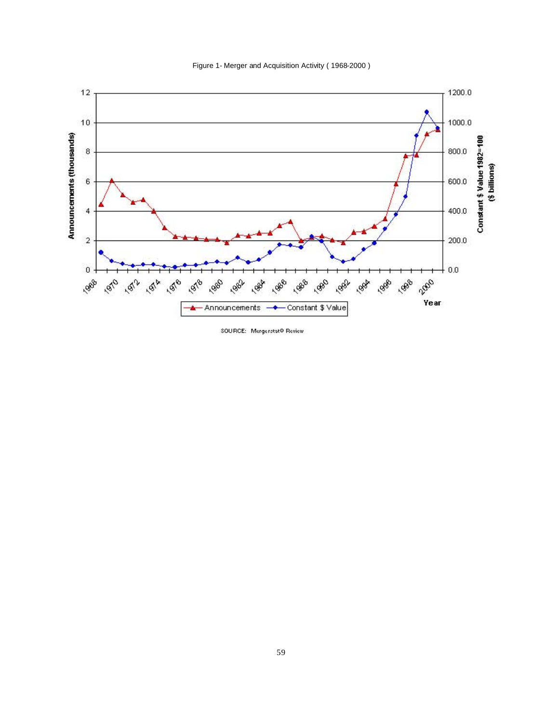



SOURCE: Mergerstat@ Review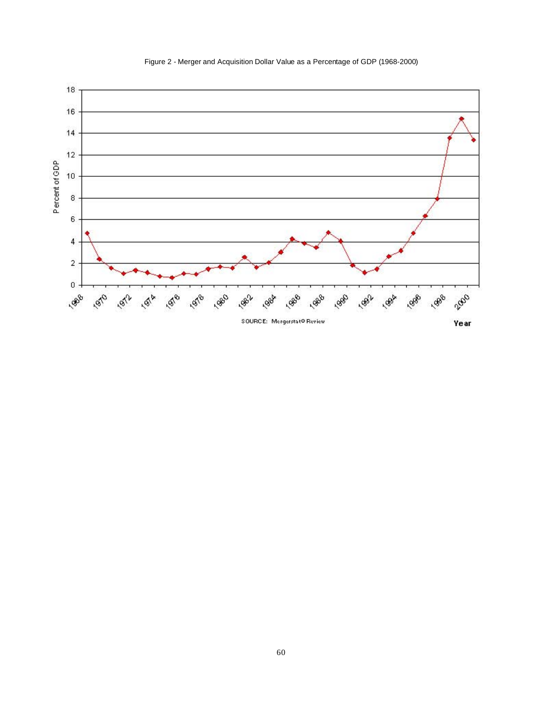

Figure 2 - Merger and Acquisition Dollar Value as a Percentage of GDP (1968-2000)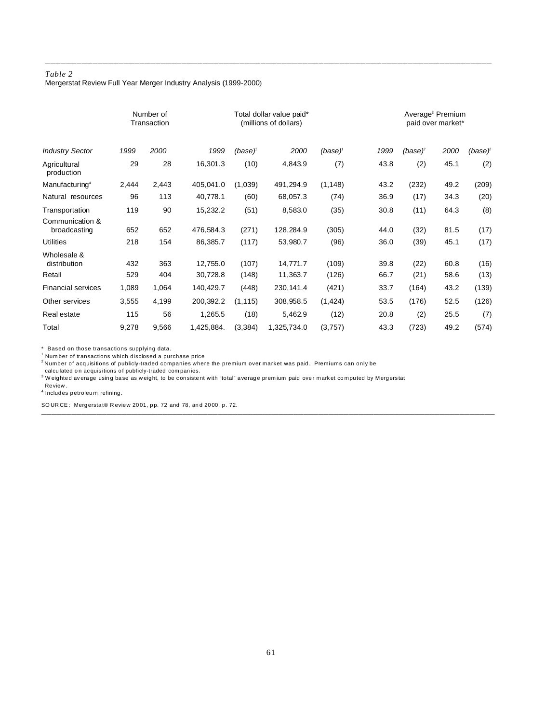Mergerstat Review Full Year Merger Industry Analysis (1999-2000)

|                                 | Number of<br>Transaction |       |            |              | Total dollar value paid*<br>(millions of dollars) |          |      | Average <sup>3</sup> Premium<br>paid over market* |      |         |
|---------------------------------|--------------------------|-------|------------|--------------|---------------------------------------------------|----------|------|---------------------------------------------------|------|---------|
| <b>Industry Sector</b>          | 1999                     | 2000  | 1999       | $(base)^{t}$ | 2000                                              | (base)'  | 1999 | (base)°                                           | 2000 | (base)° |
| Agricultural<br>production      | 29                       | 28    | 16,301.3   | (10)         | 4,843.9                                           | (7)      | 43.8 | (2)                                               | 45.1 | (2)     |
| Manufacturing <sup>4</sup>      | 2,444                    | 2,443 | 405,041.0  | (1,039)      | 491,294.9                                         | (1, 148) | 43.2 | (232)                                             | 49.2 | (209)   |
| Natural resources               | 96                       | 113   | 40,778.1   | (60)         | 68,057.3                                          | (74)     | 36.9 | (17)                                              | 34.3 | (20)    |
| Transportation                  | 119                      | 90    | 15,232.2   | (51)         | 8,583.0                                           | (35)     | 30.8 | (11)                                              | 64.3 | (8)     |
| Communication &<br>broadcasting | 652                      | 652   | 476,584.3  | (271)        | 128,284.9                                         | (305)    | 44.0 | (32)                                              | 81.5 | (17)    |
| <b>Utilities</b>                | 218                      | 154   | 86,385.7   | (117)        | 53,980.7                                          | (96)     | 36.0 | (39)                                              | 45.1 | (17)    |
| Wholesale &<br>distribution     | 432                      | 363   | 12,755.0   | (107)        | 14,771.7                                          | (109)    | 39.8 | (22)                                              | 60.8 | (16)    |
| Retail                          | 529                      | 404   | 30,728.8   | (148)        | 11,363.7                                          | (126)    | 66.7 | (21)                                              | 58.6 | (13)    |
| <b>Financial services</b>       | 1,089                    | 1,064 | 140,429.7  | (448)        | 230,141.4                                         | (421)    | 33.7 | (164)                                             | 43.2 | (139)   |
| Other services                  | 3,555                    | 4,199 | 200,392.2  | (1, 115)     | 308,958.5                                         | (1, 424) | 53.5 | (176)                                             | 52.5 | (126)   |
| Real estate                     | 115                      | 56    | 1,265.5    | (18)         | 5,462.9                                           | (12)     | 20.8 | (2)                                               | 25.5 | (7)     |
| Total                           | 9,278                    | 9,566 | 1,425,884. | (3, 384)     | 1,325,734.0                                       | (3,757)  | 43.3 | (723)                                             | 49.2 | (574)   |

))))))))))))))))))))))))))))))))))))))))))))))))))))))))))))))))))))))))))))))))))))))))))

)))))))))))))))))))))))))))))))))))))))))))))))))))))))))))))))))))))))))))))))))))))

\* Based on those transactions supplying data.

<sup>1</sup> Number of transactions which disclosed a purchase price

<sup>2</sup>Number of acquisitions of publicly-traded companies where the premium over market was paid. Premiums can only be

calculated on acquisitions of publicly-traded companies.<br><sup>3</sup> Weighted average using base as weight, to be consistent with "total" average premium paid over market computed by Mergerstat Review.

4 Includes petroleum refining.

SOURCE: Mergerstat® Review 2001, pp. 72 and 78, and 2000, p. 72.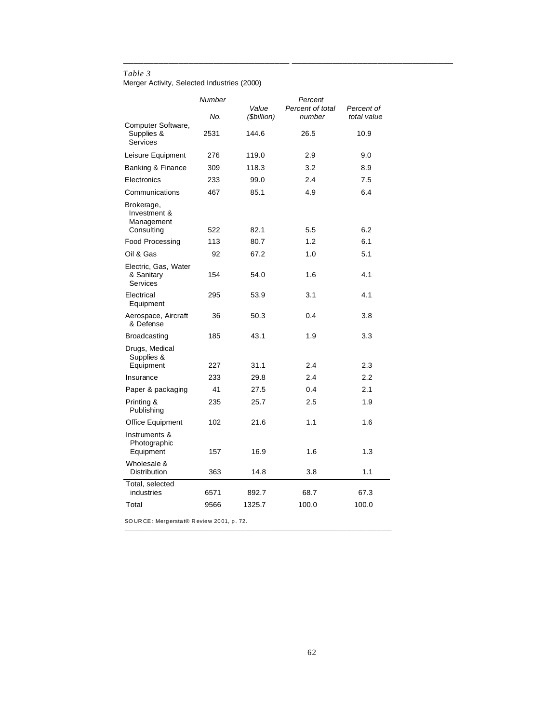Merger Activity, Selected Industries (2000)

|                                                        | Number |                      | Percent                    |                           |
|--------------------------------------------------------|--------|----------------------|----------------------------|---------------------------|
|                                                        | No.    | Value<br>(\$billion) | Percent of total<br>number | Percent of<br>total value |
| Computer Software,<br>Supplies &<br>Services           | 2531   | 144.6                | 26.5                       | 10.9                      |
| Leisure Equipment                                      | 276    | 119.0                | 2.9                        | 9.0                       |
| Banking & Finance                                      | 309    | 118.3                | 3.2                        | 8.9                       |
| Electronics                                            | 233    | 99.0                 | 2.4                        | 7.5                       |
| Communications                                         | 467    | 85.1                 | 4.9                        | 6.4                       |
| Brokerage,<br>Investment &<br>Management<br>Consulting | 522    | 82.1                 | 5.5                        | 6.2                       |
| Food Processing                                        | 113    | 80.7                 | 1.2                        | 6.1                       |
| Oil & Gas                                              | 92     | 67.2                 | 1.0                        | 5.1                       |
| Electric, Gas, Water                                   |        |                      |                            |                           |
| & Sanitary<br><b>Services</b>                          | 154    | 54.0                 | 1.6                        | 4.1                       |
| Electrical<br>Equipment                                | 295    | 53.9                 | 3.1                        | 4.1                       |
| Aerospace, Aircraft<br>& Defense                       | 36     | 50.3                 | 0.4                        | 3.8                       |
| <b>Broadcasting</b>                                    | 185    | 43.1                 | 1.9                        | 3.3                       |
| Drugs, Medical<br>Supplies &                           |        |                      |                            |                           |
| Equipment                                              | 227    | 31.1                 | 2.4                        | 2.3                       |
| Insurance                                              | 233    | 29.8                 | 2.4                        | 2.2                       |
| Paper & packaging                                      | 41     | 27.5                 | 0.4                        | 2.1                       |
| Printing &<br>Publishing                               | 235    | 25.7                 | 2.5                        | 1.9                       |
| <b>Office Equipment</b>                                | 102    | 21.6                 | 1.1                        | 1.6                       |
| Instruments &<br>Photographic<br>Equipment             | 157    | 16.9                 | 1.6                        | 1.3                       |
| Wholesale &<br>Distribution                            | 363    | 14.8                 | 3.8                        | 1.1                       |
| Total, selected<br>industries                          | 6571   | 892.7                | 68.7                       | 67.3                      |
| Total                                                  | 9566   | 1325.7               | 100.0                      | 100.0                     |

)))))))))))))))))))))))))))))))))))))))))))))))))))))

))))))))))))))))))))))))))))))))) ))))))))))))))))))))))))))))))))

SOURCE: Mergerstat® Review 2001, p. 72.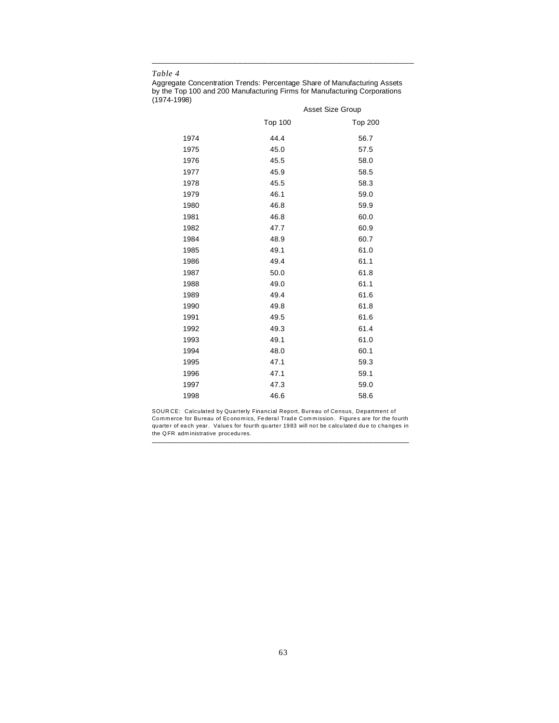Aggregate Concentration Trends: Percentage Share of Manufacturing Assets by the Top 100 and 200 Manufacturing Firms for Manufacturing Corporations (1974-1998)

))))))))))))))))))))))))))))))))))))))))))))))))))))

|      |                | <b>Asset Size Group</b> |
|------|----------------|-------------------------|
|      | <b>Top 100</b> | <b>Top 200</b>          |
| 1974 | 44.4           | 56.7                    |
| 1975 | 45.0           | 57.5                    |
| 1976 | 45.5           | 58.0                    |
| 1977 | 45.9           | 58.5                    |
| 1978 | 45.5           | 58.3                    |
| 1979 | 46.1           | 59.0                    |
| 1980 | 46.8           | 59.9                    |
| 1981 | 46.8           | 60.0                    |
| 1982 | 47.7           | 60.9                    |
| 1984 | 48.9           | 60.7                    |
| 1985 | 49.1           | 61.0                    |
| 1986 | 49.4           | 61.1                    |
| 1987 | 50.0           | 61.8                    |
| 1988 | 49.0           | 61.1                    |
| 1989 | 49.4           | 61.6                    |
| 1990 | 49.8           | 61.8                    |
| 1991 | 49.5           | 61.6                    |
| 1992 | 49.3           | 61.4                    |
| 1993 | 49.1           | 61.0                    |
| 1994 | 48.0           | 60.1                    |
| 1995 | 47.1           | 59.3                    |
| 1996 | 47.1           | 59.1                    |
| 1997 | 47.3           | 59.0                    |
| 1998 | 46.6           | 58.6                    |

SOUR CE: Calculated by Quarterly Financial Report, Bureau of Census, Department of Commerce for Bureau of Economics, Federal Trade Commission. Figures are for the fourth quarter of each year. Values for fourth quarter 1983 will not be calculated due to changes in the QFR adm inistrative procedures. )))))))))))))))))))))))))))))))))))))))))))))))))))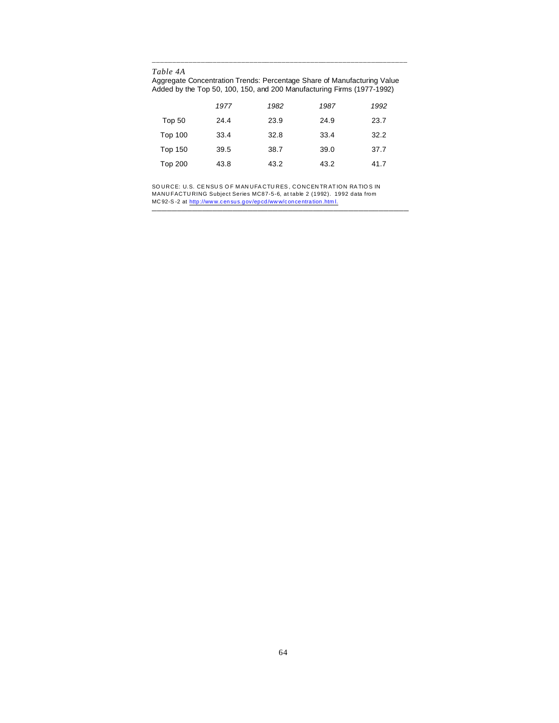*Table 4A*

Aggregate Concentration Trends: Percentage Share of Manufacturing Value Added by the Top 50, 100, 150, and 200 Manufacturing Firms (1977-1992)

)))))))))))))))))))))))))))))))))))))))))))))))))))))))))))))))

|                | 1977 | 1982 | 1987 | 1992 |
|----------------|------|------|------|------|
| Top 50         | 24.4 | 23.9 | 24.9 | 23.7 |
| <b>Top 100</b> | 33.4 | 32.8 | 33.4 | 32.2 |
| <b>Top 150</b> | 39.5 | 38.7 | 39.0 | 37.7 |
| <b>Top 200</b> | 43.8 | 43.2 | 43.2 | 41.7 |

SO URCE: U.S. CENSUS OF MANUFACTURES , CONCENTRATION RATIOS IN MANU FACTU RING Subject Series MC87-5-6, at table 2 (1992). 1992 data from MC92-S-2 at http://www.census.gov/epcd/www/concentration.htm l.

)))))))))))))))))))))))))))))))))))))))))))))))))))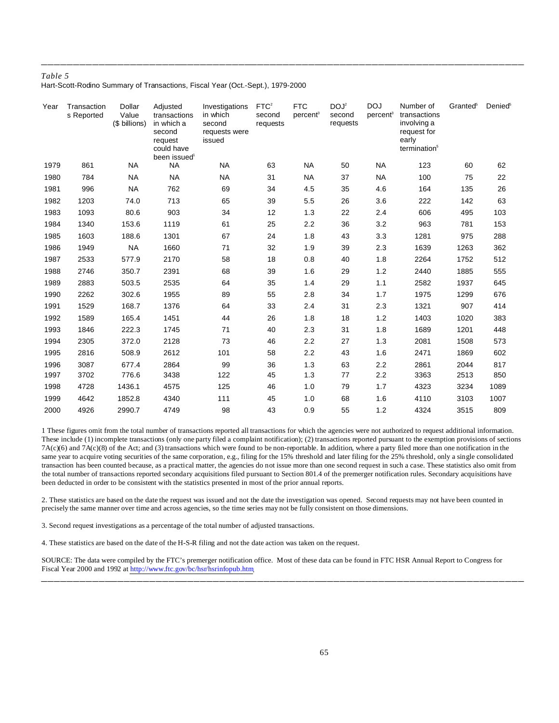Hart-Scott-Rodino Summary of Transactions, Fiscal Year (Oct.-Sept.), 1979-2000

| Year | Transaction<br>s Reported | Dollar<br>Value<br>(\$ billions) | Adjusted<br>transactions<br>in which a<br>second<br>request<br>could have<br>been issued <sup>1</sup> | Investigations<br>in which<br>second<br>requests were<br>issued | FTC <sup>2</sup><br>second<br>requests | <b>FTC</b><br>percent <sup>3</sup> | DOJ <sup>2</sup><br>second<br>requests | <b>DOJ</b><br>percent <sup>3</sup> | Number of<br>transactions<br>involving a<br>request for<br>early<br>termination <sup>5</sup> | Granted <sup>5</sup> | Denied <sup>5</sup> |
|------|---------------------------|----------------------------------|-------------------------------------------------------------------------------------------------------|-----------------------------------------------------------------|----------------------------------------|------------------------------------|----------------------------------------|------------------------------------|----------------------------------------------------------------------------------------------|----------------------|---------------------|
| 1979 | 861                       | <b>NA</b>                        | <b>NA</b>                                                                                             | <b>NA</b>                                                       | 63                                     | <b>NA</b>                          | 50                                     | <b>NA</b>                          | 123                                                                                          | 60                   | 62                  |
| 1980 | 784                       | <b>NA</b>                        | <b>NA</b>                                                                                             | <b>NA</b>                                                       | 31                                     | <b>NA</b>                          | 37                                     | <b>NA</b>                          | 100                                                                                          | 75                   | 22                  |
| 1981 | 996                       | <b>NA</b>                        | 762                                                                                                   | 69                                                              | 34                                     | 4.5                                | 35                                     | 4.6                                | 164                                                                                          | 135                  | 26                  |
| 1982 | 1203                      | 74.0                             | 713                                                                                                   | 65                                                              | 39                                     | 5.5                                | 26                                     | 3.6                                | 222                                                                                          | 142                  | 63                  |
| 1983 | 1093                      | 80.6                             | 903                                                                                                   | 34                                                              | 12                                     | 1.3                                | 22                                     | 2.4                                | 606                                                                                          | 495                  | 103                 |
| 1984 | 1340                      | 153.6                            | 1119                                                                                                  | 61                                                              | 25                                     | 2.2                                | 36                                     | 3.2                                | 963                                                                                          | 781                  | 153                 |
| 1985 | 1603                      | 188.6                            | 1301                                                                                                  | 67                                                              | 24                                     | 1.8                                | 43                                     | 3.3                                | 1281                                                                                         | 975                  | 288                 |
| 1986 | 1949                      | <b>NA</b>                        | 1660                                                                                                  | 71                                                              | 32                                     | 1.9                                | 39                                     | 2.3                                | 1639                                                                                         | 1263                 | 362                 |
| 1987 | 2533                      | 577.9                            | 2170                                                                                                  | 58                                                              | 18                                     | 0.8                                | 40                                     | 1.8                                | 2264                                                                                         | 1752                 | 512                 |
| 1988 | 2746                      | 350.7                            | 2391                                                                                                  | 68                                                              | 39                                     | 1.6                                | 29                                     | 1.2                                | 2440                                                                                         | 1885                 | 555                 |
| 1989 | 2883                      | 503.5                            | 2535                                                                                                  | 64                                                              | 35                                     | 1.4                                | 29                                     | 1.1                                | 2582                                                                                         | 1937                 | 645                 |
| 1990 | 2262                      | 302.6                            | 1955                                                                                                  | 89                                                              | 55                                     | 2.8                                | 34                                     | 1.7                                | 1975                                                                                         | 1299                 | 676                 |
| 1991 | 1529                      | 168.7                            | 1376                                                                                                  | 64                                                              | 33                                     | 2.4                                | 31                                     | 2.3                                | 1321                                                                                         | 907                  | 414                 |
| 1992 | 1589                      | 165.4                            | 1451                                                                                                  | 44                                                              | 26                                     | 1.8                                | 18                                     | 1.2                                | 1403                                                                                         | 1020                 | 383                 |
| 1993 | 1846                      | 222.3                            | 1745                                                                                                  | 71                                                              | 40                                     | 2.3                                | 31                                     | 1.8                                | 1689                                                                                         | 1201                 | 448                 |
| 1994 | 2305                      | 372.0                            | 2128                                                                                                  | 73                                                              | 46                                     | 2.2                                | 27                                     | 1.3                                | 2081                                                                                         | 1508                 | 573                 |
| 1995 | 2816                      | 508.9                            | 2612                                                                                                  | 101                                                             | 58                                     | 2.2                                | 43                                     | 1.6                                | 2471                                                                                         | 1869                 | 602                 |
| 1996 | 3087                      | 677.4                            | 2864                                                                                                  | 99                                                              | 36                                     | 1.3                                | 63                                     | 2.2                                | 2861                                                                                         | 2044                 | 817                 |
| 1997 | 3702                      | 776.6                            | 3438                                                                                                  | 122                                                             | 45                                     | 1.3                                | 77                                     | 2.2                                | 3363                                                                                         | 2513                 | 850                 |
| 1998 | 4728                      | 1436.1                           | 4575                                                                                                  | 125                                                             | 46                                     | 1.0                                | 79                                     | 1.7                                | 4323                                                                                         | 3234                 | 1089                |
| 1999 | 4642                      | 1852.8                           | 4340                                                                                                  | 111                                                             | 45                                     | 1.0                                | 68                                     | 1.6                                | 4110                                                                                         | 3103                 | 1007                |
| 2000 | 4926                      | 2990.7                           | 4749                                                                                                  | 98                                                              | 43                                     | 0.9                                | 55                                     | 1.2                                | 4324                                                                                         | 3515                 | 809                 |

))))))))))))))))))))))))))))))))))))))))))))))))))))))))))))))))))))))))))))

1 These figures omit from the total number of transactions reported all transactions for which the agencies were not authorized to request additional information. These include (1) incomplete transactions (only one party filed a complaint notification); (2) transactions reported pursuant to the exemption provisions of sections 7A(c)(6) and 7A(c)(8) of the Act; and (3) transactions which were found to be non-reportable. In addition, where a party filed more than one notification in the same year to acquire voting securities of the same corporation, e.g., filing for the 15% threshold and later filing for the 25% threshold, only a single consolidated transaction has been counted because, as a practical matter, the agencies do not issue more than one second request in such a case. These statistics also omit from the total number of transactions reported secondary acquisitions filed pursuant to Section 801.4 of the premerger notification rules. Secondary acquisitions have been deducted in order to be consistent with the statistics presented in most of the prior annual reports.

2. These statistics are based on the date the request was issued and not the date the investigation was opened. Second requests may not have been counted in precisely the same manner over time and across agencies, so the time series may not be fully consistent on those dimensions.

3. Second request investigations as a percentage of the total number of adjusted transactions.

4. These statistics are based on the date of the H-S-R filing and not the date action was taken on the request.

SOURCE: The data were compiled by the FTC's premerger notification office. Most of these data can be found in FTC HSR Annual Report to Congress for Fiscal Year 2000 and 1992 at http://www.ftc.gov/bc/hsr/hsrinfopub.htm.

))))))))))))))))))))))))))))))))))))))))))))))))))))))))))))))))))))))))))))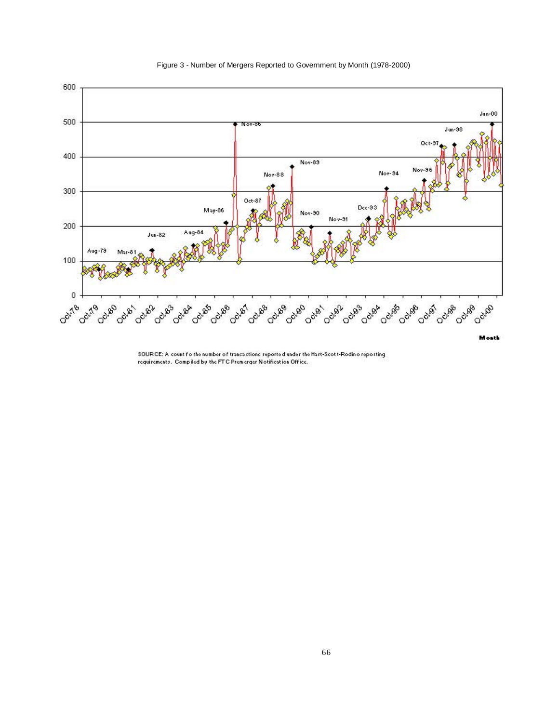

Figure 3 - Number of Mergers Reported to Government by Month (1978-2000)

SOURCE: A count fo the number of transactions reported under the Hart-Scott-Rodin o reporting requirements. Compiled by the FTC Premerger Notification Office.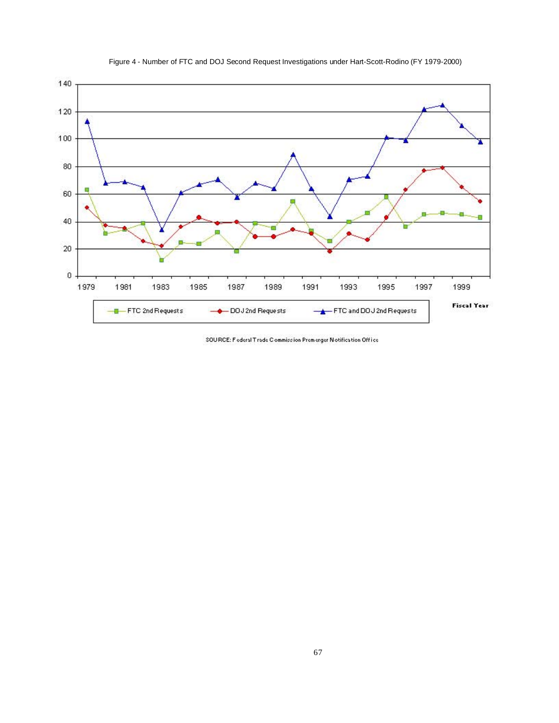

Figure 4 - Number of FTC and DOJ Second Request Investigations under Hart-Scott-Rodino (FY 1979-2000)

SOURCE: Federal Trade Commission Premerger Notification Office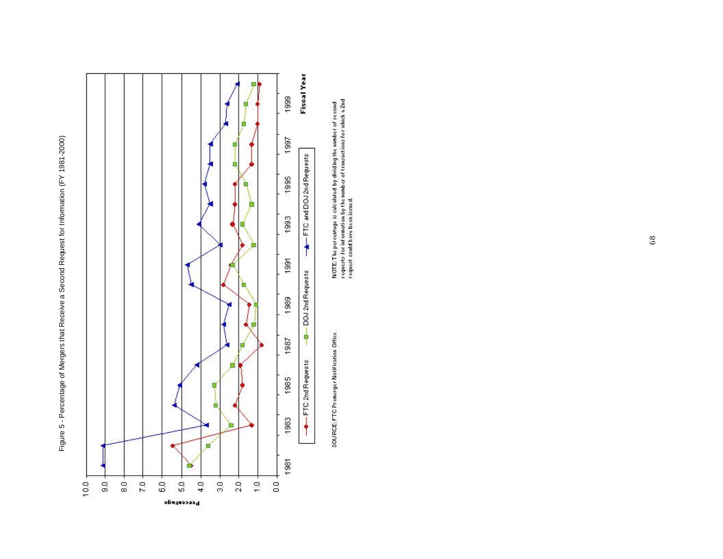



lication<br>| i r I G Premerge<br>, i  $\frac{1}{2}$ 

cond<br>a 2nd o se<br>o de E: T he percentage is calculated by dividing the number<br>*sits for* information by the number of transactions for<br>*si*t could have been issued.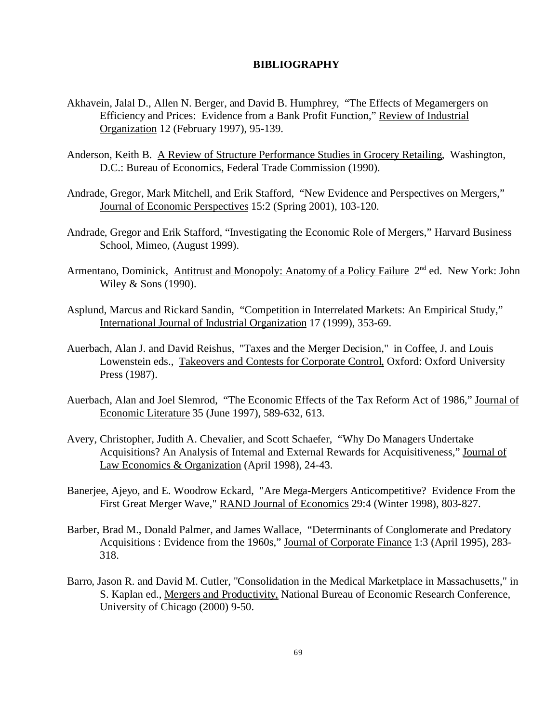## **BIBLIOGRAPHY**

- Akhavein, Jalal D., Allen N. Berger, and David B. Humphrey, "The Effects of Megamergers on Efficiency and Prices: Evidence from a Bank Profit Function," Review of Industrial Organization 12 (February 1997), 95-139.
- Anderson, Keith B. A Review of Structure Performance Studies in Grocery Retailing, Washington, D.C.: Bureau of Economics, Federal Trade Commission (1990).
- Andrade, Gregor, Mark Mitchell, and Erik Stafford, "New Evidence and Perspectives on Mergers," Journal of Economic Perspectives 15:2 (Spring 2001), 103-120.
- Andrade, Gregor and Erik Stafford, "Investigating the Economic Role of Mergers," Harvard Business School, Mimeo, (August 1999).
- Armentano, Dominick, Antitrust and Monopoly: Anatomy of a Policy Failure 2<sup>nd</sup> ed. New York: John Wiley & Sons (1990).
- Asplund, Marcus and Rickard Sandin, "Competition in Interrelated Markets: An Empirical Study," International Journal of Industrial Organization 17 (1999), 353-69.
- Auerbach, Alan J. and David Reishus, "Taxes and the Merger Decision," in Coffee, J. and Louis Lowenstein eds., Takeovers and Contests for Corporate Control, Oxford: Oxford University Press (1987).
- Auerbach, Alan and Joel Slemrod, "The Economic Effects of the Tax Reform Act of 1986," Journal of Economic Literature 35 (June 1997), 589-632, 613.
- Avery, Christopher, Judith A. Chevalier, and Scott Schaefer, "Why Do Managers Undertake Acquisitions? An Analysis of Internal and External Rewards for Acquisitiveness," Journal of Law Economics & Organization (April 1998), 24-43.
- Banerjee, Ajeyo, and E. Woodrow Eckard, "Are Mega-Mergers Anticompetitive? Evidence From the First Great Merger Wave," RAND Journal of Economics 29:4 (Winter 1998), 803-827.
- Barber, Brad M., Donald Palmer, and James Wallace, "Determinants of Conglomerate and Predatory Acquisitions : Evidence from the 1960s," Journal of Corporate Finance 1:3 (April 1995), 283- 318.
- Barro, Jason R. and David M. Cutler, "Consolidation in the Medical Marketplace in Massachusetts," in S. Kaplan ed., Mergers and Productivity, National Bureau of Economic Research Conference, University of Chicago (2000) 9-50.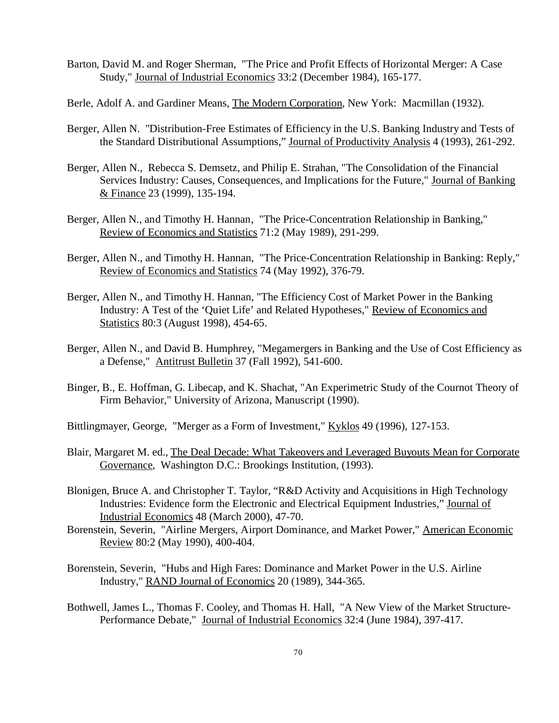- Barton, David M. and Roger Sherman, "The Price and Profit Effects of Horizontal Merger: A Case Study," Journal of Industrial Economics 33:2 (December 1984), 165-177.
- Berle, Adolf A. and Gardiner Means, The Modern Corporation, New York: Macmillan (1932).
- Berger, Allen N. "Distribution-Free Estimates of Efficiency in the U.S. Banking Industry and Tests of the Standard Distributional Assumptions," Journal of Productivity Analysis 4 (1993), 261-292.
- Berger, Allen N., Rebecca S. Demsetz, and Philip E. Strahan, "The Consolidation of the Financial Services Industry: Causes, Consequences, and Implications for the Future," Journal of Banking & Finance 23 (1999), 135-194.
- Berger, Allen N., and Timothy H. Hannan, "The Price-Concentration Relationship in Banking," Review of Economics and Statistics 71:2 (May 1989), 291-299.
- Berger, Allen N., and Timothy H. Hannan, "The Price-Concentration Relationship in Banking: Reply," Review of Economics and Statistics 74 (May 1992), 376-79.
- Berger, Allen N., and Timothy H. Hannan, "The Efficiency Cost of Market Power in the Banking Industry: A Test of the 'Quiet Life' and Related Hypotheses," Review of Economics and Statistics 80:3 (August 1998), 454-65.
- Berger, Allen N., and David B. Humphrey, "Megamergers in Banking and the Use of Cost Efficiency as a Defense," Antitrust Bulletin 37 (Fall 1992), 541-600.
- Binger, B., E. Hoffman, G. Libecap, and K. Shachat, "An Experimetric Study of the Cournot Theory of Firm Behavior," University of Arizona, Manuscript (1990).
- Bittlingmayer, George, "Merger as a Form of Investment," Kyklos 49 (1996), 127-153.
- Blair, Margaret M. ed., The Deal Decade: What Takeovers and Leveraged Buyouts Mean for Corporate Governance, Washington D.C.: Brookings Institution, (1993).
- Blonigen, Bruce A. and Christopher T. Taylor, "R&D Activity and Acquisitions in High Technology Industries: Evidence form the Electronic and Electrical Equipment Industries," Journal of Industrial Economics 48 (March 2000), 47-70.
- Borenstein, Severin, "Airline Mergers, Airport Dominance, and Market Power," American Economic Review 80:2 (May 1990), 400-404.
- Borenstein, Severin, "Hubs and High Fares: Dominance and Market Power in the U.S. Airline Industry," RAND Journal of Economics 20 (1989), 344-365.
- Bothwell, James L., Thomas F. Cooley, and Thomas H. Hall, "A New View of the Market Structure-Performance Debate," Journal of Industrial Economics 32:4 (June 1984), 397-417.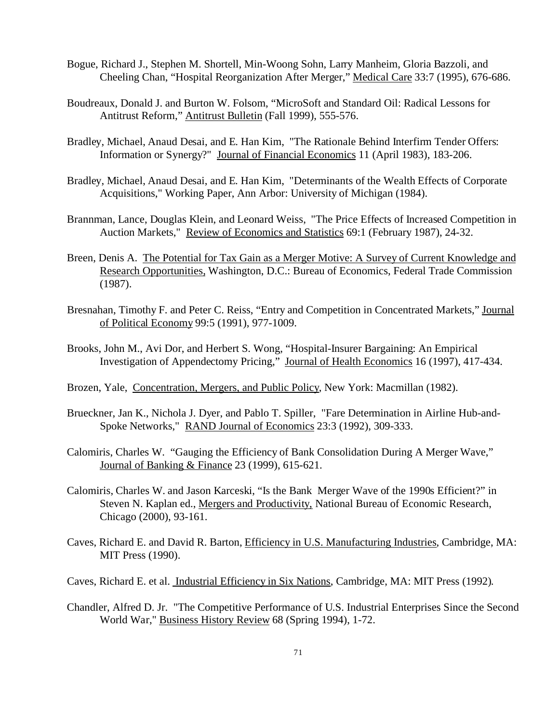- Bogue, Richard J., Stephen M. Shortell, Min-Woong Sohn, Larry Manheim, Gloria Bazzoli, and Cheeling Chan, "Hospital Reorganization After Merger," Medical Care 33:7 (1995), 676-686.
- Boudreaux, Donald J. and Burton W. Folsom, "MicroSoft and Standard Oil: Radical Lessons for Antitrust Reform," Antitrust Bulletin (Fall 1999), 555-576.
- Bradley, Michael, Anaud Desai, and E. Han Kim, "The Rationale Behind Interfirm Tender Offers: Information or Synergy?" Journal of Financial Economics 11 (April 1983), 183-206.
- Bradley, Michael, Anaud Desai, and E. Han Kim, "Determinants of the Wealth Effects of Corporate Acquisitions," Working Paper, Ann Arbor: University of Michigan (1984).
- Brannman, Lance, Douglas Klein, and Leonard Weiss, "The Price Effects of Increased Competition in Auction Markets," Review of Economics and Statistics 69:1 (February 1987), 24-32.
- Breen, Denis A. The Potential for Tax Gain as a Merger Motive: A Survey of Current Knowledge and Research Opportunities, Washington, D.C.: Bureau of Economics, Federal Trade Commission (1987).
- Bresnahan, Timothy F. and Peter C. Reiss, "Entry and Competition in Concentrated Markets," Journal of Political Economy 99:5 (1991), 977-1009.
- Brooks, John M., Avi Dor, and Herbert S. Wong, "Hospital-Insurer Bargaining: An Empirical Investigation of Appendectomy Pricing," Journal of Health Economics 16 (1997), 417-434.
- Brozen, Yale, Concentration, Mergers, and Public Policy, New York: Macmillan (1982).
- Brueckner, Jan K., Nichola J. Dyer, and Pablo T. Spiller, "Fare Determination in Airline Hub-and-Spoke Networks," RAND Journal of Economics 23:3 (1992), 309-333.
- Calomiris, Charles W. "Gauging the Efficiency of Bank Consolidation During A Merger Wave," Journal of Banking & Finance 23 (1999), 615-621.
- Calomiris, Charles W. and Jason Karceski, "Is the Bank Merger Wave of the 1990s Efficient?" in Steven N. Kaplan ed., Mergers and Productivity, National Bureau of Economic Research, Chicago (2000), 93-161.
- Caves, Richard E. and David R. Barton, Efficiency in U.S. Manufacturing Industries, Cambridge, MA: MIT Press (1990).
- Caves, Richard E. et al. Industrial Efficiency in Six Nations, Cambridge, MA: MIT Press (1992).
- Chandler, Alfred D. Jr. "The Competitive Performance of U.S. Industrial Enterprises Since the Second World War," Business History Review 68 (Spring 1994), 1-72.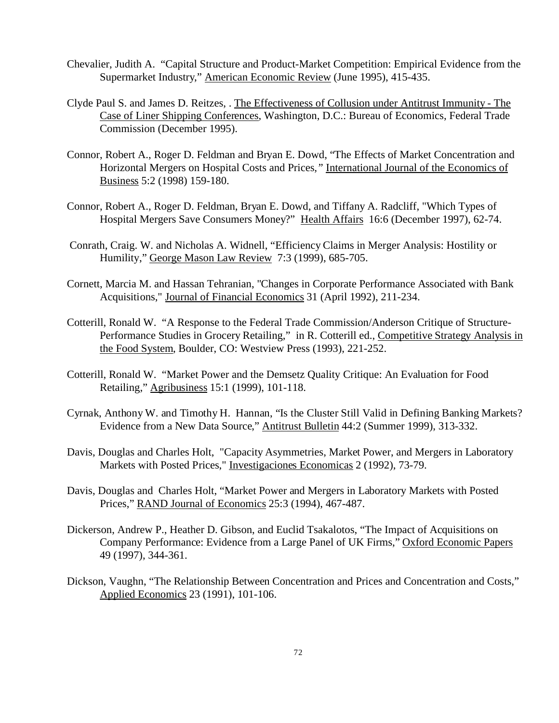- Chevalier, Judith A. "Capital Structure and Product-Market Competition: Empirical Evidence from the Supermarket Industry," American Economic Review (June 1995), 415-435.
- Clyde Paul S. and James D. Reitzes, . The Effectiveness of Collusion under Antitrust Immunity The Case of Liner Shipping Conferences, Washington, D.C.: Bureau of Economics, Federal Trade Commission (December 1995).
- Connor, Robert A., Roger D. Feldman and Bryan E. Dowd, "The Effects of Market Concentration and Horizontal Mergers on Hospital Costs and Prices*,"* International Journal of the Economics of Business 5:2 (1998) 159-180.
- Connor, Robert A., Roger D. Feldman, Bryan E. Dowd, and Tiffany A. Radcliff, "Which Types of Hospital Mergers Save Consumers Money?" Health Affairs 16:6 (December 1997), 62-74.
- Conrath, Craig. W. and Nicholas A. Widnell, "Efficiency Claims in Merger Analysis: Hostility or Humility," George Mason Law Review 7:3 (1999), 685-705.
- Cornett, Marcia M. and Hassan Tehranian, "Changes in Corporate Performance Associated with Bank Acquisitions," Journal of Financial Economics 31 (April 1992), 211-234.
- Cotterill, Ronald W. "A Response to the Federal Trade Commission/Anderson Critique of Structure-Performance Studies in Grocery Retailing," in R. Cotterill ed., Competitive Strategy Analysis in the Food System, Boulder, CO: Westview Press (1993), 221-252.
- Cotterill, Ronald W. "Market Power and the Demsetz Quality Critique: An Evaluation for Food Retailing," Agribusiness 15:1 (1999), 101-118.
- Cyrnak, Anthony W. and Timothy H. Hannan, "Is the Cluster Still Valid in Defining Banking Markets? Evidence from a New Data Source," Antitrust Bulletin 44:2 (Summer 1999), 313-332.
- Davis, Douglas and Charles Holt, "Capacity Asymmetries, Market Power, and Mergers in Laboratory Markets with Posted Prices," Investigaciones Economicas 2 (1992), 73-79.
- Davis, Douglas and Charles Holt, "Market Power and Mergers in Laboratory Markets with Posted Prices," RAND Journal of Economics 25:3 (1994), 467-487.
- Dickerson, Andrew P., Heather D. Gibson, and Euclid Tsakalotos, "The Impact of Acquisitions on Company Performance: Evidence from a Large Panel of UK Firms," Oxford Economic Papers 49 (1997), 344-361.
- Dickson, Vaughn, "The Relationship Between Concentration and Prices and Concentration and Costs," Applied Economics 23 (1991), 101-106.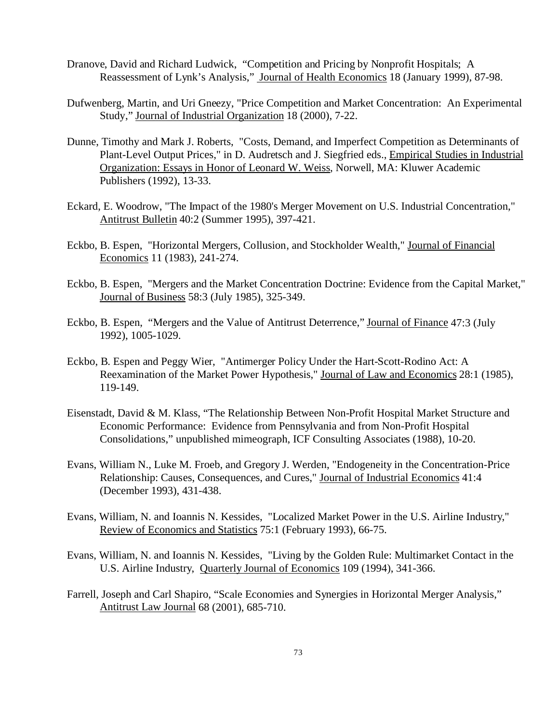- Dranove, David and Richard Ludwick, "Competition and Pricing by Nonprofit Hospitals; A Reassessment of Lynk's Analysis," Journal of Health Economics 18 (January 1999), 87-98.
- Dufwenberg, Martin, and Uri Gneezy, "Price Competition and Market Concentration: An Experimental Study," Journal of Industrial Organization 18 (2000), 7-22.
- Dunne, Timothy and Mark J. Roberts, "Costs, Demand, and Imperfect Competition as Determinants of Plant-Level Output Prices," in D. Audretsch and J. Siegfried eds., Empirical Studies in Industrial Organization: Essays in Honor of Leonard W. Weiss, Norwell, MA: Kluwer Academic Publishers (1992), 13-33.
- Eckard, E. Woodrow, "The Impact of the 1980's Merger Movement on U.S. Industrial Concentration," Antitrust Bulletin 40:2 (Summer 1995), 397-421.
- Eckbo, B. Espen, "Horizontal Mergers, Collusion, and Stockholder Wealth," Journal of Financial Economics 11 (1983), 241-274.
- Eckbo, B. Espen, "Mergers and the Market Concentration Doctrine: Evidence from the Capital Market," Journal of Business 58:3 (July 1985), 325-349.
- Eckbo, B. Espen, "Mergers and the Value of Antitrust Deterrence," Journal of Finance 47:3 (July 1992), 1005-1029.
- Eckbo, B. Espen and Peggy Wier, "Antimerger Policy Under the Hart-Scott-Rodino Act: A Reexamination of the Market Power Hypothesis," Journal of Law and Economics 28:1 (1985), 119-149.
- Eisenstadt, David & M. Klass, "The Relationship Between Non-Profit Hospital Market Structure and Economic Performance: Evidence from Pennsylvania and from Non-Profit Hospital Consolidations," unpublished mimeograph, ICF Consulting Associates (1988), 10-20.
- Evans, William N., Luke M. Froeb, and Gregory J. Werden, "Endogeneity in the Concentration-Price Relationship: Causes, Consequences, and Cures," Journal of Industrial Economics 41:4 (December 1993), 431-438.
- Evans, William, N. and Ioannis N. Kessides, "Localized Market Power in the U.S. Airline Industry," Review of Economics and Statistics 75:1 (February 1993), 66-75.
- Evans, William, N. and Ioannis N. Kessides, "Living by the Golden Rule: Multimarket Contact in the U.S. Airline Industry, Quarterly Journal of Economics 109 (1994), 341-366.
- Farrell, Joseph and Carl Shapiro, "Scale Economies and Synergies in Horizontal Merger Analysis," Antitrust Law Journal 68 (2001), 685-710.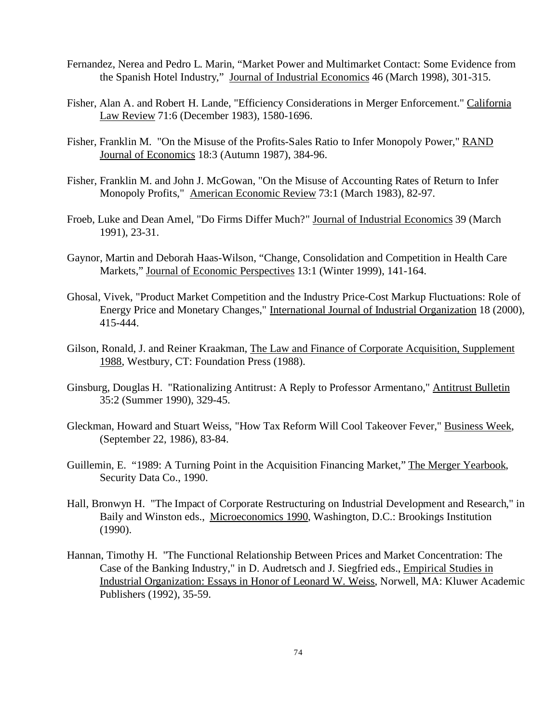- Fernandez, Nerea and Pedro L. Marin, "Market Power and Multimarket Contact: Some Evidence from the Spanish Hotel Industry," Journal of Industrial Economics 46 (March 1998), 301-315.
- Fisher, Alan A. and Robert H. Lande, "Efficiency Considerations in Merger Enforcement." California Law Review 71:6 (December 1983), 1580-1696.
- Fisher, Franklin M. "On the Misuse of the Profits-Sales Ratio to Infer Monopoly Power," RAND Journal of Economics 18:3 (Autumn 1987), 384-96.
- Fisher, Franklin M. and John J. McGowan, "On the Misuse of Accounting Rates of Return to Infer Monopoly Profits," American Economic Review 73:1 (March 1983), 82-97.
- Froeb, Luke and Dean Amel, "Do Firms Differ Much?" Journal of Industrial Economics 39 (March 1991), 23-31.
- Gaynor, Martin and Deborah Haas-Wilson, "Change, Consolidation and Competition in Health Care Markets," Journal of Economic Perspectives 13:1 (Winter 1999), 141-164.
- Ghosal, Vivek, "Product Market Competition and the Industry Price-Cost Markup Fluctuations: Role of Energy Price and Monetary Changes," International Journal of Industrial Organization 18 (2000), 415-444.
- Gilson, Ronald, J. and Reiner Kraakman, The Law and Finance of Corporate Acquisition, Supplement 1988, Westbury, CT: Foundation Press (1988).
- Ginsburg, Douglas H. "Rationalizing Antitrust: A Reply to Professor Armentano," Antitrust Bulletin 35:2 (Summer 1990), 329-45.
- Gleckman, Howard and Stuart Weiss, "How Tax Reform Will Cool Takeover Fever," Business Week, (September 22, 1986), 83-84.
- Guillemin, E. "1989: A Turning Point in the Acquisition Financing Market," The Merger Yearbook, Security Data Co., 1990.
- Hall, Bronwyn H. "The Impact of Corporate Restructuring on Industrial Development and Research," in Baily and Winston eds., Microeconomics 1990, Washington, D.C.: Brookings Institution (1990).
- Hannan, Timothy H. "The Functional Relationship Between Prices and Market Concentration: The Case of the Banking Industry," in D. Audretsch and J. Siegfried eds., Empirical Studies in Industrial Organization: Essays in Honor of Leonard W. Weiss, Norwell, MA: Kluwer Academic Publishers (1992), 35-59.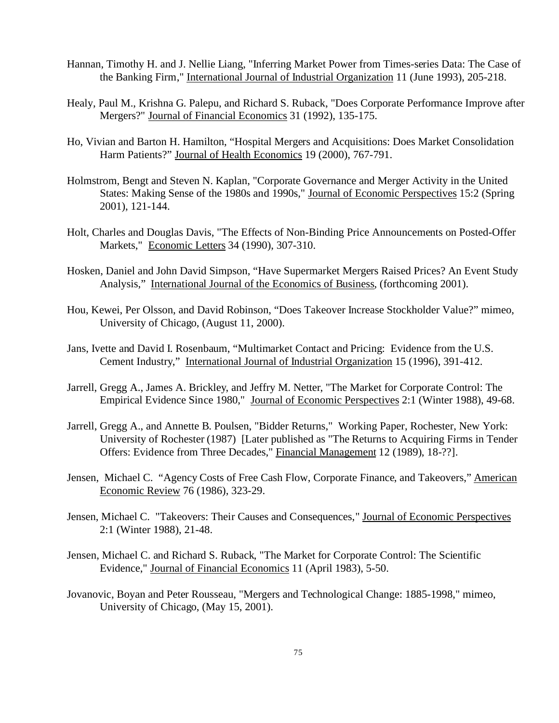- Hannan, Timothy H. and J. Nellie Liang, "Inferring Market Power from Times-series Data: The Case of the Banking Firm," International Journal of Industrial Organization 11 (June 1993), 205-218.
- Healy, Paul M., Krishna G. Palepu, and Richard S. Ruback, "Does Corporate Performance Improve after Mergers?" Journal of Financial Economics 31 (1992), 135-175.
- Ho, Vivian and Barton H. Hamilton, "Hospital Mergers and Acquisitions: Does Market Consolidation Harm Patients?" Journal of Health Economics 19 (2000), 767-791.
- Holmstrom, Bengt and Steven N. Kaplan, "Corporate Governance and Merger Activity in the United States: Making Sense of the 1980s and 1990s," Journal of Economic Perspectives 15:2 (Spring 2001), 121-144.
- Holt, Charles and Douglas Davis, "The Effects of Non-Binding Price Announcements on Posted-Offer Markets," Economic Letters 34 (1990), 307-310.
- Hosken, Daniel and John David Simpson, "Have Supermarket Mergers Raised Prices? An Event Study Analysis," International Journal of the Economics of Business, (forthcoming 2001).
- Hou, Kewei, Per Olsson, and David Robinson, "Does Takeover Increase Stockholder Value?" mimeo, University of Chicago, (August 11, 2000).
- Jans, Ivette and David I. Rosenbaum, "Multimarket Contact and Pricing: Evidence from the U.S. Cement Industry," International Journal of Industrial Organization 15 (1996), 391-412.
- Jarrell, Gregg A., James A. Brickley, and Jeffry M. Netter, "The Market for Corporate Control: The Empirical Evidence Since 1980," Journal of Economic Perspectives 2:1 (Winter 1988), 49-68.
- Jarrell, Gregg A., and Annette B. Poulsen, "Bidder Returns," Working Paper, Rochester, New York: University of Rochester (1987) [Later published as "The Returns to Acquiring Firms in Tender Offers: Evidence from Three Decades," Financial Management 12 (1989), 18-??].
- Jensen, Michael C. "Agency Costs of Free Cash Flow, Corporate Finance, and Takeovers," American Economic Review 76 (1986), 323-29.
- Jensen, Michael C. "Takeovers: Their Causes and Consequences," Journal of Economic Perspectives 2:1 (Winter 1988), 21-48.
- Jensen, Michael C. and Richard S. Ruback, "The Market for Corporate Control: The Scientific Evidence," Journal of Financial Economics 11 (April 1983), 5-50.
- Jovanovic, Boyan and Peter Rousseau, "Mergers and Technological Change: 1885-1998," mimeo, University of Chicago, (May 15, 2001).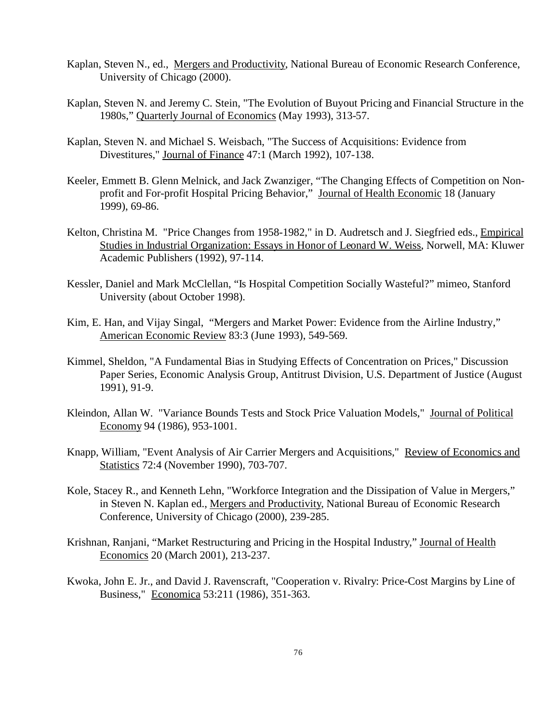- Kaplan, Steven N., ed., Mergers and Productivity, National Bureau of Economic Research Conference, University of Chicago (2000).
- Kaplan, Steven N. and Jeremy C. Stein, "The Evolution of Buyout Pricing and Financial Structure in the 1980s," Quarterly Journal of Economics (May 1993), 313-57.
- Kaplan, Steven N. and Michael S. Weisbach, "The Success of Acquisitions: Evidence from Divestitures," Journal of Finance 47:1 (March 1992), 107-138.
- Keeler, Emmett B. Glenn Melnick, and Jack Zwanziger, "The Changing Effects of Competition on Nonprofit and For-profit Hospital Pricing Behavior," Journal of Health Economic 18 (January 1999), 69-86.
- Kelton, Christina M. "Price Changes from 1958-1982," in D. Audretsch and J. Siegfried eds., Empirical Studies in Industrial Organization: Essays in Honor of Leonard W. Weiss, Norwell, MA: Kluwer Academic Publishers (1992), 97-114.
- Kessler, Daniel and Mark McClellan, "Is Hospital Competition Socially Wasteful?" mimeo, Stanford University (about October 1998).
- Kim, E. Han, and Vijay Singal, "Mergers and Market Power: Evidence from the Airline Industry," American Economic Review 83:3 (June 1993), 549-569.
- Kimmel, Sheldon, "A Fundamental Bias in Studying Effects of Concentration on Prices," Discussion Paper Series, Economic Analysis Group, Antitrust Division, U.S. Department of Justice (August 1991), 91-9.
- Kleindon, Allan W. "Variance Bounds Tests and Stock Price Valuation Models," Journal of Political Economy 94 (1986), 953-1001.
- Knapp, William, "Event Analysis of Air Carrier Mergers and Acquisitions," Review of Economics and Statistics 72:4 (November 1990), 703-707.
- Kole, Stacey R., and Kenneth Lehn, "Workforce Integration and the Dissipation of Value in Mergers," in Steven N. Kaplan ed., Mergers and Productivity, National Bureau of Economic Research Conference, University of Chicago (2000), 239-285.
- Krishnan, Ranjani, "Market Restructuring and Pricing in the Hospital Industry," Journal of Health Economics 20 (March 2001), 213-237.
- Kwoka, John E. Jr., and David J. Ravenscraft, "Cooperation v. Rivalry: Price-Cost Margins by Line of Business," Economica 53:211 (1986), 351-363.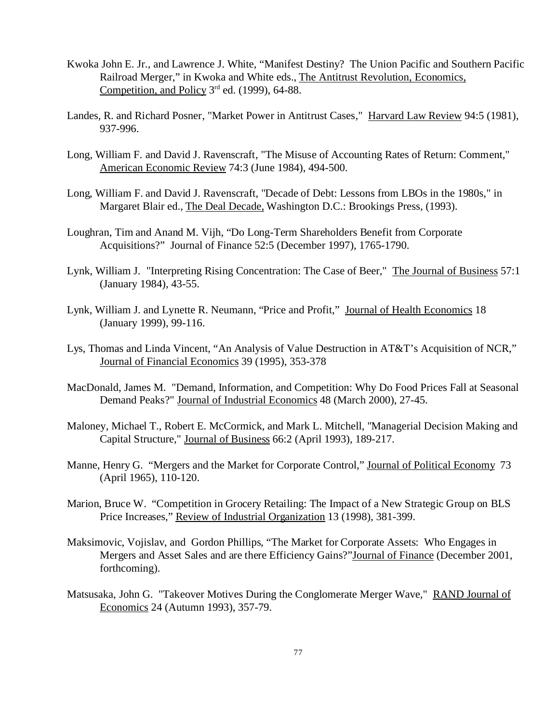- Kwoka John E. Jr., and Lawrence J. White, "Manifest Destiny? The Union Pacific and Southern Pacific Railroad Merger," in Kwoka and White eds., The Antitrust Revolution, Economics, Competition, and Policy  $3<sup>rd</sup>$  ed. (1999), 64-88.
- Landes, R. and Richard Posner, "Market Power in Antitrust Cases," Harvard Law Review 94:5 (1981), 937-996.
- Long, William F. and David J. Ravenscraft, "The Misuse of Accounting Rates of Return: Comment," American Economic Review 74:3 (June 1984), 494-500.
- Long, William F. and David J. Ravenscraft, "Decade of Debt: Lessons from LBOs in the 1980s," in Margaret Blair ed., The Deal Decade, Washington D.C.: Brookings Press, (1993).
- Loughran, Tim and Anand M. Vijh, "Do Long-Term Shareholders Benefit from Corporate Acquisitions?" Journal of Finance 52:5 (December 1997), 1765-1790.
- Lynk, William J. "Interpreting Rising Concentration: The Case of Beer," The Journal of Business 57:1 (January 1984), 43-55.
- Lynk, William J. and Lynette R. Neumann, "Price and Profit," Journal of Health Economics 18 (January 1999), 99-116.
- Lys, Thomas and Linda Vincent, "An Analysis of Value Destruction in AT&T's Acquisition of NCR," Journal of Financial Economics 39 (1995), 353-378
- MacDonald, James M. "Demand, Information, and Competition: Why Do Food Prices Fall at Seasonal Demand Peaks?" Journal of Industrial Economics 48 (March 2000), 27-45.
- Maloney, Michael T., Robert E. McCormick, and Mark L. Mitchell, "Managerial Decision Making and Capital Structure," Journal of Business 66:2 (April 1993), 189-217.
- Manne, Henry G. "Mergers and the Market for Corporate Control," Journal of Political Economy 73 (April 1965), 110-120.
- Marion, Bruce W. "Competition in Grocery Retailing: The Impact of a New Strategic Group on BLS Price Increases," Review of Industrial Organization 13 (1998), 381-399.
- Maksimovic, Vojislav, and Gordon Phillips, "The Market for Corporate Assets: Who Engages in Mergers and Asset Sales and are there Efficiency Gains?"Journal of Finance (December 2001, forthcoming).
- Matsusaka, John G. "Takeover Motives During the Conglomerate Merger Wave," RAND Journal of Economics 24 (Autumn 1993), 357-79.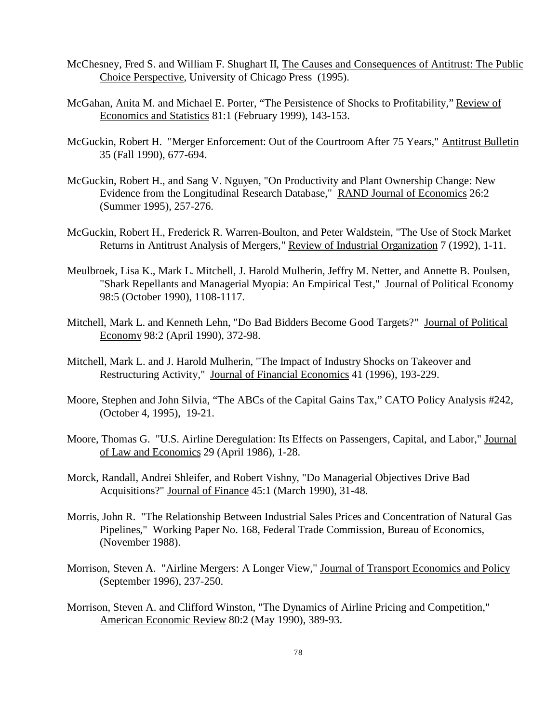- McChesney, Fred S. and William F. Shughart II, The Causes and Consequences of Antitrust: The Public Choice Perspective, University of Chicago Press (1995).
- McGahan, Anita M. and Michael E. Porter, "The Persistence of Shocks to Profitability," Review of Economics and Statistics 81:1 (February 1999), 143-153.
- McGuckin, Robert H. "Merger Enforcement: Out of the Courtroom After 75 Years," Antitrust Bulletin 35 (Fall 1990), 677-694.
- McGuckin, Robert H., and Sang V. Nguyen, "On Productivity and Plant Ownership Change: New Evidence from the Longitudinal Research Database," RAND Journal of Economics 26:2 (Summer 1995), 257-276.
- McGuckin, Robert H., Frederick R. Warren-Boulton, and Peter Waldstein, "The Use of Stock Market Returns in Antitrust Analysis of Mergers," Review of Industrial Organization 7 (1992), 1-11.
- Meulbroek, Lisa K., Mark L. Mitchell, J. Harold Mulherin, Jeffry M. Netter, and Annette B. Poulsen, "Shark Repellants and Managerial Myopia: An Empirical Test," Journal of Political Economy 98:5 (October 1990), 1108-1117.
- Mitchell, Mark L. and Kenneth Lehn, "Do Bad Bidders Become Good Targets?" Journal of Political Economy 98:2 (April 1990), 372-98.
- Mitchell, Mark L. and J. Harold Mulherin, "The Impact of Industry Shocks on Takeover and Restructuring Activity," Journal of Financial Economics 41 (1996), 193-229.
- Moore, Stephen and John Silvia, "The ABCs of the Capital Gains Tax," CATO Policy Analysis #242, (October 4, 1995), 19-21.
- Moore, Thomas G. "U.S. Airline Deregulation: Its Effects on Passengers, Capital, and Labor," Journal of Law and Economics 29 (April 1986), 1-28.
- Morck, Randall, Andrei Shleifer, and Robert Vishny, "Do Managerial Objectives Drive Bad Acquisitions?" Journal of Finance 45:1 (March 1990), 31-48.
- Morris, John R. "The Relationship Between Industrial Sales Prices and Concentration of Natural Gas Pipelines," Working Paper No. 168, Federal Trade Commission, Bureau of Economics, (November 1988).
- Morrison, Steven A. "Airline Mergers: A Longer View," Journal of Transport Economics and Policy (September 1996), 237-250.
- Morrison, Steven A. and Clifford Winston, "The Dynamics of Airline Pricing and Competition," American Economic Review 80:2 (May 1990), 389-93.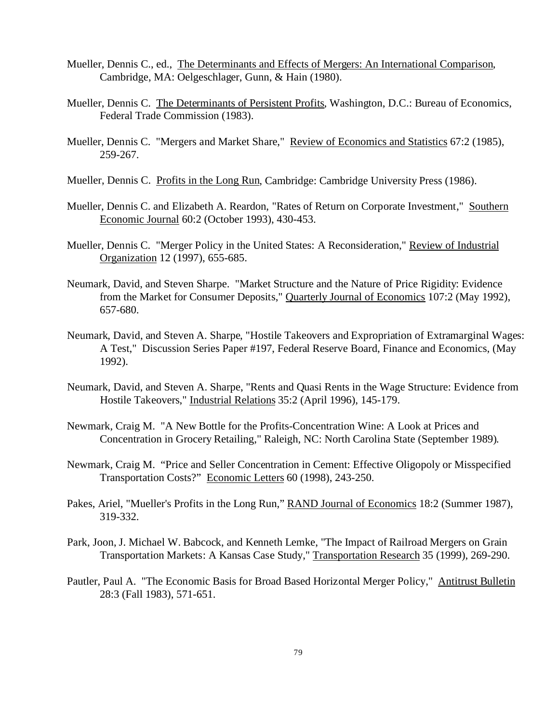- Mueller, Dennis C., ed., The Determinants and Effects of Mergers: An International Comparison, Cambridge, MA: Oelgeschlager, Gunn, & Hain (1980).
- Mueller, Dennis C. The Determinants of Persistent Profits, Washington, D.C.: Bureau of Economics, Federal Trade Commission (1983).
- Mueller, Dennis C. "Mergers and Market Share," Review of Economics and Statistics 67:2 (1985), 259-267.
- Mueller, Dennis C. Profits in the Long Run, Cambridge: Cambridge University Press (1986).
- Mueller, Dennis C. and Elizabeth A. Reardon, "Rates of Return on Corporate Investment," Southern Economic Journal 60:2 (October 1993), 430-453.
- Mueller, Dennis C. "Merger Policy in the United States: A Reconsideration," Review of Industrial Organization 12 (1997), 655-685.
- Neumark, David, and Steven Sharpe. "Market Structure and the Nature of Price Rigidity: Evidence from the Market for Consumer Deposits," Quarterly Journal of Economics 107:2 (May 1992), 657-680.
- Neumark, David, and Steven A. Sharpe, "Hostile Takeovers and Expropriation of Extramarginal Wages: A Test," Discussion Series Paper #197, Federal Reserve Board, Finance and Economics, (May 1992).
- Neumark, David, and Steven A. Sharpe, "Rents and Quasi Rents in the Wage Structure: Evidence from Hostile Takeovers," Industrial Relations 35:2 (April 1996), 145-179.
- Newmark, Craig M. "A New Bottle for the Profits-Concentration Wine: A Look at Prices and Concentration in Grocery Retailing," Raleigh, NC: North Carolina State (September 1989).
- Newmark, Craig M. "Price and Seller Concentration in Cement: Effective Oligopoly or Misspecified Transportation Costs?" Economic Letters 60 (1998), 243-250.
- Pakes, Ariel, "Mueller's Profits in the Long Run," RAND Journal of Economics 18:2 (Summer 1987), 319-332.
- Park, Joon, J. Michael W. Babcock, and Kenneth Lemke, "The Impact of Railroad Mergers on Grain Transportation Markets: A Kansas Case Study," Transportation Research 35 (1999), 269-290.
- Pautler, Paul A. "The Economic Basis for Broad Based Horizontal Merger Policy," Antitrust Bulletin 28:3 (Fall 1983), 571-651.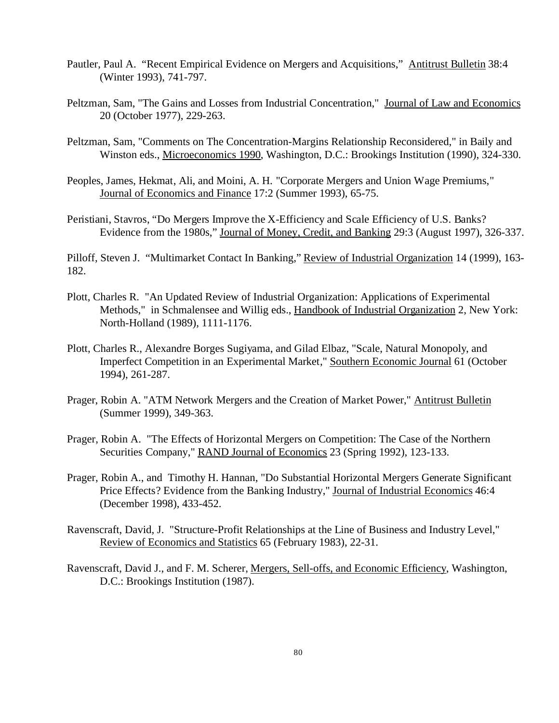- Pautler, Paul A. "Recent Empirical Evidence on Mergers and Acquisitions," Antitrust Bulletin 38:4 (Winter 1993), 741-797.
- Peltzman, Sam, "The Gains and Losses from Industrial Concentration," Journal of Law and Economics 20 (October 1977), 229-263.
- Peltzman, Sam, "Comments on The Concentration-Margins Relationship Reconsidered," in Baily and Winston eds., Microeconomics 1990, Washington, D.C.: Brookings Institution (1990), 324-330.
- Peoples, James, Hekmat, Ali, and Moini, A. H. "Corporate Mergers and Union Wage Premiums," Journal of Economics and Finance 17:2 (Summer 1993), 65-75.
- Peristiani, Stavros, "Do Mergers Improve the X-Efficiency and Scale Efficiency of U.S. Banks? Evidence from the 1980s," Journal of Money, Credit, and Banking 29:3 (August 1997), 326-337.

Pilloff, Steven J. "Multimarket Contact In Banking," Review of Industrial Organization 14 (1999), 163-182.

- Plott, Charles R. "An Updated Review of Industrial Organization: Applications of Experimental Methods," in Schmalensee and Willig eds., Handbook of Industrial Organization 2, New York: North-Holland (1989), 1111-1176.
- Plott, Charles R., Alexandre Borges Sugiyama, and Gilad Elbaz, "Scale, Natural Monopoly, and Imperfect Competition in an Experimental Market," Southern Economic Journal 61 (October 1994), 261-287.
- Prager, Robin A. "ATM Network Mergers and the Creation of Market Power," Antitrust Bulletin (Summer 1999), 349-363.
- Prager, Robin A. "The Effects of Horizontal Mergers on Competition: The Case of the Northern Securities Company," RAND Journal of Economics 23 (Spring 1992), 123-133.
- Prager, Robin A., and Timothy H. Hannan, "Do Substantial Horizontal Mergers Generate Significant Price Effects? Evidence from the Banking Industry," Journal of Industrial Economics 46:4 (December 1998), 433-452.
- Ravenscraft, David, J. "Structure-Profit Relationships at the Line of Business and Industry Level," Review of Economics and Statistics 65 (February 1983), 22-31.
- Ravenscraft, David J., and F. M. Scherer, Mergers, Sell-offs, and Economic Efficiency, Washington, D.C.: Brookings Institution (1987).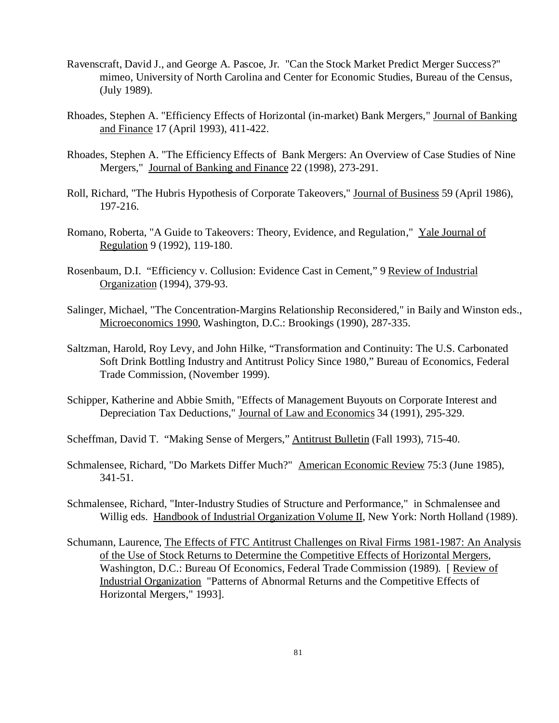- Ravenscraft, David J., and George A. Pascoe, Jr. "Can the Stock Market Predict Merger Success?" mimeo, University of North Carolina and Center for Economic Studies, Bureau of the Census, (July 1989).
- Rhoades, Stephen A. "Efficiency Effects of Horizontal (in-market) Bank Mergers," Journal of Banking and Finance 17 (April 1993), 411-422.
- Rhoades, Stephen A. "The Efficiency Effects of Bank Mergers: An Overview of Case Studies of Nine Mergers," Journal of Banking and Finance 22 (1998), 273-291.
- Roll, Richard, "The Hubris Hypothesis of Corporate Takeovers," Journal of Business 59 (April 1986), 197-216.
- Romano, Roberta, "A Guide to Takeovers: Theory, Evidence, and Regulation," Yale Journal of Regulation 9 (1992), 119-180.
- Rosenbaum, D.I. "Efficiency v. Collusion: Evidence Cast in Cement," 9 Review of Industrial Organization (1994), 379-93.
- Salinger, Michael, "The Concentration-Margins Relationship Reconsidered," in Baily and Winston eds., Microeconomics 1990, Washington, D.C.: Brookings (1990), 287-335.
- Saltzman, Harold, Roy Levy, and John Hilke, "Transformation and Continuity: The U.S. Carbonated Soft Drink Bottling Industry and Antitrust Policy Since 1980," Bureau of Economics, Federal Trade Commission, (November 1999).
- Schipper, Katherine and Abbie Smith, "Effects of Management Buyouts on Corporate Interest and Depreciation Tax Deductions," Journal of Law and Economics 34 (1991), 295-329.
- Scheffman, David T. "Making Sense of Mergers," Antitrust Bulletin (Fall 1993), 715-40.
- Schmalensee, Richard, "Do Markets Differ Much?" American Economic Review 75:3 (June 1985), 341-51.
- Schmalensee, Richard, "Inter-Industry Studies of Structure and Performance," in Schmalensee and Willig eds. Handbook of Industrial Organization Volume II, New York: North Holland (1989).
- Schumann, Laurence, The Effects of FTC Antitrust Challenges on Rival Firms 1981-1987: An Analysis of the Use of Stock Returns to Determine the Competitive Effects of Horizontal Mergers, Washington, D.C.: Bureau Of Economics, Federal Trade Commission (1989). [ Review of Industrial Organization "Patterns of Abnormal Returns and the Competitive Effects of Horizontal Mergers," 1993].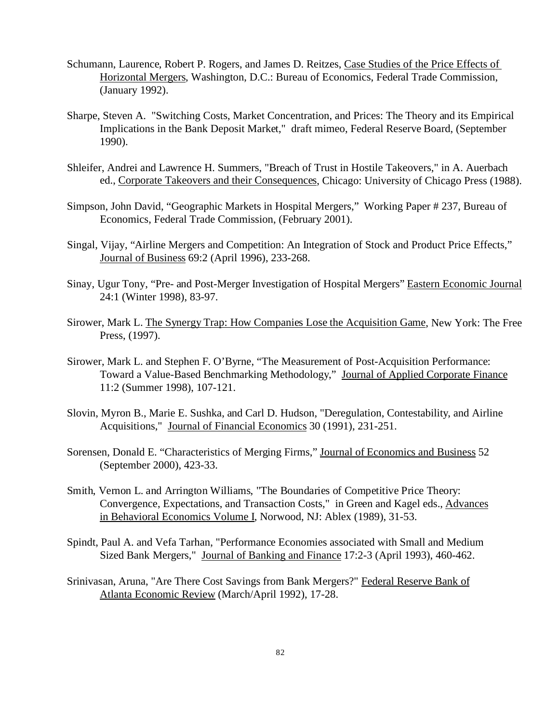- Schumann, Laurence, Robert P. Rogers, and James D. Reitzes, Case Studies of the Price Effects of Horizontal Mergers, Washington, D.C.: Bureau of Economics, Federal Trade Commission, (January 1992).
- Sharpe, Steven A. "Switching Costs, Market Concentration, and Prices: The Theory and its Empirical Implications in the Bank Deposit Market," draft mimeo, Federal Reserve Board, (September 1990).
- Shleifer, Andrei and Lawrence H. Summers, "Breach of Trust in Hostile Takeovers," in A. Auerbach ed., Corporate Takeovers and their Consequences, Chicago: University of Chicago Press (1988).
- Simpson, John David, "Geographic Markets in Hospital Mergers," Working Paper # 237, Bureau of Economics, Federal Trade Commission, (February 2001).
- Singal, Vijay, "Airline Mergers and Competition: An Integration of Stock and Product Price Effects," Journal of Business 69:2 (April 1996), 233-268.
- Sinay, Ugur Tony, "Pre- and Post-Merger Investigation of Hospital Mergers" Eastern Economic Journal 24:1 (Winter 1998), 83-97.
- Sirower, Mark L. The Synergy Trap: How Companies Lose the Acquisition Game, New York: The Free Press, (1997).
- Sirower, Mark L. and Stephen F. O'Byrne, "The Measurement of Post-Acquisition Performance: Toward a Value-Based Benchmarking Methodology," Journal of Applied Corporate Finance 11:2 (Summer 1998), 107-121.
- Slovin, Myron B., Marie E. Sushka, and Carl D. Hudson, "Deregulation, Contestability, and Airline Acquisitions," Journal of Financial Economics 30 (1991), 231-251.
- Sorensen, Donald E. "Characteristics of Merging Firms," Journal of Economics and Business 52 (September 2000), 423-33.
- Smith, Vernon L. and Arrington Williams, "The Boundaries of Competitive Price Theory: Convergence, Expectations, and Transaction Costs," in Green and Kagel eds., Advances in Behavioral Economics Volume I, Norwood, NJ: Ablex (1989), 31-53.
- Spindt, Paul A. and Vefa Tarhan, "Performance Economies associated with Small and Medium Sized Bank Mergers," Journal of Banking and Finance 17:2-3 (April 1993), 460-462.
- Srinivasan, Aruna, "Are There Cost Savings from Bank Mergers?" Federal Reserve Bank of Atlanta Economic Review (March/April 1992), 17-28.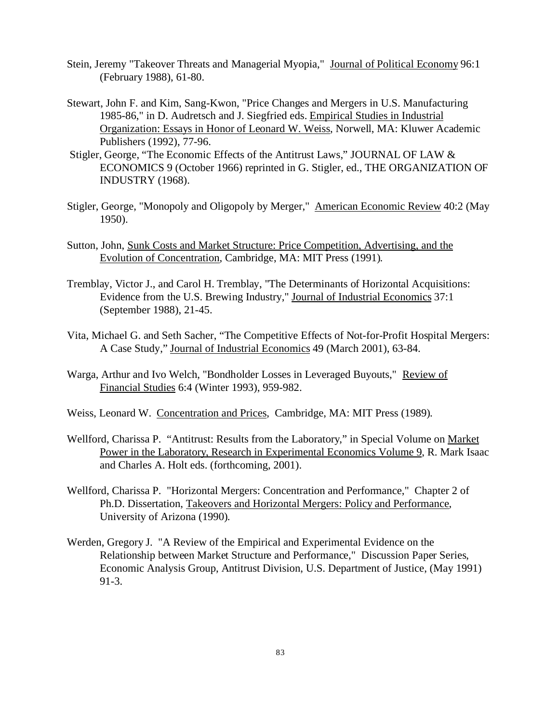- Stein, Jeremy "Takeover Threats and Managerial Myopia," Journal of Political Economy 96:1 (February 1988), 61-80.
- Stewart, John F. and Kim, Sang-Kwon, "Price Changes and Mergers in U.S. Manufacturing 1985-86," in D. Audretsch and J. Siegfried eds. Empirical Studies in Industrial Organization: Essays in Honor of Leonard W. Weiss, Norwell, MA: Kluwer Academic Publishers (1992), 77-96.
- Stigler, George, "The Economic Effects of the Antitrust Laws," JOURNAL OF LAW & ECONOMICS 9 (October 1966) reprinted in G. Stigler, ed., THE ORGANIZATION OF INDUSTRY (1968).
- Stigler, George, "Monopoly and Oligopoly by Merger," American Economic Review 40:2 (May 1950).
- Sutton, John, Sunk Costs and Market Structure: Price Competition, Advertising, and the Evolution of Concentration, Cambridge, MA: MIT Press (1991).
- Tremblay, Victor J., and Carol H. Tremblay, "The Determinants of Horizontal Acquisitions: Evidence from the U.S. Brewing Industry," Journal of Industrial Economics 37:1 (September 1988), 21-45.
- Vita, Michael G. and Seth Sacher, "The Competitive Effects of Not-for-Profit Hospital Mergers: A Case Study," Journal of Industrial Economics 49 (March 2001), 63-84.
- Warga, Arthur and Ivo Welch, "Bondholder Losses in Leveraged Buyouts," Review of Financial Studies 6:4 (Winter 1993), 959-982.
- Weiss, Leonard W. Concentration and Prices, Cambridge, MA: MIT Press (1989).
- Wellford, Charissa P. "Antitrust: Results from the Laboratory," in Special Volume on Market Power in the Laboratory, Research in Experimental Economics Volume 9, R. Mark Isaac and Charles A. Holt eds. (forthcoming, 2001).
- Wellford, Charissa P. "Horizontal Mergers: Concentration and Performance," Chapter 2 of Ph.D. Dissertation, Takeovers and Horizontal Mergers: Policy and Performance, University of Arizona (1990).
- Werden, Gregory J. "A Review of the Empirical and Experimental Evidence on the Relationship between Market Structure and Performance," Discussion Paper Series, Economic Analysis Group, Antitrust Division, U.S. Department of Justice, (May 1991) 91-3.